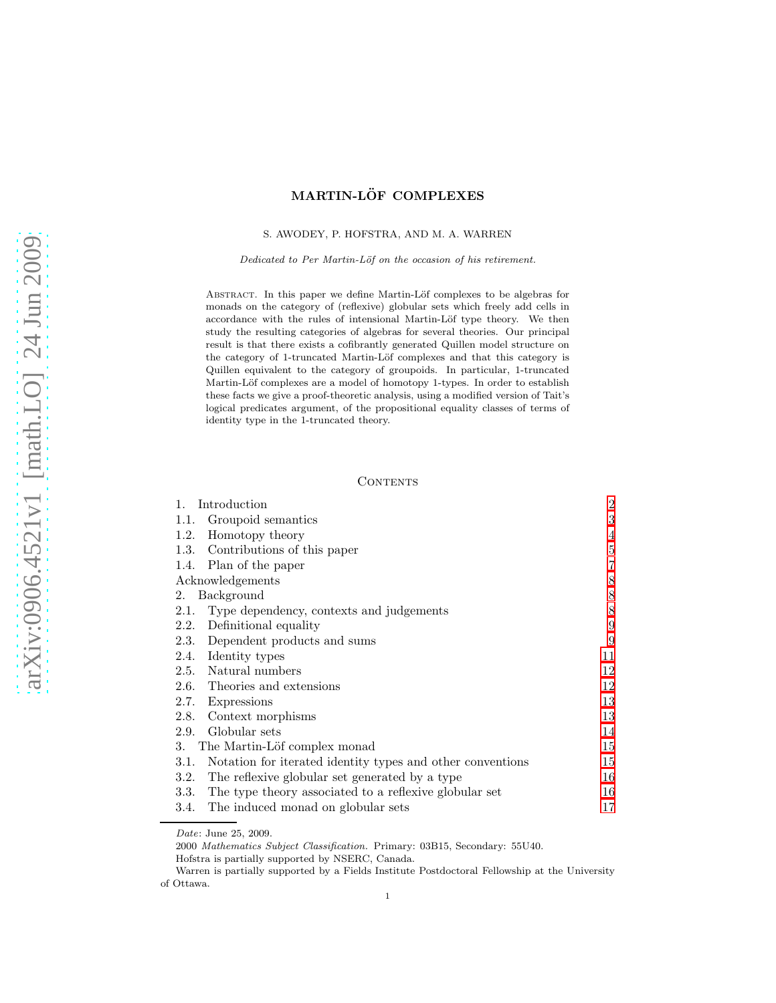# MARTIN-LÖF COMPLEXES

### S. AWODEY, P. HOFSTRA, AND M. A. WARREN

*Dedicated to Per Martin-L¨of on the occasion of his retirement.*

ABSTRACT. In this paper we define Martin-Löf complexes to be algebras for monads on the category of (reflexive) globular sets which freely add cells in accordance with the rules of intensional Martin-Löf type theory. We then study the resulting categories of algebras for several theories. Our principal result is that there exists a cofibrantly generated Quillen model structure on the category of 1-truncated Martin-Löf complexes and that this category is Quillen equivalent to the category of groupoids. In particular, 1-truncated Martin-Löf complexes are a model of homotopy 1-types. In order to establish these facts we give a proof-theoretic analysis, using a modified version of Tait's logical predicates argument, of the propositional equality classes of terms of identity type in the 1-truncated theory.

# **CONTENTS**

| Introduction<br>1.                                                 | $\overline{2}$ |
|--------------------------------------------------------------------|----------------|
| Groupoid semantics<br>1.1.                                         | 3              |
| 1.2. Homotopy theory                                               | $\overline{4}$ |
| 1.3. Contributions of this paper                                   | 5              |
| 1.4. Plan of the paper                                             | 7              |
| Acknowledgements                                                   | $8\,$          |
| Background<br>2.                                                   | 8              |
| Type dependency, contexts and judgements<br>2.1.                   | 8              |
| Definitional equality<br>2.2.                                      | 9              |
| 2.3. Dependent products and sums                                   | 9              |
| 2.4. Identity types                                                | 11             |
| 2.5. Natural numbers                                               | 12             |
| 2.6. Theories and extensions                                       | 12             |
| 2.7.<br>Expressions                                                | 13             |
| Context morphisms<br>2.8.                                          | 13             |
| Globular sets<br>2.9.                                              | 14             |
| The Martin-Löf complex monad<br>3.                                 | 15             |
| Notation for iterated identity types and other conventions<br>3.1. | 15             |
| The reflexive globular set generated by a type<br>3.2.             | 16             |
| 3.3. The type theory associated to a reflexive globular set        | 16             |
| 3.4.<br>The induced monad on globular sets                         | 17             |

*Date*: June 25, 2009.

<sup>2000</sup> *Mathematics Subject Classification.* Primary: 03B15, Secondary: 55U40.

Hofstra is partially supported by NSERC, Canada.

Warren is partially supported by a Fields Institute Postdoctoral Fellowship at the University of Ottawa.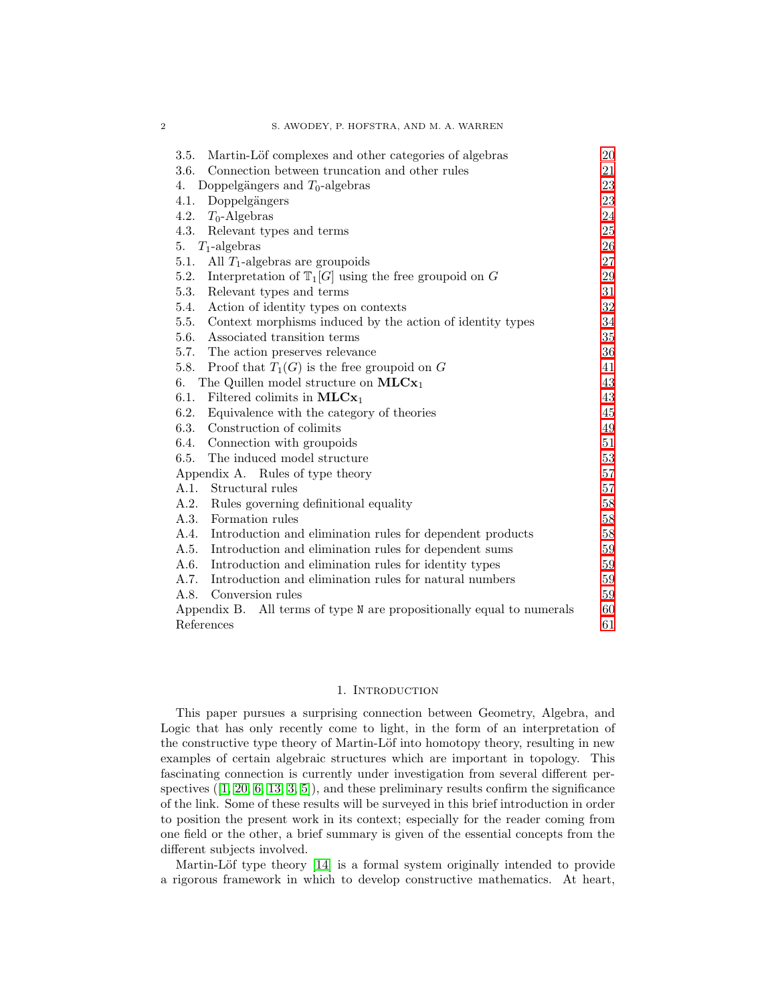| Martin-Löf complexes and other categories of algebras<br>3.5.            | 20     |
|--------------------------------------------------------------------------|--------|
| 3.6.<br>Connection between truncation and other rules                    | 21     |
| Doppelgängers and $T_0$ -algebras<br>4.                                  | 23     |
| Doppelgängers<br>4.1.                                                    | 23     |
| 4.2.<br>$T_0$ -Algebras                                                  | 24     |
| 4.3.<br>Relevant types and terms                                         | 25     |
| $T_1$ -algebras<br>5.                                                    | 26     |
| 5.1. All $T_1$ -algebras are groupoids                                   | 27     |
| 5.2.<br>Interpretation of $\mathbb{T}_1[G]$ using the free groupoid on G | 29     |
| 5.3.<br>Relevant types and terms                                         | 31     |
| 5.4.<br>Action of identity types on contexts                             | 32     |
| 5.5.<br>Context morphisms induced by the action of identity types        | 34     |
| 5.6.<br>Associated transition terms                                      | 35     |
| 5.7. The action preserves relevance                                      | 36     |
| 5.8.<br>Proof that $T_1(G)$ is the free groupoid on G                    | 41     |
| The Quillen model structure on $MLCx_1$<br>6.                            | 43     |
| 6.1.<br>Filtered colimits in $MLCx_1$                                    | 43     |
| 6.2.<br>Equivalence with the category of theories                        | 45     |
| Construction of colimits<br>6.3.                                         | 49     |
| Connection with groupoids<br>6.4.                                        | 51     |
| 6.5.<br>The induced model structure                                      | $53\,$ |
| Appendix A. Rules of type theory                                         | 57     |
| A.1. Structural rules                                                    | 57     |
| Rules governing definitional equality<br>A.2.                            | 58     |
| Formation rules<br>A.3.                                                  | 58     |
| A.4.<br>Introduction and elimination rules for dependent products        | $58\,$ |
| Introduction and elimination rules for dependent sums<br>A.5.            | 59     |
| A.6.<br>Introduction and elimination rules for identity types            | 59     |
| A.7.<br>Introduction and elimination rules for natural numbers           | 59     |
| A.8.<br>Conversion rules                                                 | 59     |
| Appendix B. All terms of type N are propositionally equal to numerals    | 60     |
| References                                                               | 61     |

# 1. INTRODUCTION

<span id="page-1-0"></span>This paper pursues a surprising connection between Geometry, Algebra, and Logic that has only recently come to light, in the form of an interpretation of the constructive type theory of Martin-Löf into homotopy theory, resulting in new examples of certain algebraic structures which are important in topology. This fascinating connection is currently under investigation from several different per-spectives $([1, 20, 6, 13, 3, 5])$  $([1, 20, 6, 13, 3, 5])$  $([1, 20, 6, 13, 3, 5])$  $([1, 20, 6, 13, 3, 5])$  $([1, 20, 6, 13, 3, 5])$  $([1, 20, 6, 13, 3, 5])$  $([1, 20, 6, 13, 3, 5])$  $([1, 20, 6, 13, 3, 5])$ , and these preliminary results confirm the significance of the link. Some of these results will be surveyed in this brief introduction in order to position the present work in its context; especially for the reader coming from one field or the other, a brief summary is given of the essential concepts from the different subjects involved.

Martin-Löf type theory [\[14\]](#page-60-7) is a formal system originally intended to provide a rigorous framework in which to develop constructive mathematics. At heart,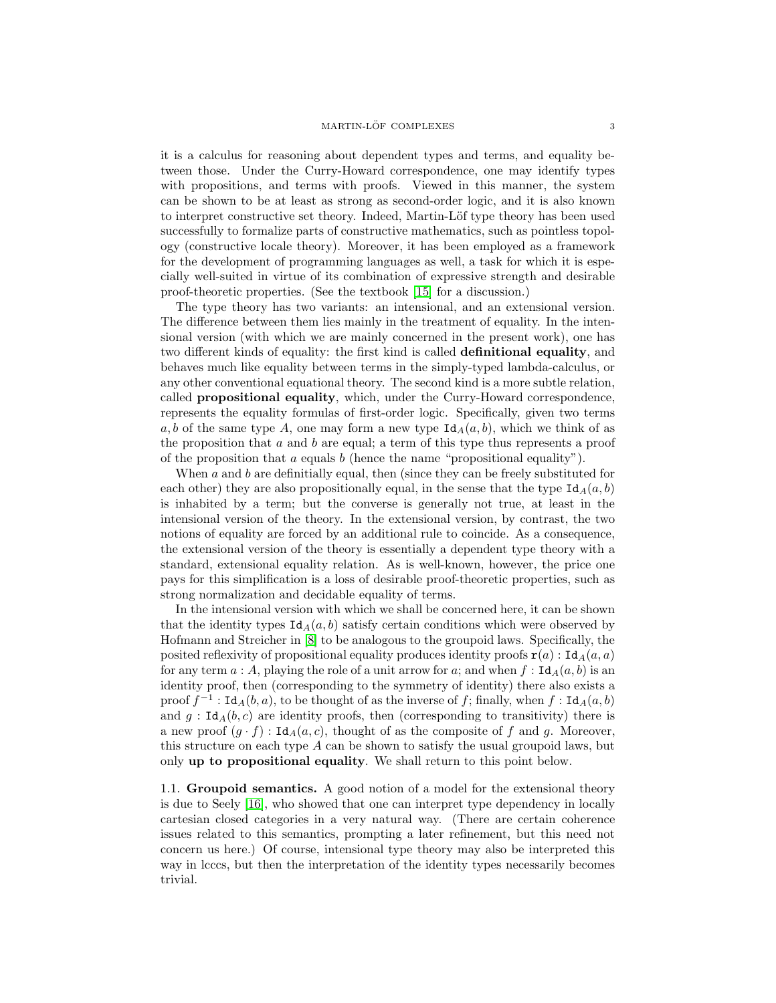it is a calculus for reasoning about dependent types and terms, and equality between those. Under the Curry-Howard correspondence, one may identify types with propositions, and terms with proofs. Viewed in this manner, the system can be shown to be at least as strong as second-order logic, and it is also known to interpret constructive set theory. Indeed, Martin-Löf type theory has been used successfully to formalize parts of constructive mathematics, such as pointless topology (constructive locale theory). Moreover, it has been employed as a framework for the development of programming languages as well, a task for which it is especially well-suited in virtue of its combination of expressive strength and desirable proof-theoretic properties. (See the textbook [\[15\]](#page-60-8) for a discussion.)

The type theory has two variants: an intensional, and an extensional version. The difference between them lies mainly in the treatment of equality. In the intensional version (with which we are mainly concerned in the present work), one has two different kinds of equality: the first kind is called definitional equality, and behaves much like equality between terms in the simply-typed lambda-calculus, or any other conventional equational theory. The second kind is a more subtle relation, called propositional equality, which, under the Curry-Howard correspondence, represents the equality formulas of first-order logic. Specifically, given two terms a, b of the same type A, one may form a new type  $\text{Id}_{A}(a, b)$ , which we think of as the proposition that  $a$  and  $b$  are equal; a term of this type thus represents a proof of the proposition that  $a$  equals  $b$  (hence the name "propositional equality").

When  $a$  and  $b$  are definitially equal, then (since they can be freely substituted for each other) they are also propositionally equal, in the sense that the type  $\text{Id}_A(a, b)$ is inhabited by a term; but the converse is generally not true, at least in the intensional version of the theory. In the extensional version, by contrast, the two notions of equality are forced by an additional rule to coincide. As a consequence, the extensional version of the theory is essentially a dependent type theory with a standard, extensional equality relation. As is well-known, however, the price one pays for this simplification is a loss of desirable proof-theoretic properties, such as strong normalization and decidable equality of terms.

In the intensional version with which we shall be concerned here, it can be shown that the identity types  $\text{Id}_{A}(a, b)$  satisfy certain conditions which were observed by Hofmann and Streicher in [\[8\]](#page-60-9) to be analogous to the groupoid laws. Specifically, the posited reflexivity of propositional equality produces identity proofs  $\mathbf{r}(a)$  : Id $A(a, a)$ for any term  $a : A$ , playing the role of a unit arrow for a; and when  $f : \text{Id}_{A}(a, b)$  is an identity proof, then (corresponding to the symmetry of identity) there also exists a proof  $f^{-1}$ : Id<sub>A</sub> $(b, a)$ , to be thought of as the inverse of f; finally, when  $f$ : Id<sub>A</sub> $(a, b)$ and  $g : \text{Id}_A(b, c)$  are identity proofs, then (corresponding to transitivity) there is a new proof  $(g \cdot f)$ : Id $_A(a, c)$ , thought of as the composite of f and g. Moreover, this structure on each type  $A$  can be shown to satisfy the usual groupoid laws, but only up to propositional equality. We shall return to this point below.

<span id="page-2-0"></span>1.1. Groupoid semantics. A good notion of a model for the extensional theory is due to Seely [\[16\]](#page-60-10), who showed that one can interpret type dependency in locally cartesian closed categories in a very natural way. (There are certain coherence issues related to this semantics, prompting a later refinement, but this need not concern us here.) Of course, intensional type theory may also be interpreted this way in lcccs, but then the interpretation of the identity types necessarily becomes trivial.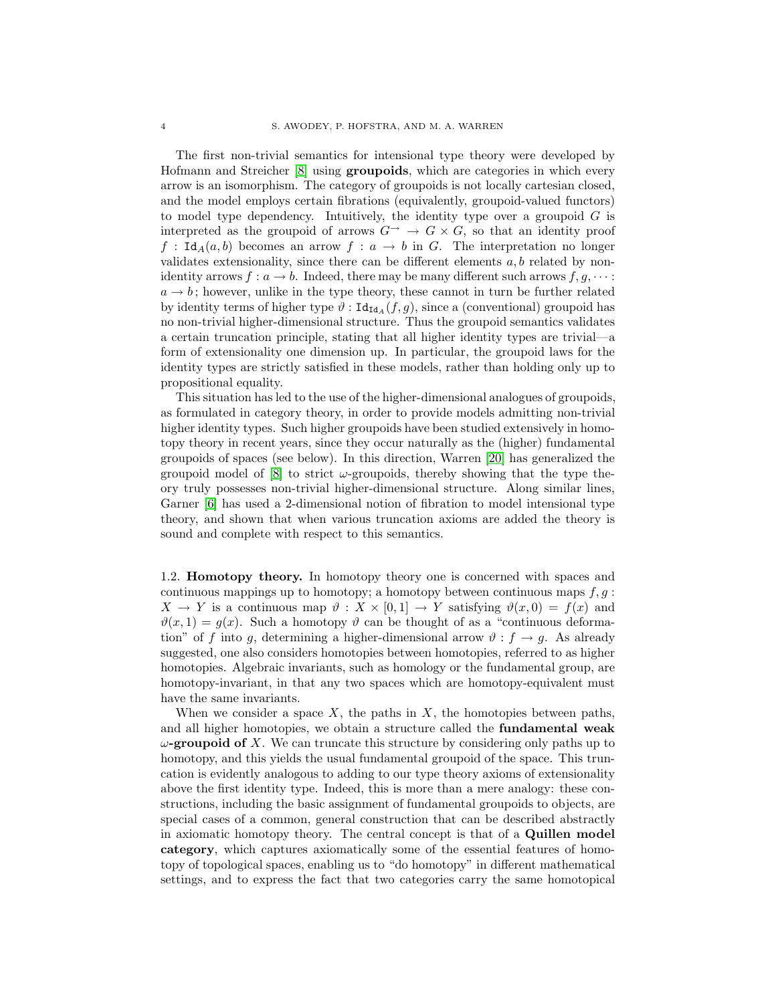The first non-trivial semantics for intensional type theory were developed by Hofmann and Streicher [\[8\]](#page-60-9) using groupoids, which are categories in which every arrow is an isomorphism. The category of groupoids is not locally cartesian closed, and the model employs certain fibrations (equivalently, groupoid-valued functors) to model type dependency. Intuitively, the identity type over a groupoid  $G$  is interpreted as the groupoid of arrows  $G^{\rightarrow} \rightarrow G \times G$ , so that an identity proof  $f : \text{Id}_{A}(a, b)$  becomes an arrow  $f : a \to b$  in G. The interpretation no longer validates extensionality, since there can be different elements  $a, b$  related by nonidentity arrows  $f: a \to b$ . Indeed, there may be many different such arrows  $f, g, \cdots$ :  $a \rightarrow b$ ; however, unlike in the type theory, these cannot in turn be further related by identity terms of higher type  $\vartheta$  :  $\text{Id}_{\text{Id}_A}(f,g)$ , since a (conventional) groupoid has no non-trivial higher-dimensional structure. Thus the groupoid semantics validates a certain truncation principle, stating that all higher identity types are trivial—a form of extensionality one dimension up. In particular, the groupoid laws for the identity types are strictly satisfied in these models, rather than holding only up to propositional equality.

This situation has led to the use of the higher-dimensional analogues of groupoids, as formulated in category theory, in order to provide models admitting non-trivial higher identity types. Such higher groupoids have been studied extensively in homotopy theory in recent years, since they occur naturally as the (higher) fundamental groupoids of spaces (see below). In this direction, Warren [\[20\]](#page-60-2) has generalized the groupoid model of  $\vert 8 \vert$  to strict  $\omega$ -groupoids, thereby showing that the type theory truly possesses non-trivial higher-dimensional structure. Along similar lines, Garner [\[6\]](#page-60-3) has used a 2-dimensional notion of fibration to model intensional type theory, and shown that when various truncation axioms are added the theory is sound and complete with respect to this semantics.

<span id="page-3-0"></span>1.2. Homotopy theory. In homotopy theory one is concerned with spaces and continuous mappings up to homotopy; a homotopy between continuous maps  $f, g$ :  $X \to Y$  is a continuous map  $\vartheta : X \times [0,1] \to Y$  satisfying  $\vartheta(x,0) = f(x)$  and  $\vartheta(x, 1) = g(x)$ . Such a homotopy  $\vartheta$  can be thought of as a "continuous deformation" of f into g, determining a higher-dimensional arrow  $\vartheta : f \to g$ . As already suggested, one also considers homotopies between homotopies, referred to as higher homotopies. Algebraic invariants, such as homology or the fundamental group, are homotopy-invariant, in that any two spaces which are homotopy-equivalent must have the same invariants.

When we consider a space  $X$ , the paths in  $X$ , the homotopies between paths, and all higher homotopies, we obtain a structure called the fundamental weak  $\omega$ -groupoid of X. We can truncate this structure by considering only paths up to homotopy, and this yields the usual fundamental groupoid of the space. This truncation is evidently analogous to adding to our type theory axioms of extensionality above the first identity type. Indeed, this is more than a mere analogy: these constructions, including the basic assignment of fundamental groupoids to objects, are special cases of a common, general construction that can be described abstractly in axiomatic homotopy theory. The central concept is that of a Quillen model category, which captures axiomatically some of the essential features of homotopy of topological spaces, enabling us to "do homotopy" in different mathematical settings, and to express the fact that two categories carry the same homotopical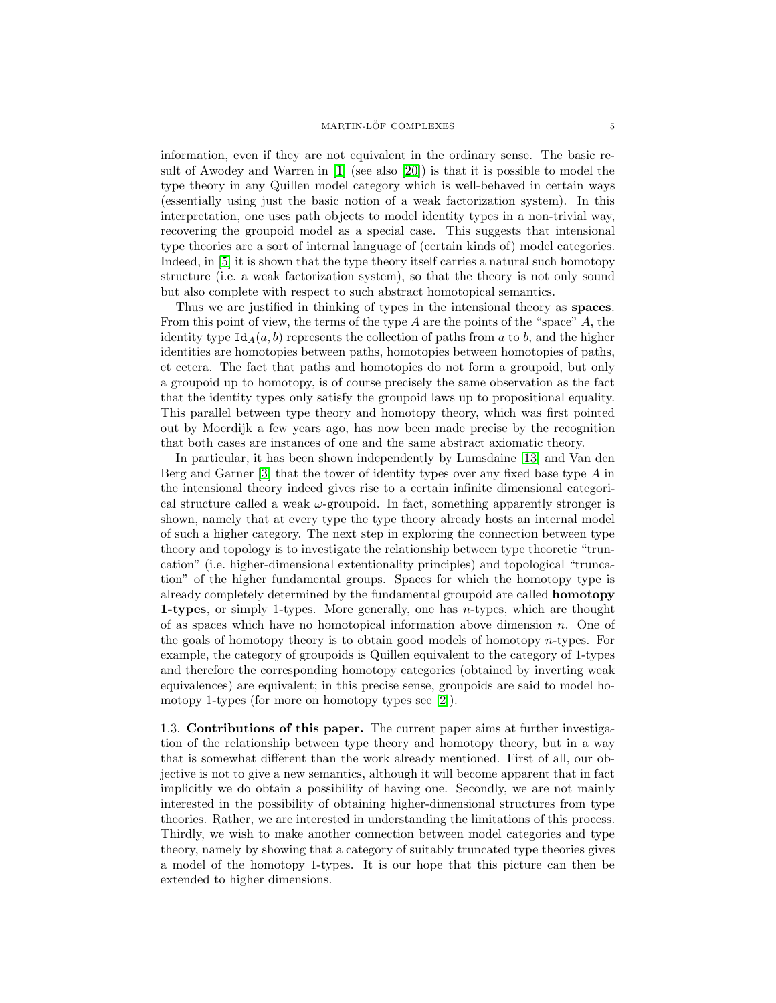information, even if they are not equivalent in the ordinary sense. The basic result of Awodey and Warren in [\[1\]](#page-60-1) (see also [\[20\]](#page-60-2)) is that it is possible to model the type theory in any Quillen model category which is well-behaved in certain ways (essentially using just the basic notion of a weak factorization system). In this interpretation, one uses path objects to model identity types in a non-trivial way, recovering the groupoid model as a special case. This suggests that intensional type theories are a sort of internal language of (certain kinds of) model categories. Indeed, in [\[5\]](#page-60-6) it is shown that the type theory itself carries a natural such homotopy structure (i.e. a weak factorization system), so that the theory is not only sound but also complete with respect to such abstract homotopical semantics.

Thus we are justified in thinking of types in the intensional theory as spaces. From this point of view, the terms of the type  $A$  are the points of the "space"  $A$ , the identity type  $Id_A(a, b)$  represents the collection of paths from a to b, and the higher identities are homotopies between paths, homotopies between homotopies of paths, et cetera. The fact that paths and homotopies do not form a groupoid, but only a groupoid up to homotopy, is of course precisely the same observation as the fact that the identity types only satisfy the groupoid laws up to propositional equality. This parallel between type theory and homotopy theory, which was first pointed out by Moerdijk a few years ago, has now been made precise by the recognition that both cases are instances of one and the same abstract axiomatic theory.

In particular, it has been shown independently by Lumsdaine [\[13\]](#page-60-4) and Van den Berg and Garner  $[3]$  that the tower of identity types over any fixed base type A in the intensional theory indeed gives rise to a certain infinite dimensional categorical structure called a weak  $\omega$ -groupoid. In fact, something apparently stronger is shown, namely that at every type the type theory already hosts an internal model of such a higher category. The next step in exploring the connection between type theory and topology is to investigate the relationship between type theoretic "truncation" (i.e. higher-dimensional extentionality principles) and topological "truncation" of the higher fundamental groups. Spaces for which the homotopy type is already completely determined by the fundamental groupoid are called homotopy 1-types, or simply 1-types. More generally, one has n-types, which are thought of as spaces which have no homotopical information above dimension  $n$ . One of the goals of homotopy theory is to obtain good models of homotopy  $n$ -types. For example, the category of groupoids is Quillen equivalent to the category of 1-types and therefore the corresponding homotopy categories (obtained by inverting weak equivalences) are equivalent; in this precise sense, groupoids are said to model homotopy 1-types (for more on homotopy types see [\[2\]](#page-60-11)).

<span id="page-4-0"></span>1.3. Contributions of this paper. The current paper aims at further investigation of the relationship between type theory and homotopy theory, but in a way that is somewhat different than the work already mentioned. First of all, our objective is not to give a new semantics, although it will become apparent that in fact implicitly we do obtain a possibility of having one. Secondly, we are not mainly interested in the possibility of obtaining higher-dimensional structures from type theories. Rather, we are interested in understanding the limitations of this process. Thirdly, we wish to make another connection between model categories and type theory, namely by showing that a category of suitably truncated type theories gives a model of the homotopy 1-types. It is our hope that this picture can then be extended to higher dimensions.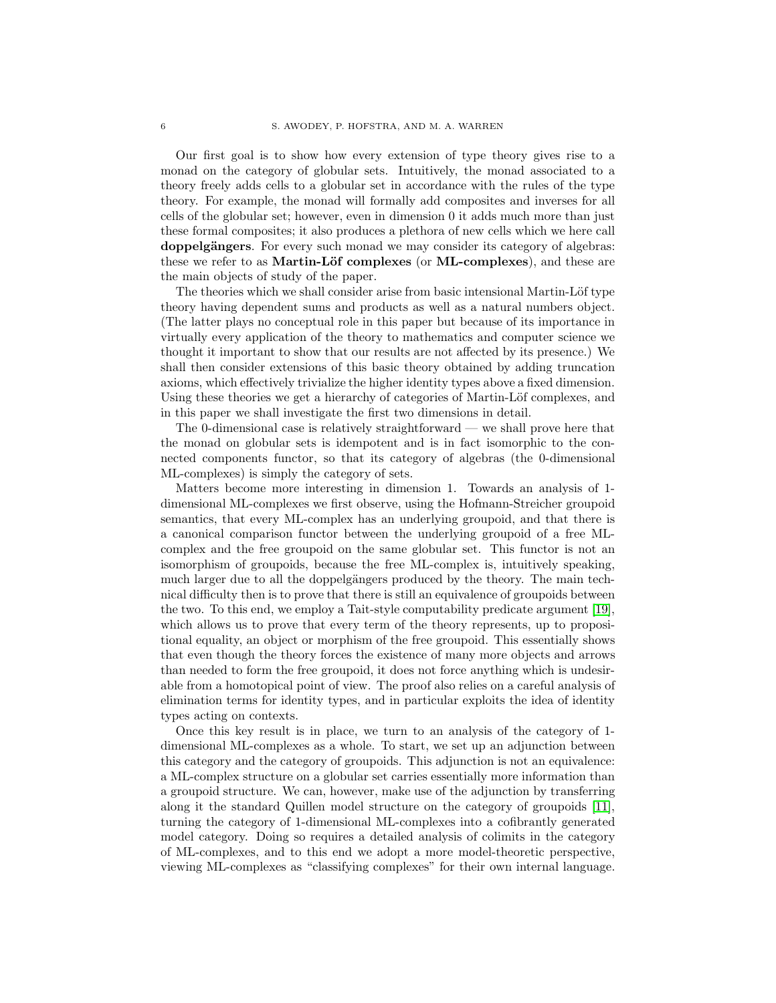Our first goal is to show how every extension of type theory gives rise to a monad on the category of globular sets. Intuitively, the monad associated to a theory freely adds cells to a globular set in accordance with the rules of the type theory. For example, the monad will formally add composites and inverses for all cells of the globular set; however, even in dimension 0 it adds much more than just these formal composites; it also produces a plethora of new cells which we here call doppelgängers. For every such monad we may consider its category of algebras: these we refer to as **Martin-Löf complexes** (or **ML-complexes**), and these are the main objects of study of the paper.

The theories which we shall consider arise from basic intensional Martin-Löf type theory having dependent sums and products as well as a natural numbers object. (The latter plays no conceptual role in this paper but because of its importance in virtually every application of the theory to mathematics and computer science we thought it important to show that our results are not affected by its presence.) We shall then consider extensions of this basic theory obtained by adding truncation axioms, which effectively trivialize the higher identity types above a fixed dimension. Using these theories we get a hierarchy of categories of Martin-Löf complexes, and in this paper we shall investigate the first two dimensions in detail.

The 0-dimensional case is relatively straightforward — we shall prove here that the monad on globular sets is idempotent and is in fact isomorphic to the connected components functor, so that its category of algebras (the 0-dimensional ML-complexes) is simply the category of sets.

Matters become more interesting in dimension 1. Towards an analysis of 1 dimensional ML-complexes we first observe, using the Hofmann-Streicher groupoid semantics, that every ML-complex has an underlying groupoid, and that there is a canonical comparison functor between the underlying groupoid of a free MLcomplex and the free groupoid on the same globular set. This functor is not an isomorphism of groupoids, because the free ML-complex is, intuitively speaking, much larger due to all the doppelgängers produced by the theory. The main technical difficulty then is to prove that there is still an equivalence of groupoids between the two. To this end, we employ a Tait-style computability predicate argument [\[19\]](#page-60-12), which allows us to prove that every term of the theory represents, up to propositional equality, an object or morphism of the free groupoid. This essentially shows that even though the theory forces the existence of many more objects and arrows than needed to form the free groupoid, it does not force anything which is undesirable from a homotopical point of view. The proof also relies on a careful analysis of elimination terms for identity types, and in particular exploits the idea of identity types acting on contexts.

Once this key result is in place, we turn to an analysis of the category of 1 dimensional ML-complexes as a whole. To start, we set up an adjunction between this category and the category of groupoids. This adjunction is not an equivalence: a ML-complex structure on a globular set carries essentially more information than a groupoid structure. We can, however, make use of the adjunction by transferring along it the standard Quillen model structure on the category of groupoids [\[11\]](#page-60-13), turning the category of 1-dimensional ML-complexes into a cofibrantly generated model category. Doing so requires a detailed analysis of colimits in the category of ML-complexes, and to this end we adopt a more model-theoretic perspective, viewing ML-complexes as "classifying complexes" for their own internal language.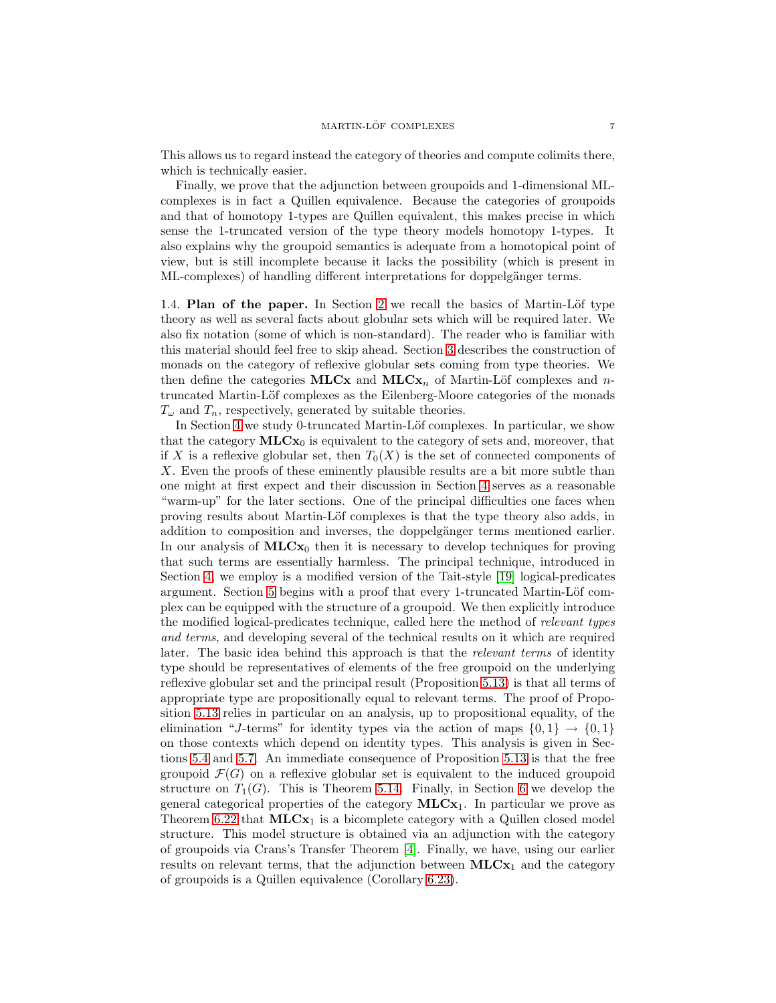This allows us to regard instead the category of theories and compute colimits there, which is technically easier.

Finally, we prove that the adjunction between groupoids and 1-dimensional MLcomplexes is in fact a Quillen equivalence. Because the categories of groupoids and that of homotopy 1-types are Quillen equivalent, this makes precise in which sense the 1-truncated version of the type theory models homotopy 1-types. It also explains why the groupoid semantics is adequate from a homotopical point of view, but is still incomplete because it lacks the possibility (which is present in ML-complexes) of handling different interpretations for doppelgänger terms.

<span id="page-6-0"></span>1.4. Plan of the paper. In Section [2](#page-7-1) we recall the basics of Martin-Löf type theory as well as several facts about globular sets which will be required later. We also fix notation (some of which is non-standard). The reader who is familiar with this material should feel free to skip ahead. Section [3](#page-14-0) describes the construction of monads on the category of reflexive globular sets coming from type theories. We then define the categories MLCx and MLCx<sub>n</sub> of Martin-Löf complexes and ntruncated Martin-Löf complexes as the Eilenberg-Moore categories of the monads  $T_{\omega}$  and  $T_n$ , respectively, generated by suitable theories.

In Section [4](#page-22-0) we study 0-truncated Martin-Löf complexes. In particular, we show that the category  $MLCx_0$  is equivalent to the category of sets and, moreover, that if X is a reflexive globular set, then  $T_0(X)$  is the set of connected components of X. Even the proofs of these eminently plausible results are a bit more subtle than one might at first expect and their discussion in Section [4](#page-22-0) serves as a reasonable "warm-up" for the later sections. One of the principal difficulties one faces when proving results about Martin-Löf complexes is that the type theory also adds, in addition to composition and inverses, the doppelgänger terms mentioned earlier. In our analysis of  $MLCx_0$  then it is necessary to develop techniques for proving that such terms are essentially harmless. The principal technique, introduced in Section [4,](#page-22-0) we employ is a modified version of the Tait-style [\[19\]](#page-60-12) logical-predicates argument. Section [5](#page-25-0) begins with a proof that every 1-truncated Martin-Löf complex can be equipped with the structure of a groupoid. We then explicitly introduce the modified logical-predicates technique, called here the method of *relevant types and terms*, and developing several of the technical results on it which are required later. The basic idea behind this approach is that the *relevant terms* of identity type should be representatives of elements of the free groupoid on the underlying reflexive globular set and the principal result (Proposition [5.13\)](#page-40-1) is that all terms of appropriate type are propositionally equal to relevant terms. The proof of Proposition [5.13](#page-40-1) relies in particular on an analysis, up to propositional equality, of the elimination "J-terms" for identity types via the action of maps  $\{0, 1\} \rightarrow \{0, 1\}$ on those contexts which depend on identity types. This analysis is given in Sections [5.4](#page-31-0) and [5.7.](#page-35-0) An immediate consequence of Proposition [5.13](#page-40-1) is that the free groupoid  $\mathcal{F}(G)$  on a reflexive globular set is equivalent to the induced groupoid structure on  $T_1(G)$ . This is Theorem [5.14.](#page-42-2) Finally, in Section [6](#page-42-0) we develop the general categorical properties of the category  $MLCx_1$ . In particular we prove as Theorem [6.22](#page-55-0) that  $MLCx_1$  is a bicomplete category with a Quillen closed model structure. This model structure is obtained via an adjunction with the category of groupoids via Crans's Transfer Theorem [\[4\]](#page-60-14). Finally, we have, using our earlier results on relevant terms, that the adjunction between  $MLCx_1$  and the category of groupoids is a Quillen equivalence (Corollary [6.23\)](#page-56-2).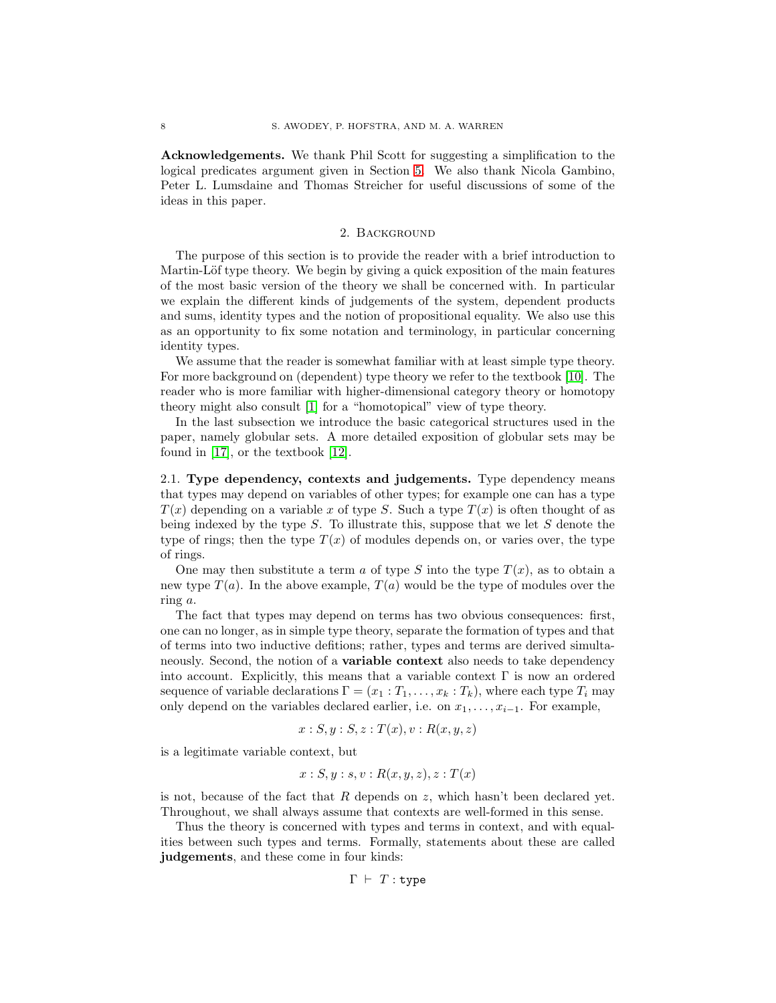<span id="page-7-0"></span>Acknowledgements. We thank Phil Scott for suggesting a simplification to the logical predicates argument given in Section [5.](#page-25-0) We also thank Nicola Gambino, Peter L. Lumsdaine and Thomas Streicher for useful discussions of some of the ideas in this paper.

#### 2. Background

<span id="page-7-1"></span>The purpose of this section is to provide the reader with a brief introduction to Martin-Löf type theory. We begin by giving a quick exposition of the main features of the most basic version of the theory we shall be concerned with. In particular we explain the different kinds of judgements of the system, dependent products and sums, identity types and the notion of propositional equality. We also use this as an opportunity to fix some notation and terminology, in particular concerning identity types.

We assume that the reader is somewhat familiar with at least simple type theory. For more background on (dependent) type theory we refer to the textbook [\[10\]](#page-60-15). The reader who is more familiar with higher-dimensional category theory or homotopy theory might also consult [\[1\]](#page-60-1) for a "homotopical" view of type theory.

In the last subsection we introduce the basic categorical structures used in the paper, namely globular sets. A more detailed exposition of globular sets may be found in [\[17\]](#page-60-16), or the textbook [\[12\]](#page-60-17).

<span id="page-7-2"></span>2.1. Type dependency, contexts and judgements. Type dependency means that types may depend on variables of other types; for example one can has a type  $T(x)$  depending on a variable x of type S. Such a type  $T(x)$  is often thought of as being indexed by the type  $S$ . To illustrate this, suppose that we let  $S$  denote the type of rings; then the type  $T(x)$  of modules depends on, or varies over, the type of rings.

One may then substitute a term a of type S into the type  $T(x)$ , as to obtain a new type  $T(a)$ . In the above example,  $T(a)$  would be the type of modules over the ring a.

The fact that types may depend on terms has two obvious consequences: first, one can no longer, as in simple type theory, separate the formation of types and that of terms into two inductive defitions; rather, types and terms are derived simultaneously. Second, the notion of a **variable context** also needs to take dependency into account. Explicitly, this means that a variable context  $\Gamma$  is now an ordered sequence of variable declarations  $\Gamma = (x_1 : T_1, \ldots, x_k : T_k)$ , where each type  $T_i$  may only depend on the variables declared earlier, i.e. on  $x_1, \ldots, x_{i-1}$ . For example,

$$
x:S, y:S, z:T(x), v: R(x, y, z)
$$

is a legitimate variable context, but

$$
x : S, y : s, v : R(x, y, z), z : T(x)
$$

is not, because of the fact that  $R$  depends on  $z$ , which hasn't been declared yet. Throughout, we shall always assume that contexts are well-formed in this sense.

Thus the theory is concerned with types and terms in context, and with equalities between such types and terms. Formally, statements about these are called judgements, and these come in four kinds:

$$
\Gamma \;\vdash\; T : \mathtt{type}
$$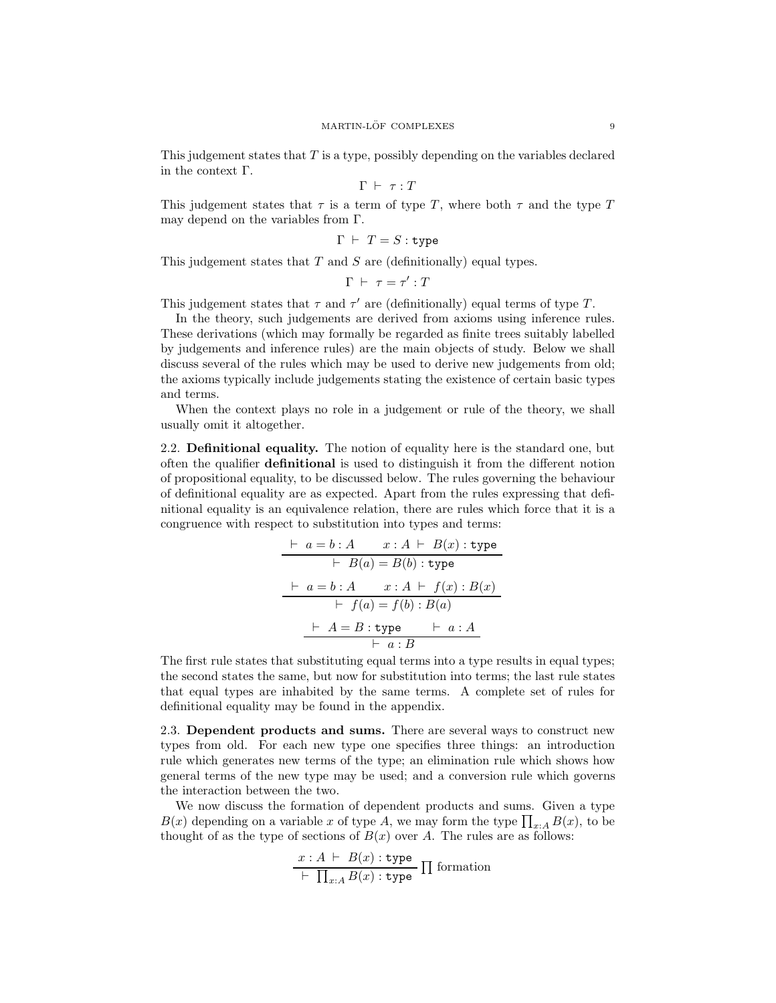This judgement states that T is a type, possibly depending on the variables declared in the context Γ.

$$
\Gamma \ \vdash \ \tau : T
$$

This judgement states that  $\tau$  is a term of type T, where both  $\tau$  and the type T may depend on the variables from Γ.

$$
\Gamma \ \vdash \ T = S : \mathtt{type}
$$

This judgement states that  $T$  and  $S$  are (definitionally) equal types.

 $\Gamma$   $\vdash$   $\tau = \tau' : T$ 

This judgement states that  $\tau$  and  $\tau'$  are (definitionally) equal terms of type T.

In the theory, such judgements are derived from axioms using inference rules. These derivations (which may formally be regarded as finite trees suitably labelled by judgements and inference rules) are the main objects of study. Below we shall discuss several of the rules which may be used to derive new judgements from old; the axioms typically include judgements stating the existence of certain basic types and terms.

When the context plays no role in a judgement or rule of the theory, we shall usually omit it altogether.

<span id="page-8-0"></span>2.2. Definitional equality. The notion of equality here is the standard one, but often the qualifier definitional is used to distinguish it from the different notion of propositional equality, to be discussed below. The rules governing the behaviour of definitional equality are as expected. Apart from the rules expressing that definitional equality is an equivalence relation, there are rules which force that it is a congruence with respect to substitution into types and terms:

$$
\begin{array}{rcl}\n & \vdash a = b : A & x : A \vdash B(x) : \text{type} \\
 & \vdash B(a) = B(b) : \text{type} \\
 & \vdash a = b : A & x : A \vdash f(x) : B(x) \\
 & \vdash f(a) = f(b) : B(a) \\
 & \vdash A = B : \text{type} & \vdash a : A \\
 & \vdash a : B\n\end{array}
$$

The first rule states that substituting equal terms into a type results in equal types; the second states the same, but now for substitution into terms; the last rule states that equal types are inhabited by the same terms. A complete set of rules for definitional equality may be found in the appendix.

<span id="page-8-1"></span>2.3. Dependent products and sums. There are several ways to construct new types from old. For each new type one specifies three things: an introduction rule which generates new terms of the type; an elimination rule which shows how general terms of the new type may be used; and a conversion rule which governs the interaction between the two.

We now discuss the formation of dependent products and sums. Given a type  $B(x)$  depending on a variable x of type A, we may form the type  $\prod_{x:A} B(x)$ , to be thought of as the type of sections of  $B(x)$  over A. The rules are as follows:

$$
\frac{x:A \vdash B(x) : \text{type}}{\vdash \prod_{x:A} B(x) : \text{type}} \prod \text{formation}
$$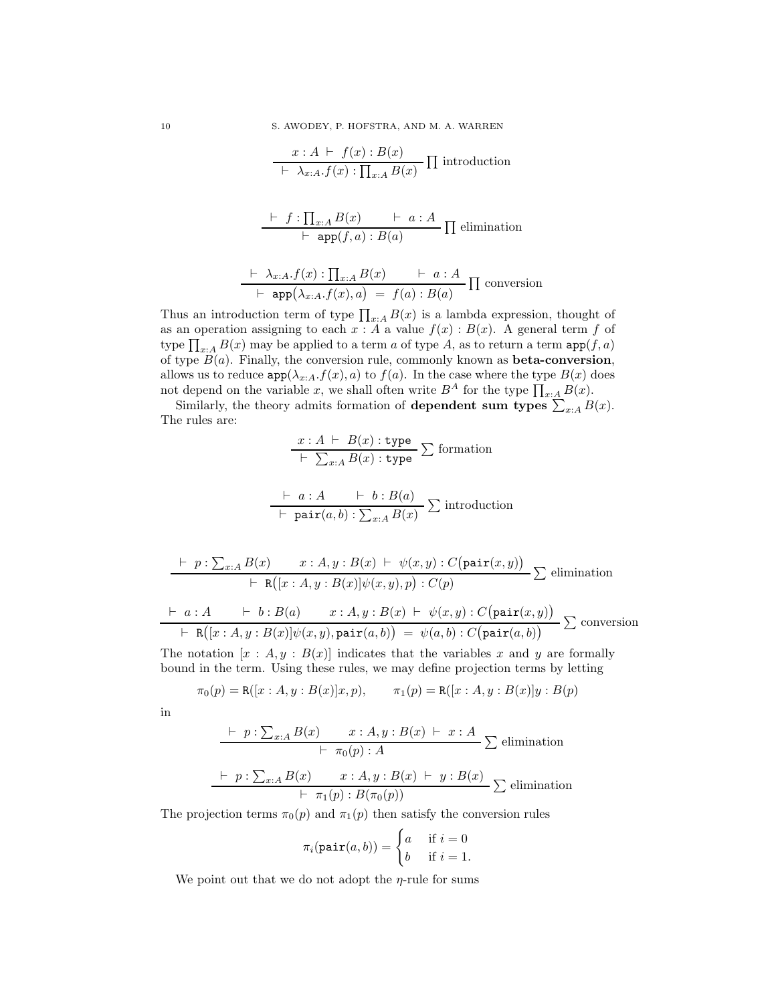$$
\frac{x:A\ \vdash\ f(x):B(x)}{\vdash\ \lambda_{x:A}.f(x): \prod_{x:A}B(x)}\prod \text{introduction}
$$

$$
\frac{\vdash f:\prod_{x:A}B(x) \qquad \vdash a:A}{\vdash \texttt{app}(f,a):B(a)} \prod \text{elimination}
$$

$$
\frac{\vdash \lambda_{x:A}.f(x) : \prod_{x:A} B(x) \qquad \vdash a:A}{\vdash \text{ app}(\lambda_{x:A}.f(x),a) \ = \ f(a) : B(a)} \prod \text{ conversion}
$$

Thus an introduction term of type  $\prod_{x:A} B(x)$  is a lambda expression, thought of as an operation assigning to each  $x : A$  a value  $f(x) : B(x)$ . A general term f of type  $\prod_{x:A} B(x)$  may be applied to a term  $a$  of type  $A$ , as to return a term  $\texttt{app}(f,a)$ of type  $B(a)$ . Finally, the conversion rule, commonly known as **beta-conversion**, allows us to reduce  $app(\lambda_{x:A}.f(x), a)$  to  $f(a)$ . In the case where the type  $B(x)$  does not depend on the variable x, we shall often write  $B^A$  for the type  $\prod_{x:A} B(x)$ .

Similarly, the theory admits formation of **dependent sum types**  $\sum_{x:A} B(x)$ . The rules are:

$$
\frac{x:A \vdash B(x) : \text{type}}{\vdash \sum_{x:A} B(x) : \text{type}} \sum \text{formation}
$$

$$
\frac{\vdash a:A \quad \vdash b:B(a)}{\vdash \text{ pair}(a,b):\sum_{x:A}B(x)} \sum \text{introduction}
$$

$$
\frac{\vdash p : \sum_{x:A} B(x) \qquad x : A, y : B(x) \vdash \psi(x, y) : C(\text{pair}(x, y))}{\vdash \mathsf{R}([x : A, y : B(x)]\psi(x, y), p) : C(p)} \sum \text{elimination}
$$
\n
$$
\frac{\vdash a : A \qquad \vdash b : B(a) \qquad x : A, y : B(x) \vdash \psi(x, y) : C(\text{pair}(x, y))}{\vdash \mathsf{R}([x : A, y : B(x)]\psi(x, y), \text{pair}(a, b))} \sum \text{conversion}
$$

The notation  $[x : A, y : B(x)]$  indicates that the variables x and y are formally bound in the term. Using these rules, we may define projection terms by letting

$$
\pi_0(p) = \mathsf{R}([x : A, y : B(x)]x, p), \qquad \pi_1(p) = \mathsf{R}([x : A, y : B(x)]y : B(p)
$$

in

$$
\frac{\vdash p : \sum_{x:A} B(x) \qquad x : A, y : B(x) \vdash x : A}{\vdash \pi_0(p) : A} \sum \text{elimination}
$$
\n
$$
\frac{\vdash p : \sum_{x:A} B(x) \qquad x : A, y : B(x) \vdash y : B(x)}{\vdash \pi_1(p) : B(\pi_0(p))} \sum \text{elimination}
$$

The projection terms  $\pi_0(p)$  and  $\pi_1(p)$  then satisfy the conversion rules

$$
\pi_i(\texttt{pair}(a, b)) = \begin{cases} a & \text{if } i = 0 \\ b & \text{if } i = 1. \end{cases}
$$

We point out that we do not adopt the  $\eta$ -rule for sums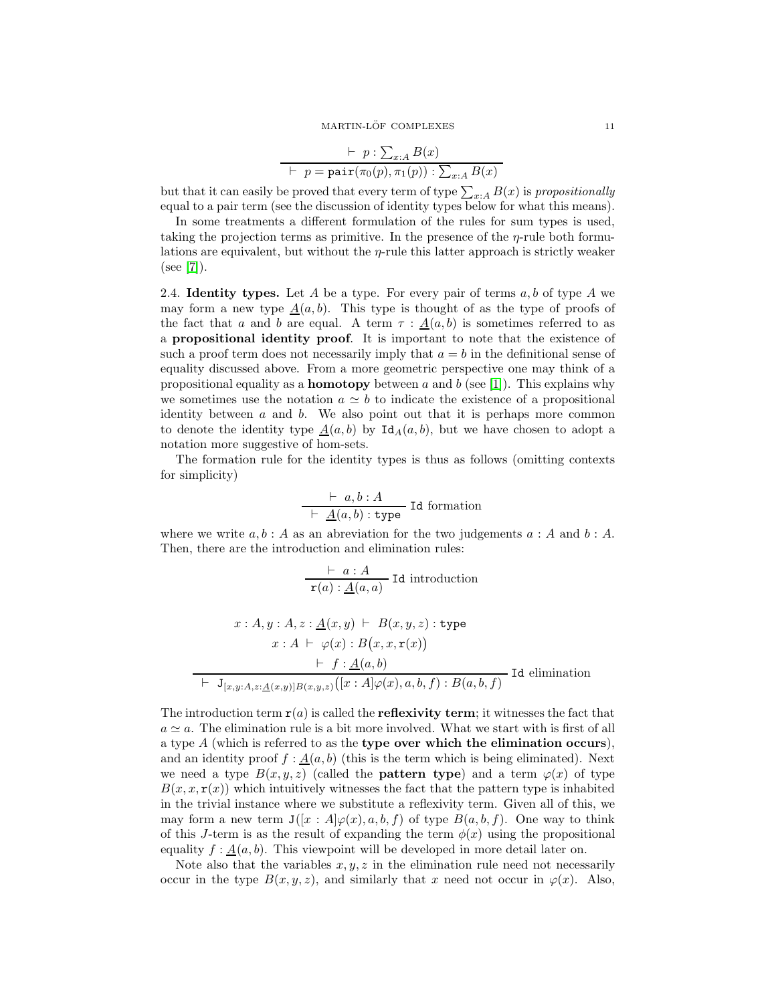#### MARTIN-LÖF COMPLEXES  $\,$   $\,$  11  $\,$

$$
\vdash p : \sum_{x:A} B(x) \vdash p = \text{pair}(\pi_0(p), \pi_1(p)) : \sum_{x:A} B(x)
$$

but that it can easily be proved that every term of type  $\sum_{x:A} B(x)$  is *propositionally* equal to a pair term (see the discussion of identity types below for what this means).

In some treatments a different formulation of the rules for sum types is used, taking the projection terms as primitive. In the presence of the  $\eta$ -rule both formulations are equivalent, but without the  $\eta$ -rule this latter approach is strictly weaker  $(see [7]).$  $(see [7]).$  $(see [7]).$ 

<span id="page-10-0"></span>2.4. **Identity types.** Let A be a type. For every pair of terms  $a, b$  of type A we may form a new type  $\underline{A}(a, b)$ . This type is thought of as the type of proofs of the fact that a and b are equal. A term  $\tau : \underline{A}(a, b)$  is sometimes referred to as a propositional identity proof. It is important to note that the existence of such a proof term does not necessarily imply that  $a = b$  in the definitional sense of equality discussed above. From a more geometric perspective one may think of a propositional equality as a **homotopy** between a and b (see [\[1\]](#page-60-1)). This explains why we sometimes use the notation  $a \simeq b$  to indicate the existence of a propositional identity between  $a$  and  $b$ . We also point out that it is perhaps more common to denote the identity type  $\underline{A}(a, b)$  by  $\text{Id}_{A}(a, b)$ , but we have chosen to adopt a notation more suggestive of hom-sets.

The formation rule for the identity types is thus as follows (omitting contexts for simplicity)

$$
\frac{\vdash a, b : A}{\vdash \underline{A}(a, b) : \text{type}} \text{Id formation}
$$

where we write  $a, b : A$  as an abreviation for the two judgements  $a : A$  and  $b : A$ . Then, there are the introduction and elimination rules:

$$
\frac{\vdash a:A}{\mathbf{r}(a):\underline{A}(a,a)} \text{ Id introduction}
$$
\n
$$
x:A, y:A, z:\underline{A}(x,y) \vdash B(x,y,z): \text{type}
$$
\n
$$
x:A \vdash \varphi(x):B(x,x,\mathbf{r}(x))
$$

$$
\vdash f: \underline{A}(a,b) \vdash \mathbf{J}_{[x,y:A,z:\underline{A}(x,y)]B(x,y,z)}([x:A]\varphi(x),a,b,f):B(a,b,f) \text{ Id elimination}
$$

The introduction term  $r(a)$  is called the **reflexivity term**; it witnesses the fact that  $a \simeq a$ . The elimination rule is a bit more involved. What we start with is first of all a type  $A$  (which is referred to as the **type over which the elimination occurs**), and an identity proof  $f : \underline{A}(a, b)$  (this is the term which is being eliminated). Next we need a type  $B(x, y, z)$  (called the **pattern type**) and a term  $\varphi(x)$  of type  $B(x, x, r(x))$  which intuitively witnesses the fact that the pattern type is inhabited in the trivial instance where we substitute a reflexivity term. Given all of this, we may form a new term  $J(|x : A|\varphi(x), a, b, f)$  of type  $B(a, b, f)$ . One way to think of this J-term is as the result of expanding the term  $\phi(x)$  using the propositional equality  $f : \underline{A}(a, b)$ . This viewpoint will be developed in more detail later on.

Note also that the variables  $x, y, z$  in the elimination rule need not necessarily occur in the type  $B(x, y, z)$ , and similarly that x need not occur in  $\varphi(x)$ . Also,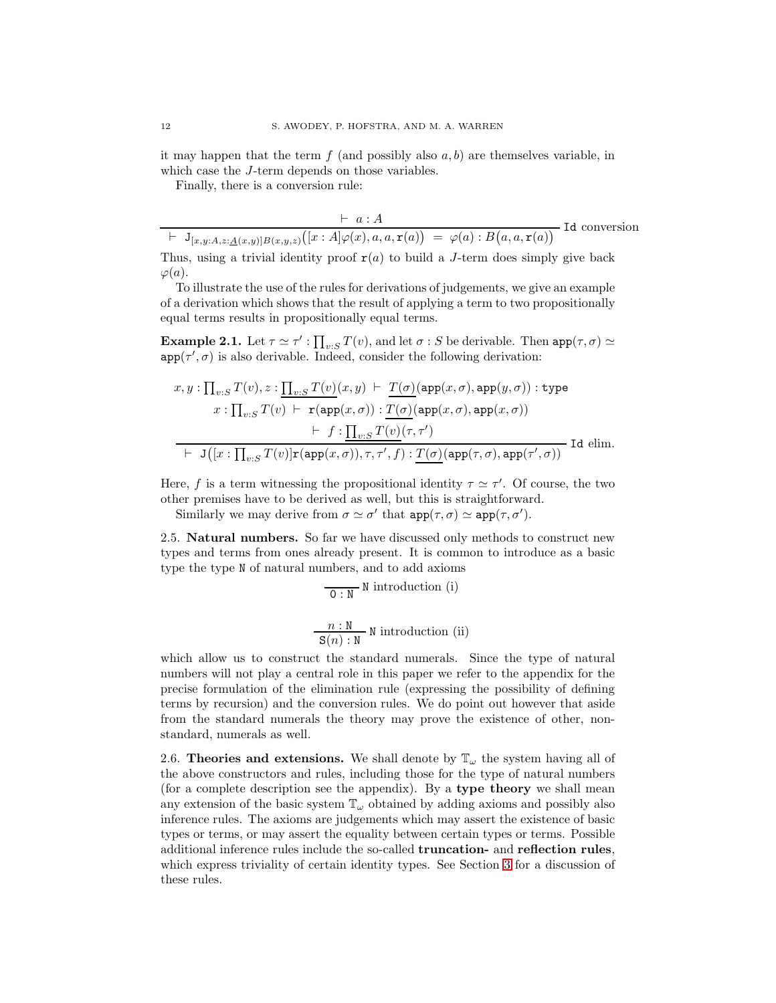it may happen that the term  $f$  (and possibly also  $a, b$ ) are themselves variable, in which case the *J*-term depends on those variables.

Finally, there is a conversion rule:

$$
\vdash a : A
$$
  
\n
$$
\vdash \mathbf{J}_{[x,y:A,z:\underline{A}(x,y)]B(x,y,z)}([x : A]\varphi(x), a, a, \mathbf{r}(a)) = \varphi(a) : B(a,a,\mathbf{r}(a))
$$
Id conversion

Thus, using a trivial identity proof  $r(a)$  to build a J-term does simply give back  $\varphi(a).$ 

To illustrate the use of the rules for derivations of judgements, we give an example of a derivation which shows that the result of applying a term to two propositionally equal terms results in propositionally equal terms.

**Example 2.1.** Let  $\tau \simeq \tau'$ :  $\prod_{v:S} T(v)$ , and let  $\sigma$ : S be derivable. Then  $app(\tau, \sigma) \simeq$  $app(\tau', \sigma)$  is also derivable. Indeed, consider the following derivation:

$$
x, y: \prod_{v:S} T(v), z: \underline{\prod_{v:S} T(v)}(x, y) \vdash \underline{T(\sigma)}(\text{app}(x, \sigma), \text{app}(y, \sigma)) : \text{type}
$$
  

$$
x: \prod_{v:S} T(v) \vdash \mathbf{r}(\text{app}(x, \sigma)) : \underline{T(\sigma)}(\text{app}(x, \sigma), \text{app}(x, \sigma))
$$
  

$$
\vdash f: \underline{\prod_{v:S} T(v)}(\tau, \tau')
$$
  

$$
\vdash \mathbf{J}([x: \prod_{v:S} T(v)]\mathbf{r}(\text{app}(x, \sigma)), \tau, \tau', f) : \underline{T(\sigma)}(\text{app}(\tau, \sigma), \text{app}(\tau', \sigma))
$$
Id elim.

Here, f is a term witnessing the propositional identity  $\tau \simeq \tau'$ . Of course, the two other premises have to be derived as well, but this is straightforward.

<span id="page-11-0"></span>Similarly we may derive from  $\sigma \simeq \sigma'$  that  $app(\tau, \sigma) \simeq app(\tau, \sigma')$ .

2.5. Natural numbers. So far we have discussed only methods to construct new types and terms from ones already present. It is common to introduce as a basic type the type N of natural numbers, and to add axioms

$$
\frac{}{\mathbf{0} : \mathbf{N}} \text{ N introduction (i)}
$$
  

$$
\frac{n : \mathbf{N}}{\mathbf{S}(n) : \mathbf{N}}
$$
 N introduction (ii)

which allow us to construct the standard numerals. Since the type of natural numbers will not play a central role in this paper we refer to the appendix for the precise formulation of the elimination rule (expressing the possibility of defining terms by recursion) and the conversion rules. We do point out however that aside from the standard numerals the theory may prove the existence of other, nonstandard, numerals as well.

<span id="page-11-1"></span>2.6. Theories and extensions. We shall denote by  $\mathbb{T}_{\omega}$  the system having all of the above constructors and rules, including those for the type of natural numbers (for a complete description see the appendix). By a type theory we shall mean any extension of the basic system  $\mathbb{T}_{\omega}$  obtained by adding axioms and possibly also inference rules. The axioms are judgements which may assert the existence of basic types or terms, or may assert the equality between certain types or terms. Possible additional inference rules include the so-called truncation- and reflection rules, which express triviality of certain identity types. See Section [3](#page-14-0) for a discussion of these rules.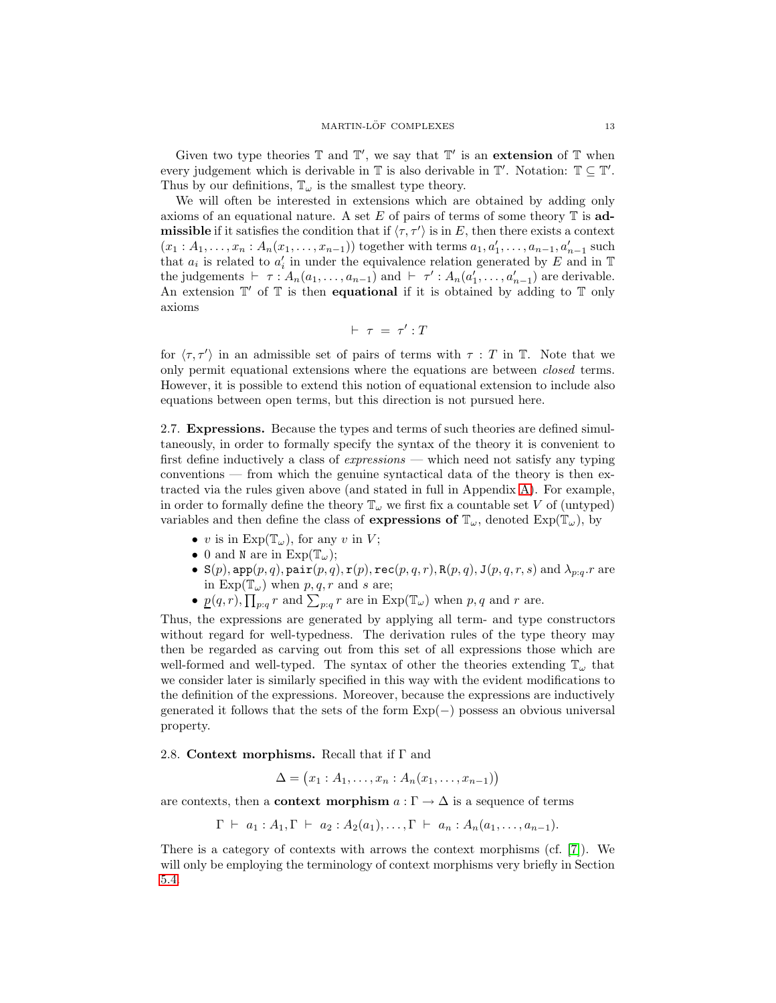Given two type theories  $\mathbb T$  and  $\mathbb T'$ , we say that  $\mathbb T'$  is an extension of  $\mathbb T$  when every judgement which is derivable in  $\mathbb T$  is also derivable in  $\mathbb T'$ . Notation:  $\mathbb T \subseteq \mathbb T'$ . Thus by our definitions,  $\mathbb{T}_{\omega}$  is the smallest type theory.

We will often be interested in extensions which are obtained by adding only axioms of an equational nature. A set  $E$  of pairs of terms of some theory  $\mathbb T$  is admissible if it satisfies the condition that if  $\langle \tau, \tau' \rangle$  is in E, then there exists a context  $(x_1 : A_1, \ldots, x_n : A_n(x_1, \ldots, x_{n-1}))$  together with terms  $a_1, a'_1, \ldots, a_{n-1}, a'_{n-1}$  such that  $a_i$  is related to  $a'_i$  in under the equivalence relation generated by E and in T the judgements  $\vdash \tau : A_n(a_1, \ldots, a_{n-1})$  and  $\vdash \tau' : A_n(a'_1, \ldots, a'_{n-1})$  are derivable. An extension  $\mathbb{T}'$  of  $\mathbb{T}$  is then **equational** if it is obtained by adding to  $\mathbb{T}$  only axioms

$$
\vdash \; \tau \; = \; \tau' : T
$$

for  $\langle \tau, \tau' \rangle$  in an admissible set of pairs of terms with  $\tau : T$  in T. Note that we only permit equational extensions where the equations are between *closed* terms. However, it is possible to extend this notion of equational extension to include also equations between open terms, but this direction is not pursued here.

<span id="page-12-0"></span>2.7. Expressions. Because the types and terms of such theories are defined simultaneously, in order to formally specify the syntax of the theory it is convenient to first define inductively a class of *expressions* — which need not satisfy any typing conventions — from which the genuine syntactical data of the theory is then extracted via the rules given above (and stated in full in Appendix [A\)](#page-56-0). For example, in order to formally define the theory  $\mathbb{T}_{\omega}$  we first fix a countable set V of (untyped) variables and then define the class of **expressions of**  $\mathbb{T}_{\omega}$ , denoted  $Exp(\mathbb{T}_{\omega})$ , by

- v is in  $Exp(T_{\omega})$ , for any v in V;
- 0 and N are in  $Exp(T_{\omega})$ ;
- S(p),  $\texttt{app}(p, q)$ ,  $\texttt{pair}(p, q)$ ,  $\texttt{r}(p)$ ,  $\texttt{rec}(p, q, r)$ ,  $\texttt{R}(p, q)$ ,  $\texttt{J}(p, q, r, s)$  and  $\lambda_{p:q}.r$  are in  $\text{Exp}(\mathbb{T}_\omega)$  when  $p, q, r$  and s are;
- $p(q,r)$ ,  $\prod_{p:q} r$  and  $\sum_{p:q} r$  are in  $Exp(\mathbb{T}_{\omega})$  when  $p,q$  and  $r$  are.

Thus, the expressions are generated by applying all term- and type constructors without regard for well-typedness. The derivation rules of the type theory may then be regarded as carving out from this set of all expressions those which are well-formed and well-typed. The syntax of other the theories extending  $\mathbb{T}_{\omega}$  that we consider later is similarly specified in this way with the evident modifications to the definition of the expressions. Moreover, because the expressions are inductively generated it follows that the sets of the form  $Exp(-)$  possess an obvious universal property.

### <span id="page-12-1"></span>2.8. Context morphisms. Recall that if  $\Gamma$  and

$$
\Delta = (x_1 : A_1, \ldots, x_n : A_n(x_1, \ldots, x_{n-1}))
$$

are contexts, then a **context morphism**  $a : \Gamma \to \Delta$  is a sequence of terms

$$
\Gamma \vdash a_1 : A_1, \Gamma \vdash a_2 : A_2(a_1), \ldots, \Gamma \vdash a_n : A_n(a_1, \ldots, a_{n-1}).
$$

There is a category of contexts with arrows the context morphisms (cf.  $[7]$ ). We will only be employing the terminology of context morphisms very briefly in Section [5.4.](#page-31-0)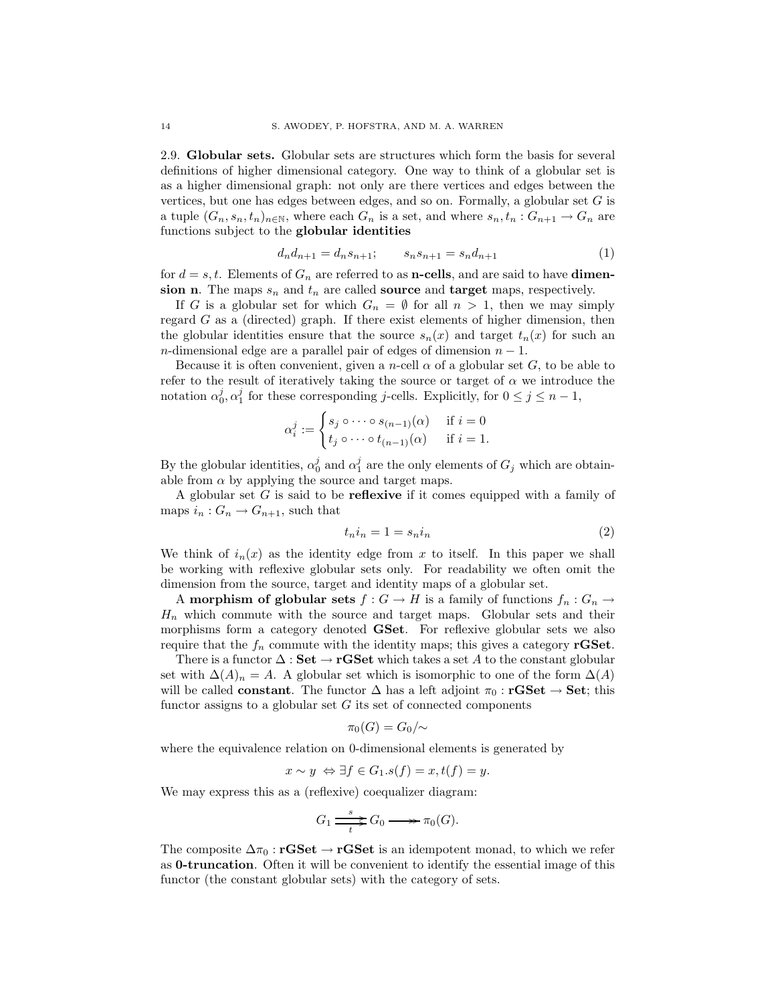<span id="page-13-0"></span>2.9. Globular sets. Globular sets are structures which form the basis for several definitions of higher dimensional category. One way to think of a globular set is as a higher dimensional graph: not only are there vertices and edges between the vertices, but one has edges between edges, and so on. Formally, a globular set  $G$  is a tuple  $(G_n, s_n, t_n)_{n \in \mathbb{N}}$ , where each  $G_n$  is a set, and where  $s_n, t_n : G_{n+1} \to G_n$  are functions subject to the globular identities

$$
d_n d_{n+1} = d_n s_{n+1}; \qquad s_n s_{n+1} = s_n d_{n+1} \tag{1}
$$

for  $d = s, t$ . Elements of  $G_n$  are referred to as **n-cells**, and are said to have **dimen**sion n. The maps  $s_n$  and  $t_n$  are called source and target maps, respectively.

If G is a globular set for which  $G_n = \emptyset$  for all  $n > 1$ , then we may simply regard G as a (directed) graph. If there exist elements of higher dimension, then the globular identities ensure that the source  $s_n(x)$  and target  $t_n(x)$  for such an n-dimensional edge are a parallel pair of edges of dimension  $n - 1$ .

Because it is often convenient, given a *n*-cell  $\alpha$  of a globular set G, to be able to refer to the result of iteratively taking the source or target of  $\alpha$  we introduce the notation  $\alpha_0^j, \alpha_1^j$  for these corresponding *j*-cells. Explicitly, for  $0 \le j \le n-1$ ,

$$
\alpha_i^j := \begin{cases} s_j \circ \cdots \circ s_{(n-1)}(\alpha) & \text{if } i = 0 \\ t_j \circ \cdots \circ t_{(n-1)}(\alpha) & \text{if } i = 1. \end{cases}
$$

By the globular identities,  $\alpha_0^j$  and  $\alpha_1^j$  are the only elements of  $G_j$  which are obtainable from  $\alpha$  by applying the source and target maps.

A globular set  $G$  is said to be **reflexive** if it comes equipped with a family of maps  $i_n: G_n \to G_{n+1}$ , such that

$$
t_n i_n = 1 = s_n i_n \tag{2}
$$

We think of  $i_n(x)$  as the identity edge from x to itself. In this paper we shall be working with reflexive globular sets only. For readability we often omit the dimension from the source, target and identity maps of a globular set.

A morphism of globular sets  $f: G \to H$  is a family of functions  $f_n: G_n \to$  $H_n$  which commute with the source and target maps. Globular sets and their morphisms form a category denoted GSet. For reflexive globular sets we also require that the  $f_n$  commute with the identity maps; this gives a category **rGSet**.

There is a functor  $\Delta : \mathbf{Set} \to \mathbf{rGSet}$  which takes a set A to the constant globular set with  $\Delta(A)_n = A$ . A globular set which is isomorphic to one of the form  $\Delta(A)$ will be called **constant**. The functor  $\Delta$  has a left adjoint  $\pi_0 : \mathbf{rGSet} \to \mathbf{Set}$ ; this functor assigns to a globular set  $G$  its set of connected components

$$
\pi_0(G)=G_0/\sim
$$

where the equivalence relation on 0-dimensional elements is generated by

$$
x \sim y \iff \exists f \in G_1 . s(f) = x, t(f) = y.
$$

We may express this as a (reflexive) coequalizer diagram:

$$
G_1 \xrightarrow[t]{s} G_0 \longrightarrow \pi_0(G).
$$

The composite  $\Delta \pi_0$ : **rGSet** → **rGSet** is an idempotent monad, to which we refer as 0-truncation. Often it will be convenient to identify the essential image of this functor (the constant globular sets) with the category of sets.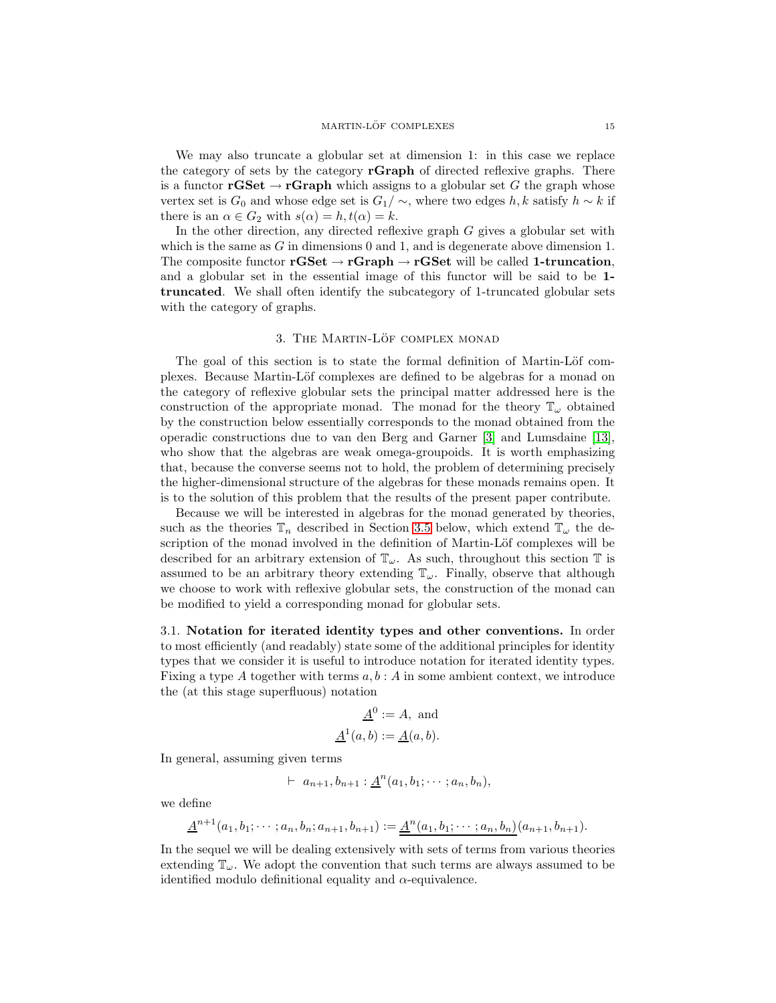We may also truncate a globular set at dimension 1: in this case we replace the category of sets by the category **rGraph** of directed reflexive graphs. There is a functor **rGSet**  $\rightarrow$  **rGraph** which assigns to a globular set G the graph whose vertex set is  $G_0$  and whose edge set is  $G_1/\sim$ , where two edges h, k satisfy  $h \sim k$  if there is an  $\alpha \in G_2$  with  $s(\alpha) = h, t(\alpha) = k$ .

In the other direction, any directed reflexive graph  $G$  gives a globular set with which is the same as G in dimensions 0 and 1, and is degenerate above dimension 1. The composite functor  $\mathbf{rGSet} \to \mathbf{rGraph} \to \mathbf{rGSet}$  will be called 1-truncation, and a globular set in the essential image of this functor will be said to be 1 truncated. We shall often identify the subcategory of 1-truncated globular sets with the category of graphs.

## 3. THE MARTIN-LÖF COMPLEX MONAD

<span id="page-14-0"></span>The goal of this section is to state the formal definition of Martin-Löf complexes. Because Martin-Löf complexes are defined to be algebras for a monad on the category of reflexive globular sets the principal matter addressed here is the construction of the appropriate monad. The monad for the theory  $\mathbb{T}_{\omega}$  obtained by the construction below essentially corresponds to the monad obtained from the operadic constructions due to van den Berg and Garner [\[3\]](#page-60-5) and Lumsdaine [\[13\]](#page-60-4), who show that the algebras are weak omega-groupoids. It is worth emphasizing that, because the converse seems not to hold, the problem of determining precisely the higher-dimensional structure of the algebras for these monads remains open. It is to the solution of this problem that the results of the present paper contribute.

Because we will be interested in algebras for the monad generated by theories, such as the theories  $\mathbb{T}_n$  described in Section [3.5](#page-19-0) below, which extend  $\mathbb{T}_{\omega}$  the description of the monad involved in the definition of Martin-Löf complexes will be described for an arbitrary extension of  $\mathbb{T}_{\omega}$ . As such, throughout this section  $\mathbb{T}$  is assumed to be an arbitrary theory extending  $\mathbb{T}_{\omega}$ . Finally, observe that although we choose to work with reflexive globular sets, the construction of the monad can be modified to yield a corresponding monad for globular sets.

<span id="page-14-1"></span>3.1. Notation for iterated identity types and other conventions. In order to most efficiently (and readably) state some of the additional principles for identity types that we consider it is useful to introduce notation for iterated identity types. Fixing a type A together with terms  $a, b : A$  in some ambient context, we introduce the (at this stage superfluous) notation

$$
\underline{A}^0 := A, \text{ and}
$$

$$
\underline{A}^1(a, b) := \underline{A}(a, b).
$$

In general, assuming given terms

$$
\vdash a_{n+1}, b_{n+1} : \underline{A}^n(a_1, b_1; \cdots; a_n, b_n),
$$

we define

$$
\underline{A}^{n+1}(a_1,b_1;\dots; a_n,b_n;a_{n+1},b_{n+1}):=\underline{A}^n(a_1,b_1;\dots; a_n,b_n)(a_{n+1},b_{n+1}).
$$

In the sequel we will be dealing extensively with sets of terms from various theories extending  $\mathbb{T}_{\omega}$ . We adopt the convention that such terms are always assumed to be identified modulo definitional equality and  $\alpha$ -equivalence.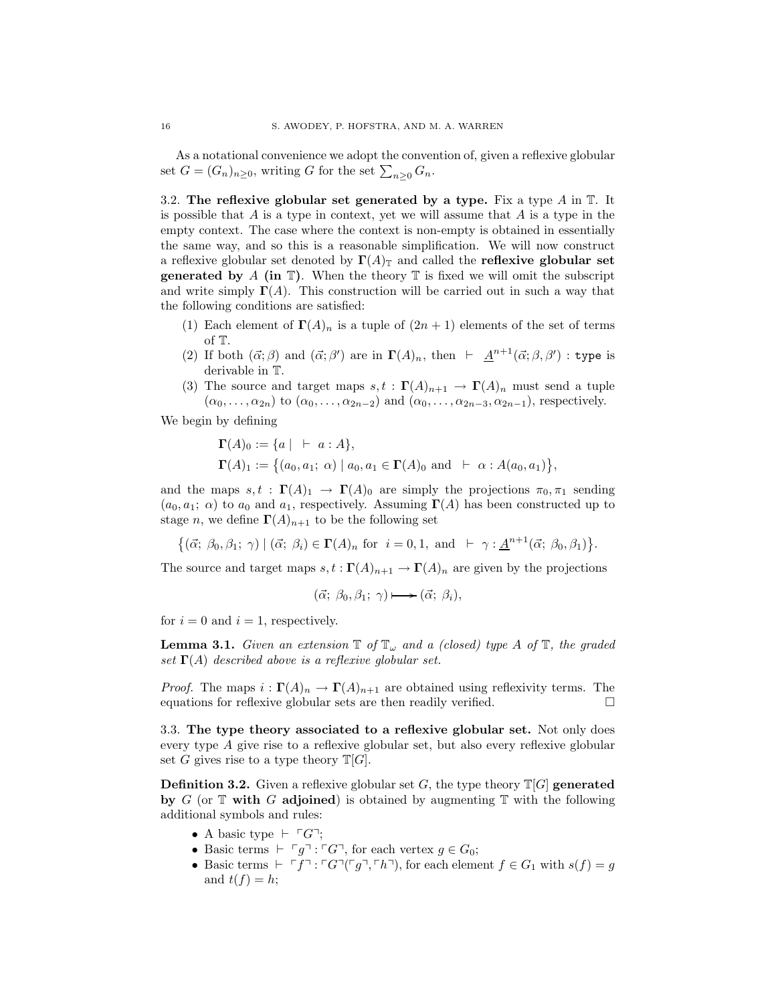As a notational convenience we adopt the convention of, given a reflexive globular set  $G = (G_n)_{n \geq 0}$ , writing G for the set  $\sum_{n \geq 0} G_n$ .

<span id="page-15-0"></span>3.2. The reflexive globular set generated by a type. Fix a type  $A$  in  $\mathbb{T}$ . It is possible that  $A$  is a type in context, yet we will assume that  $A$  is a type in the empty context. The case where the context is non-empty is obtained in essentially the same way, and so this is a reasonable simplification. We will now construct a reflexive globular set denoted by  $\Gamma(A)$  and called the **reflexive globular set generated by** A (in  $\mathbb{T}$ ). When the theory  $\mathbb{T}$  is fixed we will omit the subscript and write simply  $\Gamma(A)$ . This construction will be carried out in such a way that the following conditions are satisfied:

- (1) Each element of  $\Gamma(A)_n$  is a tuple of  $(2n + 1)$  elements of the set of terms of T.
- (2) If both  $(\vec{\alpha}; \beta)$  and  $(\vec{\alpha}; \beta')$  are in  $\Gamma(A)_n$ , then  $\vdash \underline{A}^{n+1}(\vec{\alpha}; \beta, \beta')$ : type is derivable in T.
- (3) The source and target maps  $s, t : \Gamma(A)_{n+1} \to \Gamma(A)_n$  must send a tuple  $(\alpha_0, \ldots, \alpha_{2n})$  to  $(\alpha_0, \ldots, \alpha_{2n-2})$  and  $(\alpha_0, \ldots, \alpha_{2n-3}, \alpha_{2n-1})$ , respectively.

We begin by defining

$$
\begin{aligned} \n\Gamma(A)_0 &:= \{ a \mid +a : A \}, \\ \n\Gamma(A)_1 &:= \{ (a_0, a_1; \alpha) \mid a_0, a_1 \in \Gamma(A)_0 \text{ and } +\alpha : A(a_0, a_1) \}, \n\end{aligned}
$$

and the maps  $s, t : \Gamma(A)_1 \to \Gamma(A)_0$  are simply the projections  $\pi_0, \pi_1$  sending  $(a_0, a_1; \alpha)$  to  $a_0$  and  $a_1$ , respectively. Assuming  $\Gamma(A)$  has been constructed up to stage n, we define  $\Gamma(A)_{n+1}$  to be the following set

 $\{(\vec{\alpha}; \beta_0, \beta_1; \gamma) \mid (\vec{\alpha}; \beta_i) \in \Gamma(A)_n \text{ for } i = 0, 1, \text{ and } \vdash \gamma : \underline{A}^{n+1}(\vec{\alpha}; \beta_0, \beta_1)\}.$ 

The source and target maps  $s, t : \Gamma(A)_{n+1} \to \Gamma(A)_n$  are given by the projections

$$
(\vec{\alpha}; \beta_0, \beta_1; \gamma) \longmapsto (\vec{\alpha}; \beta_i),
$$

for  $i = 0$  and  $i = 1$ , respectively.

**Lemma 3.1.** *Given an extension*  $\mathbb{T}$  *of*  $\mathbb{T}$ <sub>*w*</sub> *and a (closed) type A of*  $\mathbb{T}$ *, the graded set* Γ(A) *described above is a reflexive globular set.*

*Proof.* The maps  $i : \Gamma(A)_n \to \Gamma(A)_{n+1}$  are obtained using reflexivity terms. The equations for reflexive globular sets are then readily verified.

<span id="page-15-1"></span>3.3. The type theory associated to a reflexive globular set. Not only does every type A give rise to a reflexive globular set, but also every reflexive globular set G gives rise to a type theory  $T[G]$ .

**Definition 3.2.** Given a reflexive globular set G, the type theory  $\mathbb{T}[G]$  generated by  $G$  (or  $T$  with  $G$  adjoined) is obtained by augmenting  $T$  with the following additional symbols and rules:

- A basic type  $\vdash \ulcorner G\urcorner;$
- Basic terms  $\vdash \ulcorner g\urcorner : \ulcorner G\urcorner$ , for each vertex  $g \in G_0$ ;
- Basic terms  $\vdash \ulcorner f\urcorner : \ulcorner G\urcorner(\ulcorner g\urcorner, \ulcorner h\urcorner)$ , for each element  $f \in G_1$  with  $s(f) = g$ and  $t(f) = h$ ;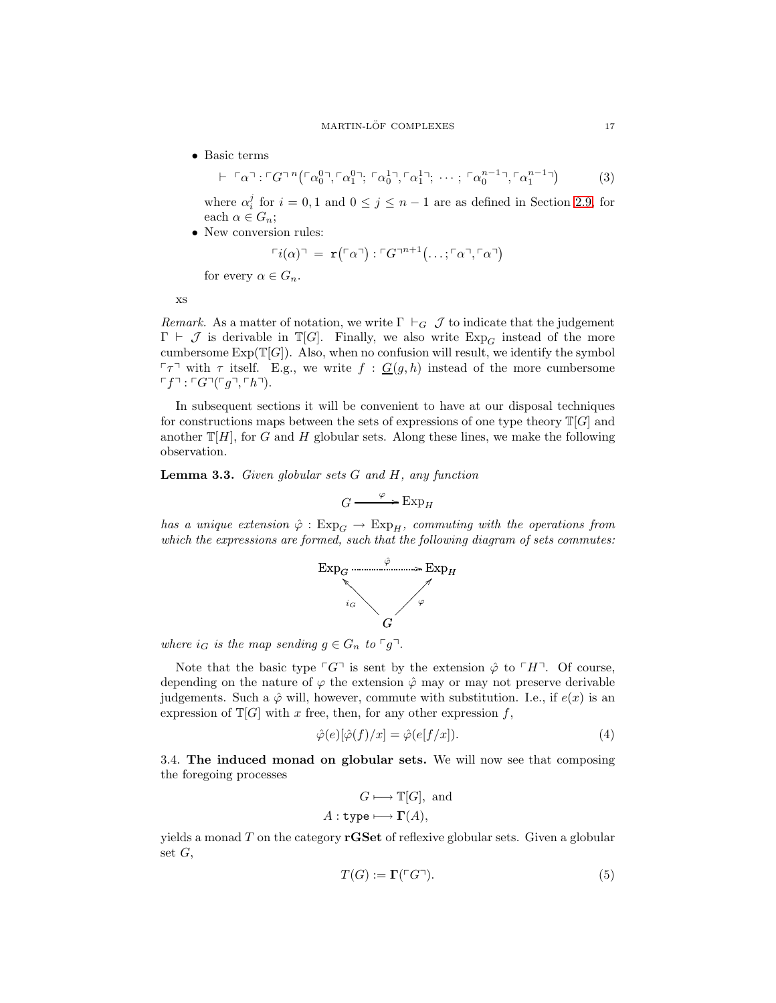### <span id="page-16-2"></span> $\begin{tabular}{lllllllllll} \bf{MARTIN-LÖF} & \bf{COMPLEXES} & \tt{17} \end{tabular}$

• Basic terms

 $\vdash \lceil \alpha \rceil$  :  $\lceil G \rceil$   $\lceil (\alpha_0^0 \rceil, \lceil \alpha_1^0 \rceil; \lceil \alpha_0^1 \rceil, \lceil \alpha_1^1 \rceil; \cdots; \lceil \alpha_0^{n-1} \rceil, \lceil \alpha_1^{n-1} \rceil)$ (3)

where  $\alpha_i^j$  for  $i = 0, 1$  and  $0 \le j \le n - 1$  are as defined in Section [2.9,](#page-13-0) for each  $\alpha \in G_n$ ;

• New conversion rules:

$$
\ulcorner i(\alpha) \urcorner = \mathbf{r}(\ulcorner \alpha \urcorner) : \ulcorner G \urcorner^{n+1}(\ldots; \ulcorner \alpha \urcorner, \ulcorner \alpha \urcorner)
$$

for every  $\alpha \in G_n$ .

xs

*Remark.* As a matter of notation, we write  $\Gamma \vdash_G \mathcal{J}$  to indicate that the judgement  $\Gamma \vdash \mathcal{J}$  is derivable in  $\mathbb{T}[G]$ . Finally, we also write  $Exp_G$  instead of the more cumbersome  $Exp(\mathbb{T}[G])$ . Also, when no confusion will result, we identify the symbol  $\lceil \tau \rceil$  with  $\tau$  itself. E.g., we write  $f : G(g, h)$  instead of the more cumbersome  $\ulcorner f \urcorner : \ulcorner G \urcorner (\ulcorner g \urcorner, \ulcorner h \urcorner).$ 

In subsequent sections it will be convenient to have at our disposal techniques for constructions maps between the sets of expressions of one type theory  $\mathbb{T}[G]$  and another  $T[H]$ , for G and H globular sets. Along these lines, we make the following observation.

<span id="page-16-1"></span>Lemma 3.3. *Given globular sets* G *and* H*, any function*

$$
G \xrightarrow{\varphi} \operatorname{Exp}_H
$$

*has a unique extension*  $\hat{\varphi}$  :  $Exp_G \rightarrow Exp_H$ *, commuting with the operations from which the expressions are formed, such that the following diagram of sets commutes:*



*where*  $i_G$  *is the map sending*  $g \in G_n$  *to*  $\lceil g \rceil$ *.* 

Note that the basic type  $\ulcorner G\urcorner$  is sent by the extension  $\hat{\varphi}$  to  $\ulcorner H\urcorner$ . Of course, depending on the nature of  $\varphi$  the extension  $\hat{\varphi}$  may or may not preserve derivable judgements. Such a  $\hat{\varphi}$  will, however, commute with substitution. I.e., if  $e(x)$  is an expression of  $\mathbb{T}[G]$  with x free, then, for any other expression f,

$$
\hat{\varphi}(e)[\hat{\varphi}(f)/x] = \hat{\varphi}(e[f/x]).\tag{4}
$$

<span id="page-16-0"></span>3.4. The induced monad on globular sets. We will now see that composing the foregoing processes

$$
G \longmapsto \mathbb{T}[G], \text{ and}
$$

$$
A: \text{type} \longmapsto \Gamma(A),
$$

yields a monad  $T$  on the category  $rGSet$  of reflexive globular sets. Given a globular set  $G$ ,

<span id="page-16-3"></span>
$$
T(G) := \Gamma(\ulcorner G \urcorner). \tag{5}
$$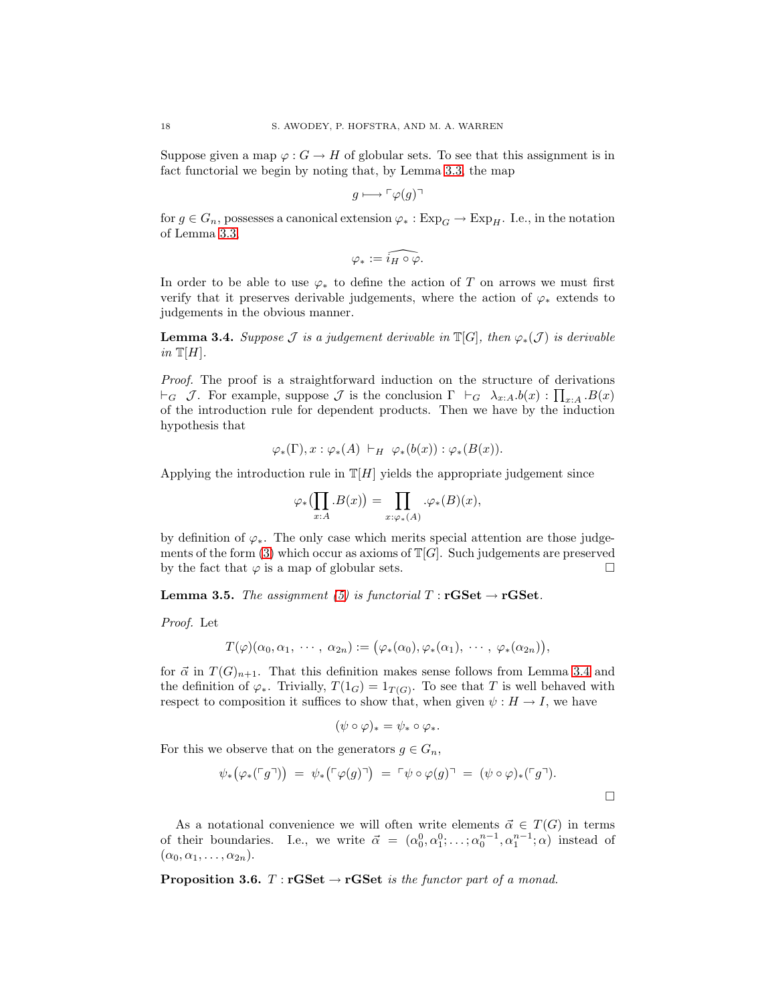Suppose given a map  $\varphi: G \to H$  of globular sets. To see that this assignment is in fact functorial we begin by noting that, by Lemma [3.3,](#page-16-1) the map

$$
g \longmapsto \ulcorner \varphi(g) \urcorner
$$

for  $g \in G_n$ , possesses a canonical extension  $\varphi_* : \mathrm{Exp}_G \to \mathrm{Exp}_H$ . I.e., in the notation of Lemma [3.3,](#page-16-1)

$$
\varphi_* := \widehat{i_H \circ \varphi}.
$$

In order to be able to use  $\varphi_*$  to define the action of T on arrows we must first verify that it preserves derivable judgements, where the action of  $\varphi_*$  extends to judgements in the obvious manner.

<span id="page-17-0"></span>**Lemma 3.4.** *Suppose*  $\mathcal J$  *is a judgement derivable in*  $\mathbb{T}[G]$ *, then*  $\varphi_*(\mathcal J)$  *is derivable in*  $T[H]$ *.* 

*Proof.* The proof is a straightforward induction on the structure of derivations  $\vdash_G \mathcal{J}$ . For example, suppose  $\mathcal{J}$  is the conclusion  $\Gamma \vdash_G \lambda_{x:A}.b(x) : \prod_{x:A} .B(x)$ of the introduction rule for dependent products. Then we have by the induction hypothesis that

$$
\varphi_*(\Gamma), x: \varphi_*(A) \vdash_H \varphi_*(b(x)) : \varphi_*(B(x)).
$$

Applying the introduction rule in  $T[H]$  yields the appropriate judgement since

$$
\varphi_*\bigl(\prod_{x:A} .B(x)\bigr) = \prod_{x:\varphi_*(A)} .\varphi_*(B)(x),
$$

by definition of  $\varphi_*$ . The only case which merits special attention are those judge-ments of the form [\(3\)](#page-16-2) which occur as axioms of  $\mathbb{T}[G]$ . Such judgements are preserved by the fact that  $\varphi$  is a map of globular sets.  $\square$ 

**Lemma 3.5.** *The assignment* [\(5\)](#page-16-3) *is functorial*  $T : \mathbf{rGSet} \rightarrow \mathbf{rGSet}$ .

*Proof.* Let

$$
T(\varphi)(\alpha_0,\alpha_1, \ \cdots, \ \alpha_{2n}):=\big(\varphi_*(\alpha_0),\varphi_*(\alpha_1), \ \cdots, \ \varphi_*(\alpha_{2n})\big),
$$

for  $\vec{\alpha}$  in  $T(G)_{n+1}$ . That this definition makes sense follows from Lemma [3.4](#page-17-0) and the definition of  $\varphi_*$ . Trivially,  $T(1_G) = 1_{T(G)}$ . To see that T is well behaved with respect to composition it suffices to show that, when given  $\psi : H \to I$ , we have

$$
(\psi \circ \varphi)_* = \psi_* \circ \varphi_*.
$$

For this we observe that on the generators  $g \in G_n$ ,

$$
\psi_*\big(\varphi_*(\ulcorner g\urcorner)\big) \;=\; \psi_*\big(\ulcorner \varphi(g)\urcorner\big) \;=\; \ulcorner \psi \circ \varphi(g)\urcorner \;=\; (\psi \circ \varphi)_*(\ulcorner g\urcorner).
$$

As a notational convenience we will often write elements  $\vec{\alpha} \in T(G)$  in terms of their boundaries. I.e., we write  $\vec{\alpha} = (\alpha_0^0, \alpha_1^0; \ldots; \alpha_0^{n-1}, \alpha_1^{n-1}; \alpha)$  instead of  $(\alpha_0, \alpha_1, \ldots, \alpha_{2n}).$ 

<span id="page-17-1"></span>**Proposition 3.6.**  $T : rGSet \rightarrow rGSet$  *is the functor part of a monad.*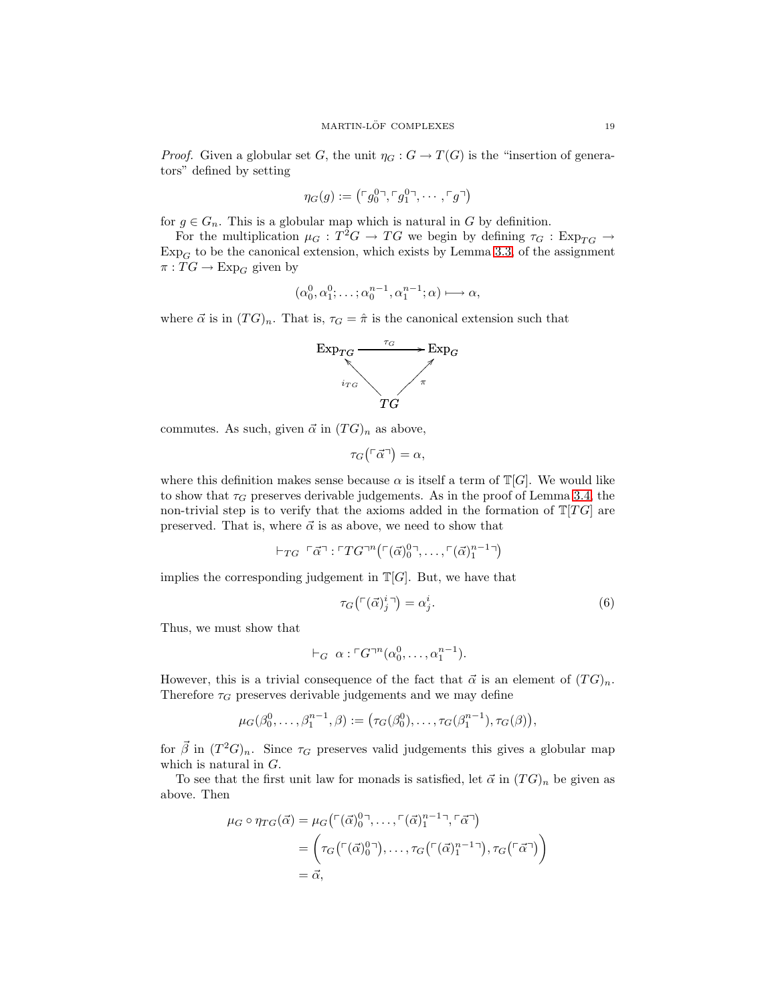*Proof.* Given a globular set G, the unit  $\eta_G : G \to T(G)$  is the "insertion of generators" defined by setting

$$
\eta_G(g):=\left(\ulcorner g_0^0\urcorner,\ulcorner g_1^0\urcorner,\cdots,\ulcorner g\urcorner\right)
$$

for  $g \in G_n$ . This is a globular map which is natural in G by definition.

For the multiplication  $\mu_G : T^2G \to TG$  we begin by defining  $\tau_G : Exp_{TG} \to$  $Exp<sub>G</sub>$  to be the canonical extension, which exists by Lemma [3.3,](#page-16-1) of the assignment  $\pi: TG \rightarrow \text{Exp}_G$  given by

$$
(\alpha_0^0, \alpha_1^0; \ldots; \alpha_0^{n-1}, \alpha_1^{n-1}; \alpha) \longmapsto \alpha,
$$

where  $\vec{\alpha}$  is in  $(TG)_n$ . That is,  $\tau_G = \hat{\pi}$  is the canonical extension such that



commutes. As such, given  $\vec{\alpha}$  in  $(TG)_n$  as above,

$$
\tau_G(\ulcorner \vec{\alpha} \urcorner) = \alpha,
$$

where this definition makes sense because  $\alpha$  is itself a term of  $\mathbb{T}[G]$ . We would like to show that  $\tau_G$  preserves derivable judgements. As in the proof of Lemma [3.4,](#page-17-0) the non-trivial step is to verify that the axioms added in the formation of  $T[TG]$  are preserved. That is, where  $\vec{\alpha}$  is as above, we need to show that

$$
\vdash_{TG} \ulcorner \vec{\alpha} \urcorner : \ulcorner TG\urcorner^n \big( \ulcorner (\vec{\alpha})_0^{0} \urcorner, \ldots, \ulcorner (\vec{\alpha})_1^{n-1} \urcorner \big)
$$

implies the corresponding judgement in  $T[G]$ . But, we have that

<span id="page-18-0"></span>
$$
\tau_G(\ulcorner (\vec{\alpha})_j^i \urcorner) = \alpha_j^i. \tag{6}
$$

Thus, we must show that

$$
\vdash_G \alpha : \ulcorner G \urcorner^n(\alpha_0^0, \ldots, \alpha_1^{n-1}).
$$

However, this is a trivial consequence of the fact that  $\vec{\alpha}$  is an element of  $(TG)_n$ . Therefore  $\tau_G$  preserves derivable judgements and we may define

$$
\mu_G(\beta_0^0,\ldots,\beta_1^{n-1},\beta) := (\tau_G(\beta_0^0),\ldots,\tau_G(\beta_1^{n-1}),\tau_G(\beta)),
$$

for  $\vec{\beta}$  in  $(T^2G)_n$ . Since  $\tau_G$  preserves valid judgements this gives a globular map which is natural in G.

To see that the first unit law for monads is satisfied, let  $\vec{\alpha}$  in  $(TG)_n$  be given as above. Then

$$
\mu_G \circ \eta_{TG}(\vec{\alpha}) = \mu_G(\ulcorner(\vec{\alpha})_0^{0\top}, \ldots, \ulcorner(\vec{\alpha})_1^{n-1\top}, \ulcorner\vec{\alpha}\urcorner)
$$
\n
$$
= \left(\tau_G(\ulcorner(\vec{\alpha})_0^{0\top}), \ldots, \tau_G(\ulcorner(\vec{\alpha})_1^{n-1\top}), \tau_G(\ulcorner\vec{\alpha}\urcorner)\right)
$$
\n
$$
= \vec{\alpha},
$$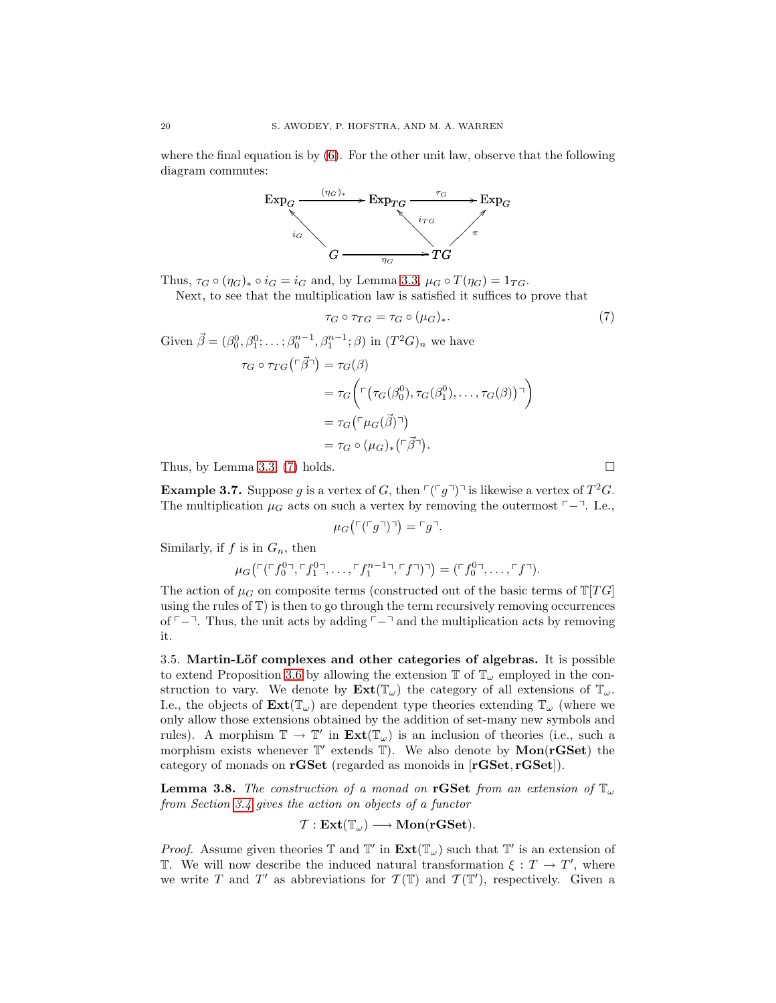where the final equation is by  $(6)$ . For the other unit law, observe that the following diagram commutes:



Thus,  $\tau_G \circ (\eta_G)_* \circ i_G = i_G$  and, by Lemma [3.3,](#page-16-1)  $\mu_G \circ T(\eta_G) = 1_{TG}$ .

Next, to see that the multiplication law is satisfied it suffices to prove that

$$
\tau_G \circ \tau_{TG} = \tau_G \circ (\mu_G)_*. \tag{7}
$$

Given 
$$
\vec{\beta} = (\beta_0^0, \beta_1^0; \dots; \beta_0^{n-1}, \beta_1^{n-1}; \beta)
$$
 in  $(T^2G)_n$  we have  
\n
$$
\tau_G \circ \tau_{TG}(\ulcorner \vec{\beta}\urcorner) = \tau_G(\beta)
$$
\n
$$
= \tau_G \left( \ulcorner (\tau_G(\beta_0^0), \tau_G(\beta_1^0), \dots, \tau_G(\beta)) \urcorner \right)
$$
\n
$$
= \tau_G \left( \ulcorner \mu_G(\vec{\beta}) \urcorner \right)
$$
\n
$$
= \tau_G \circ (\mu_G)_* (\ulcorner \vec{\beta}\urcorner).
$$

Thus, by Lemma [3.3,](#page-16-1) [\(7\)](#page-19-1) holds.  $\square$ 

**Example 3.7.** Suppose g is a vertex of G, then  $\lceil (q^{\dagger})^{\dagger} \rceil$  is likewise a vertex of  $T^2G$ . The multiplication  $\mu_G$  acts on such a vertex by removing the outermost  $\ulcorner$  - T. I.e.,

$$
\mu_G\left(\ulcorner\left(\ulcorner g\urcorner\right)\urcorner\right) = \ulcorner g\urcorner.
$$

Similarly, if  $f$  is in  $G_n$ , then

$$
\mu_G\left(\ulcorner(f_0^{0}\urcorner,\ulcorner f_1^{0}\urcorner,\ldots,\ulcorner f_1^{n-1}\urcorner,\ulcorner f\urcorner)\urcorner\right) = \left(\ulcorner f_0^{0}\urcorner,\ldots,\ulcorner f\urcorner\right).
$$

The action of  $\mu$ <sub>G</sub> on composite terms (constructed out of the basic terms of  $\mathbb{T}[TG]$ using the rules of T) is then to go through the term recursively removing occurrences of  $\ulcorner$  − $\urcorner$ . Thus, the unit acts by adding  $\ulcorner$  − $\urcorner$  and the multiplication acts by removing it.

<span id="page-19-0"></span>3.5. Martin-Löf complexes and other categories of algebras. It is possible to extend Proposition [3.6](#page-17-1) by allowing the extension  $\mathbb{T}$  of  $\mathbb{T}_{\omega}$  employed in the construction to vary. We denote by  $\text{Ext}(\mathbb{T}_{\omega})$  the category of all extensions of  $\mathbb{T}_{\omega}$ . I.e., the objects of  $\text{Ext}(\mathbb{T}_{\omega})$  are dependent type theories extending  $\mathbb{T}_{\omega}$  (where we only allow those extensions obtained by the addition of set-many new symbols and rules). A morphism  $\mathbb{T} \to \mathbb{T}'$  in  $\text{Ext}(\mathbb{T}_{\omega})$  is an inclusion of theories (i.e., such a morphism exists whenever  $\mathbb{T}'$  extends  $\mathbb{T}$ ). We also denote by  $\mathbf{Mon}(\mathbf{rGSet})$  the category of monads on rGSet (regarded as monoids in [rGSet, rGSet]).

<span id="page-19-2"></span>**Lemma 3.8.** The construction of a monad on rGSet from an extension of  $\mathbb{T}_{\omega}$ *from Section [3.4](#page-16-0) gives the action on objects of a functor*

$$
\mathcal{T}:\mathbf{Ext}(\mathbb{T}_\omega)\longrightarrow \mathbf{Mon}(\mathbf{rGSet}).
$$

*Proof.* Assume given theories  $\mathbb T$  and  $\mathbb T'$  in  $\text{Ext}(\mathbb{T}_{\omega})$  such that  $\mathbb T'$  is an extension of T. We will now describe the induced natural transformation  $\xi : T \to T'$ , where we write T and T' as abbreviations for  $\mathcal{T}(\mathbb{T})$  and  $\mathcal{T}(\mathbb{T}')$ , respectively. Given a

<span id="page-19-1"></span>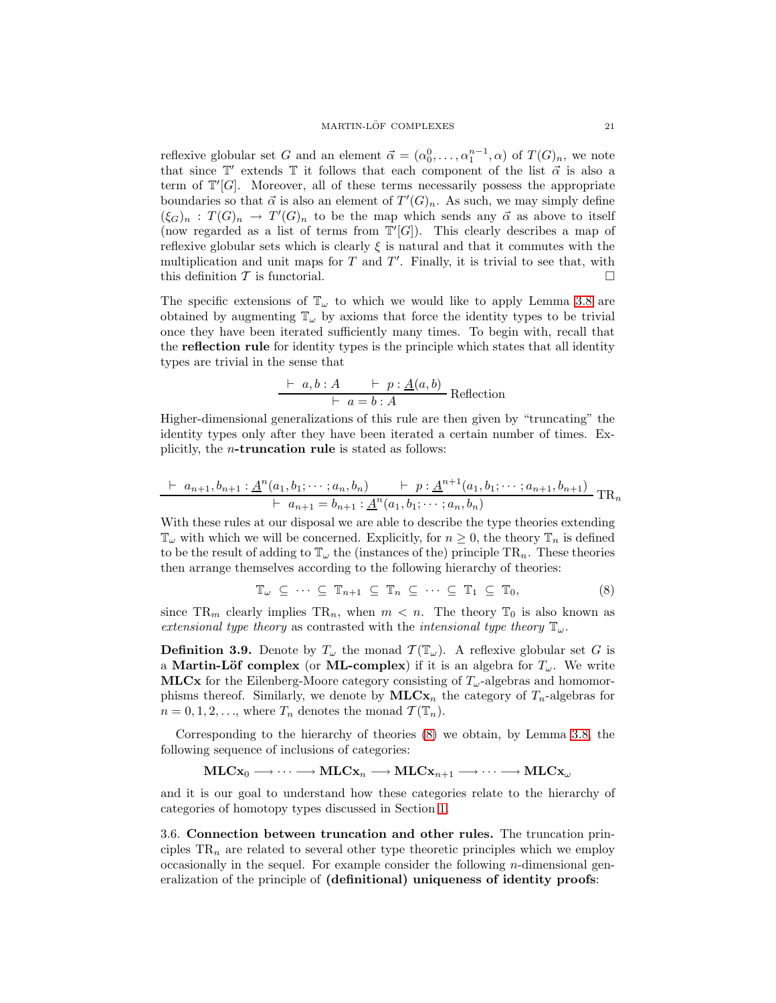reflexive globular set G and an element  $\vec{\alpha} = (\alpha_0^0, \ldots, \alpha_1^{n-1}, \alpha)$  of  $T(G)_n$ , we note that since  $\mathbb{T}'$  extends  $\mathbb T$  it follows that each component of the list  $\vec{\alpha}$  is also a term of  $T'[G]$ . Moreover, all of these terms necessarily possess the appropriate boundaries so that  $\vec{\alpha}$  is also an element of  $T'(G)_n$ . As such, we may simply define  $(\xi_G)_n : T(G)_n \to T'(G)_n$  to be the map which sends any  $\vec{\alpha}$  as above to itself (now regarded as a list of terms from  $T'[G]$ ). This clearly describes a map of reflexive globular sets which is clearly  $\xi$  is natural and that it commutes with the multiplication and unit maps for  $T$  and  $T'$ . Finally, it is trivial to see that, with this definition  $\mathcal T$  is functorial.

The specific extensions of  $\mathbb{T}_{\omega}$  to which we would like to apply Lemma [3.8](#page-19-2) are obtained by augmenting  $\mathbb{T}_{\omega}$  by axioms that force the identity types to be trivial once they have been iterated sufficiently many times. To begin with, recall that the reflection rule for identity types is the principle which states that all identity types are trivial in the sense that

$$
\frac{\vdash a, b : A \qquad \vdash p : \underline{A}(a, b)}{\vdash a = b : A}
$$
 Reflection

Higher-dimensional generalizations of this rule are then given by "truncating" the identity types only after they have been iterated a certain number of times. Explicitly, the n-truncation rule is stated as follows:

$$
\frac{\vdash a_{n+1}, b_{n+1} : \underline{A}^{n}(a_1, b_1; \cdots; a_n, b_n)}{\vdash a_{n+1} = b_{n+1} : \underline{A}^{n}(a_1, b_1; \cdots; a_n, b_n)} \text{TR}_n
$$

With these rules at our disposal we are able to describe the type theories extending  $\mathbb{T}_{\omega}$  with which we will be concerned. Explicitly, for  $n \geq 0$ , the theory  $\mathbb{T}_n$  is defined to be the result of adding to  $\mathbb{T}_{\omega}$  the (instances of the) principle  $TR_n$ . These theories then arrange themselves according to the following hierarchy of theories:

<span id="page-20-1"></span>
$$
\mathbb{T}_{\omega} \subseteq \cdots \subseteq \mathbb{T}_{n+1} \subseteq \mathbb{T}_n \subseteq \cdots \subseteq \mathbb{T}_1 \subseteq \mathbb{T}_0,
$$
\n(8)

since TR<sub>m</sub> clearly implies TR<sub>n</sub>, when  $m < n$ . The theory T<sub>0</sub> is also known as *extensional type theory* as contrasted with the *intensional type theory*  $\mathbb{T}_{\omega}$ .

**Definition 3.9.** Denote by  $T_{\omega}$  the monad  $\mathcal{T}(\mathbb{T}_{\omega})$ . A reflexive globular set G is a Martin-Löf complex (or ML-complex) if it is an algebra for  $T_{\omega}$ . We write **MLCx** for the Eilenberg-Moore category consisting of  $T_{\omega}$ -algebras and homomorphisms thereof. Similarly, we denote by  $MLCx_n$  the category of  $T_n$ -algebras for  $n = 0, 1, 2, \ldots$ , where  $T_n$  denotes the monad  $\mathcal{T}(\mathbb{T}_n)$ .

Corresponding to the hierarchy of theories [\(8\)](#page-20-1) we obtain, by Lemma [3.8,](#page-19-2) the following sequence of inclusions of categories:

$$
\mathbf{MLCx}_0\longrightarrow \dots \longrightarrow \mathbf{MLCx}_n\longrightarrow \mathbf{MLCx}_{n+1}\longrightarrow \dots \longrightarrow \mathbf{MLCx}_{\omega}
$$

and it is our goal to understand how these categories relate to the hierarchy of categories of homotopy types discussed in Section [1.](#page-1-0)

<span id="page-20-0"></span>3.6. Connection between truncation and other rules. The truncation principles  $TR_n$  are related to several other type theoretic principles which we employ occasionally in the sequel. For example consider the following  $n$ -dimensional generalization of the principle of (definitional) uniqueness of identity proofs: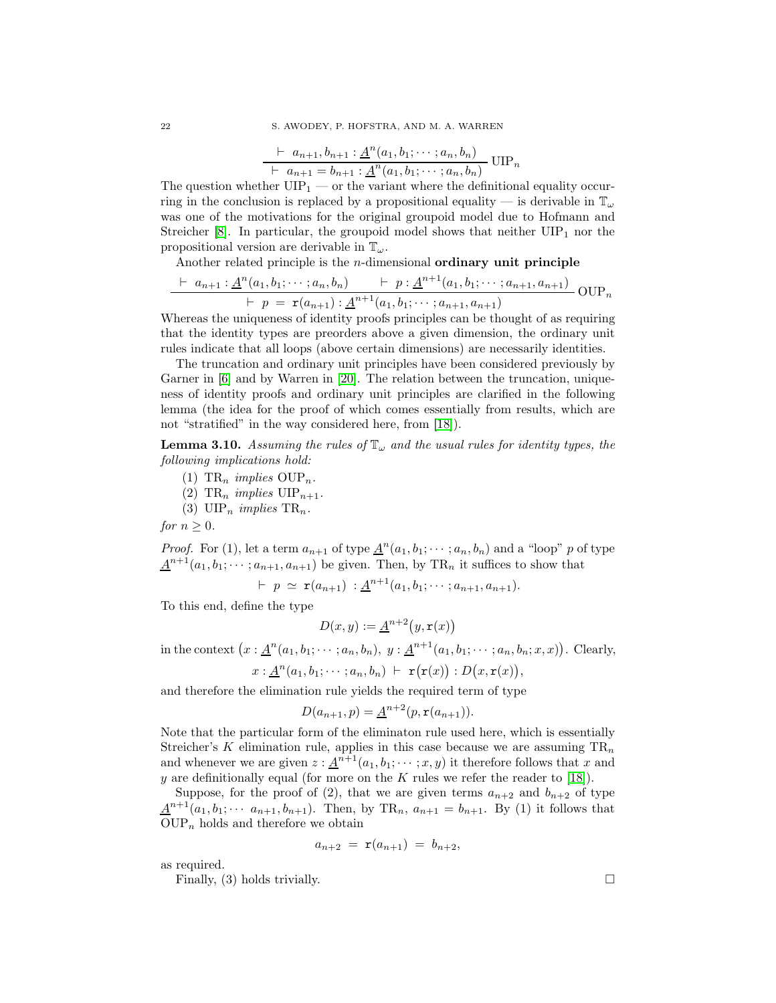$$
\frac{\vdash a_{n+1}, b_{n+1} : \underline{A}^{n}(a_1, b_1; \cdots; a_n, b_n)}{\vdash a_{n+1} = b_{n+1} : \underline{A}^{n}(a_1, b_1; \cdots; a_n, b_n)} \text{UIP}_n
$$

The question whether  $UIP_1$  — or the variant where the definitional equality occurring in the conclusion is replaced by a propositional equality — is derivable in  $\mathbb{T}_{\omega}$ was one of the motivations for the original groupoid model due to Hofmann and Streicher  $[8]$ . In particular, the groupoid model shows that neither  $UIP<sub>1</sub>$  nor the propositional version are derivable in  $\mathbb{T}_{\omega}$ .

Another related principle is the  $n$ -dimensional **ordinary unit principle** 

$$
\frac{\vdash a_{n+1} : \underline{A}^{n}(a_1, b_1; \cdots; a_n, b_n)}{\vdash p = \mathbf{r}(a_{n+1}) : \underline{A}^{n+1}(a_1, b_1; \cdots; a_{n+1}, a_{n+1})} \text{OUP}_n
$$

Whereas the uniqueness of identity proofs principles can be thought of as requiring that the identity types are preorders above a given dimension, the ordinary unit rules indicate that all loops (above certain dimensions) are necessarily identities.

The truncation and ordinary unit principles have been considered previously by Garner in [\[6\]](#page-60-3) and by Warren in [\[20\]](#page-60-2). The relation between the truncation, uniqueness of identity proofs and ordinary unit principles are clarified in the following lemma (the idea for the proof of which comes essentially from results, which are not "stratified" in the way considered here, from [\[18\]](#page-60-19)).

**Lemma 3.10.** *Assuming the rules of*  $\mathbb{T}_{\omega}$  *and the usual rules for identity types, the following implications hold:*

- (1)  $TR_n$  *implies*  $OUP_n$ .
- (2)  $TR_n$  *implies*  $UIP_{n+1}$ .
- (3)  $\text{UIP}_n$  *implies*  $\text{TR}_n$ .

*for*  $n \geq 0$ *.* 

*Proof.* For (1), let a term  $a_{n+1}$  of type  $\underline{A}^n(a_1, b_1; \dots; a_n, b_n)$  and a "loop" p of type  $\underline{A}^{n+1}(a_1, b_1; \dots; a_{n+1}, a_{n+1})$  be given. Then, by TR<sub>n</sub> it suffices to show that

$$
\vdash p \simeq \mathbf{r}(a_{n+1}) : \underline{A}^{n+1}(a_1, b_1; \cdots; a_{n+1}, a_{n+1}).
$$

To this end, define the type

$$
D(x,y) := \underline{A}^{n+2}(y,\mathbf{r}(x))
$$

in the context  $(x: \underline{A}^n(a_1, b_1; \dots; a_n, b_n), y: \underline{A}^{n+1}(a_1, b_1; \dots; a_n, b_n; x, x))$ . Clearly,

$$
x:\underline{A}^n(a_1,b_1;\cdots;a_n,b_n) + \mathbf{r}(\mathbf{r}(x)):D(x,\mathbf{r}(x)),
$$

and therefore the elimination rule yields the required term of type

$$
D(a_{n+1}, p) = \underline{A}^{n+2}(p, \mathbf{r}(a_{n+1})).
$$

Note that the particular form of the eliminaton rule used here, which is essentially Streicher's K elimination rule, applies in this case because we are assuming  $TR_n$ and whenever we are given  $z : \underline{A}^{n+1}(a_1, b_1; \dots; x, y)$  it therefore follows that x and y are definitionally equal (for more on the K rules we refer the reader to [\[18\]](#page-60-19)).

Suppose, for the proof of (2), that we are given terms  $a_{n+2}$  and  $b_{n+2}$  of type  $\underline{A}^{n+1}(a_1, b_1; \cdots, a_{n+1}, b_{n+1})$ . Then, by TR<sub>n</sub>,  $a_{n+1} = b_{n+1}$ . By (1) it follows that  $\text{OUP}_n$  holds and therefore we obtain

$$
a_{n+2} = \mathbf{r}(a_{n+1}) = b_{n+2},
$$

as required.

Finally, (3) holds trivially.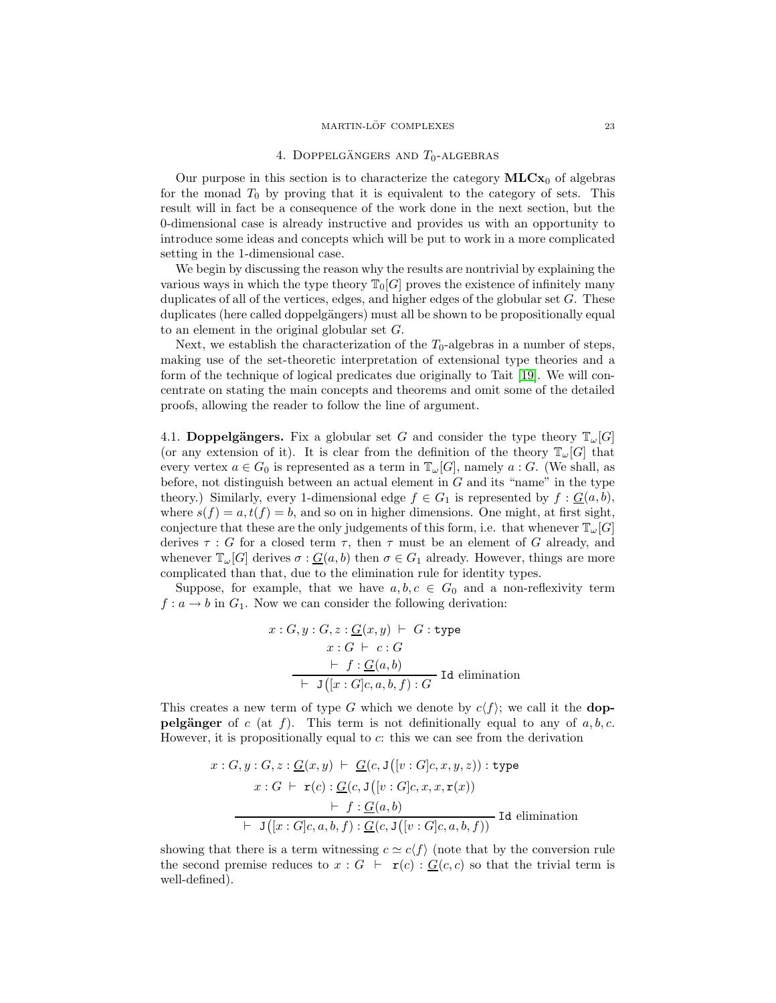#### $\rm MARTIN\text{-}L\ddot{O}F\text{ }COMPLEXES \text{\hspace{0.5cm} 23}$

#### 4. DOPPELGÄNGERS AND  $T_0$ -ALGEBRAS

<span id="page-22-0"></span>Our purpose in this section is to characterize the category  $MLCx_0$  of algebras for the monad  $T_0$  by proving that it is equivalent to the category of sets. This result will in fact be a consequence of the work done in the next section, but the 0-dimensional case is already instructive and provides us with an opportunity to introduce some ideas and concepts which will be put to work in a more complicated setting in the 1-dimensional case.

We begin by discussing the reason why the results are nontrivial by explaining the various ways in which the type theory  $\mathbb{T}_0[G]$  proves the existence of infinitely many duplicates of all of the vertices, edges, and higher edges of the globular set G. These duplicates (here called doppelgängers) must all be shown to be propositionally equal to an element in the original globular set G.

Next, we establish the characterization of the  $T_0$ -algebras in a number of steps, making use of the set-theoretic interpretation of extensional type theories and a form of the technique of logical predicates due originally to Tait [\[19\]](#page-60-12). We will concentrate on stating the main concepts and theorems and omit some of the detailed proofs, allowing the reader to follow the line of argument.

<span id="page-22-1"></span>4.1. Doppelgängers. Fix a globular set G and consider the type theory  $\mathbb{T}_{\omega}[G]$ (or any extension of it). It is clear from the definition of the theory  $\mathbb{T}_{\omega}[G]$  that every vertex  $a \in G_0$  is represented as a term in  $\mathbb{T}_{\omega}[G]$ , namely  $a : G$ . (We shall, as before, not distinguish between an actual element in  $G$  and its "name" in the type theory.) Similarly, every 1-dimensional edge  $f \in G_1$  is represented by  $f : \underline{G}(a, b)$ , where  $s(f) = a, t(f) = b$ , and so on in higher dimensions. One might, at first sight, conjecture that these are the only judgements of this form, i.e. that whenever  $\mathbb{T}_{\omega}[G]$ derives  $\tau : G$  for a closed term  $\tau$ , then  $\tau$  must be an element of G already, and whenever  $\mathbb{T}_{\omega}[G]$  derives  $\sigma : \underline{G}(a, b)$  then  $\sigma \in G_1$  already. However, things are more complicated than that, due to the elimination rule for identity types.

Suppose, for example, that we have  $a, b, c \in G_0$  and a non-reflexivity term  $f: a \to b$  in  $G_1$ . Now we can consider the following derivation:

$$
x: G, y: G, z: \underline{G}(x, y) \vdash G: \text{type}
$$
  

$$
x: G \vdash c: G
$$
  

$$
\underline{\vdash f: \underline{G}(a, b)}
$$
  

$$
\underline{\vdash J([x:G]c, a, b, f): G}
$$
Id elimination

This creates a new term of type G which we denote by  $c\langle f \rangle$ ; we call it the **doppelgänger** of c (at f). This term is not definitionally equal to any of  $a, b, c$ . However, it is propositionally equal to c: this we can see from the derivation

$$
x: G, y: G, z: \underline{G}(x, y) \vdash \underline{G}(c, \mathbf{J}([v:G]c, x, y, z)) : \text{type}
$$
\n
$$
x: G \vdash \mathbf{r}(c): \underline{G}(c, \mathbf{J}([v:G]c, x, x, \mathbf{r}(x)))
$$
\n
$$
\vdash f: \underline{G}(a, b)
$$
\n
$$
\vdash \mathbf{J}([x:G]c, a, b, f): \underline{G}(c, \mathbf{J}([v:G]c, a, b, f))
$$
\nId elimination

showing that there is a term witnessing  $c \simeq c \langle f \rangle$  (note that by the conversion rule the second premise reduces to  $x : G \vdash r(c) : G(c, c)$  so that the trivial term is well-defined).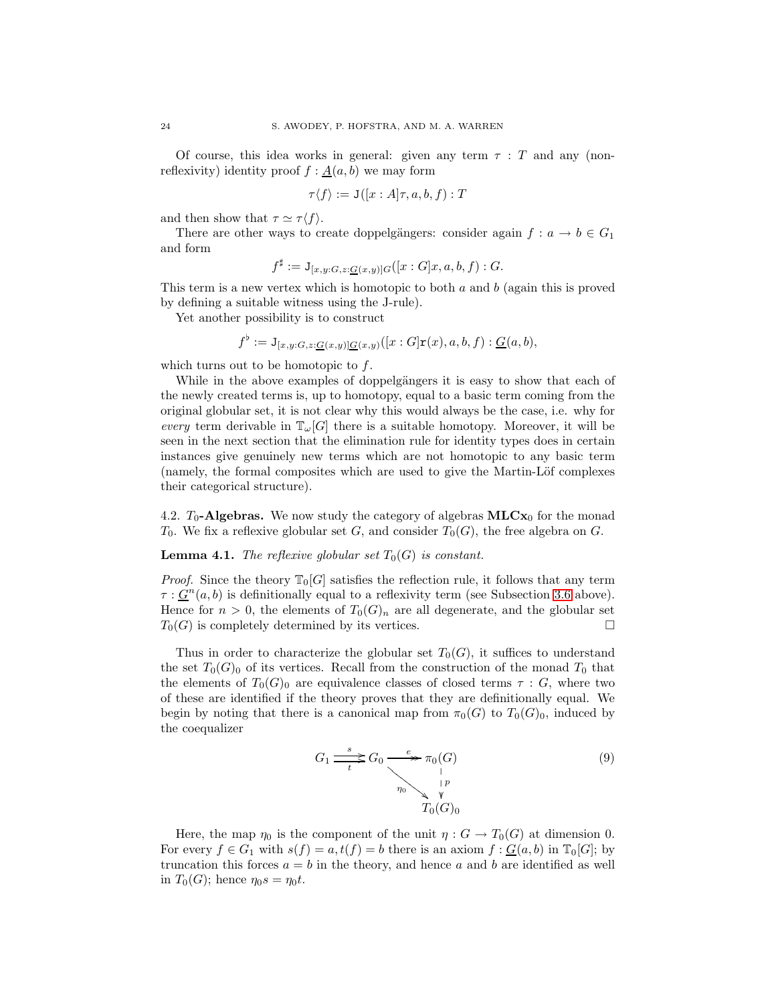Of course, this idea works in general: given any term  $\tau$ : T and any (nonreflexivity) identity proof  $f : \underline{A}(a, b)$  we may form

$$
\tau \langle f \rangle := \mathtt{J}([x : A] \tau, a, b, f) : T
$$

and then show that  $\tau \simeq \tau \langle f \rangle$ .

There are other ways to create doppelgängers: consider again  $f: a \to b \in G_1$ and form

$$
f^{\sharp} := \mathcal{J}_{[x,y:G,z:\underline{G}(x,y)]G}([x:G]x,a,b,f):G.
$$

This term is a new vertex which is homotopic to both  $a$  and  $b$  (again this is proved by defining a suitable witness using the J-rule).

Yet another possibility is to construct

$$
f^{\flat} := \mathbf{J}_{[x,y:G,z:\mathcal{L}(x,y)]\mathcal{L}(x,y)}([x:G]\mathbf{r}(x),a,b,f): \mathcal{L}(a,b),
$$

which turns out to be homotopic to  $f$ .

While in the above examples of doppelgängers it is easy to show that each of the newly created terms is, up to homotopy, equal to a basic term coming from the original globular set, it is not clear why this would always be the case, i.e. why for *every* term derivable in  $\mathbb{T}_{\omega}[G]$  there is a suitable homotopy. Moreover, it will be seen in the next section that the elimination rule for identity types does in certain instances give genuinely new terms which are not homotopic to any basic term (namely, the formal composites which are used to give the Martin-Löf complexes their categorical structure).

<span id="page-23-0"></span>4.2.  $T_0$ -Algebras. We now study the category of algebras  $MLCx_0$  for the monad  $T_0$ . We fix a reflexive globular set G, and consider  $T_0(G)$ , the free algebra on G.

# **Lemma 4.1.** *The reflexive globular set*  $T_0(G)$  *is constant.*

*Proof.* Since the theory  $\mathbb{T}_0[G]$  satisfies the reflection rule, it follows that any term  $\tau: \underline{G}^n(a, b)$  is definitionally equal to a reflexivity term (see Subsection [3.6](#page-20-0) above). Hence for  $n > 0$ , the elements of  $T_0(G)_n$  are all degenerate, and the globular set  $T_0(G)$  is completely determined by its vertices.

Thus in order to characterize the globular set  $T_0(G)$ , it suffices to understand the set  $T_0(G)_0$  of its vertices. Recall from the construction of the monad  $T_0$  that the elements of  $T_0(G)_0$  are equivalence classes of closed terms  $\tau : G$ , where two of these are identified if the theory proves that they are definitionally equal. We begin by noting that there is a canonical map from  $\pi_0(G)$  to  $T_0(G)_0$ , induced by the coequalizer

$$
G_1 \xrightarrow{s} G_0 \xrightarrow{e} \pi_0(G) \qquad (9)
$$
  
\n
$$
\downarrow^{p} \qquad \qquad \downarrow^{p}
$$
  
\n
$$
T_0(G)_0
$$

Here, the map  $\eta_0$  is the component of the unit  $\eta: G \to T_0(G)$  at dimension 0. For every  $f \in G_1$  with  $s(f) = a, t(f) = b$  there is an axiom  $f : G(a, b)$  in  $\mathbb{T}_0[G]$ ; by truncation this forces  $a = b$  in the theory, and hence a and b are identified as well in  $T_0(G)$ ; hence  $\eta_0 s = \eta_0 t$ .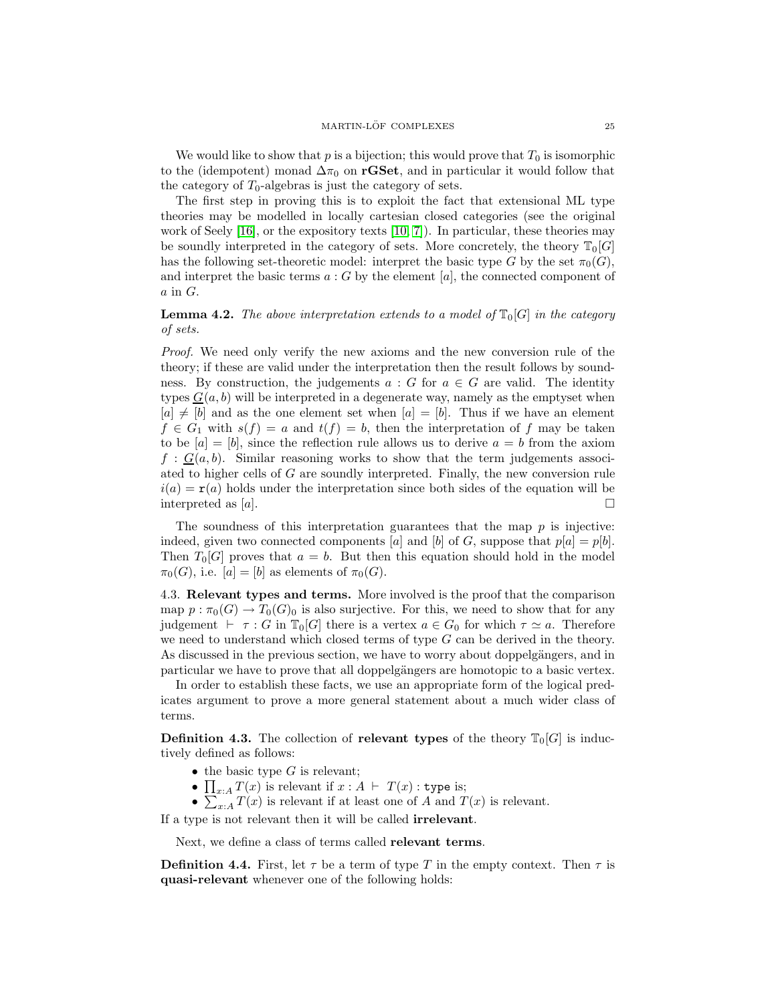We would like to show that p is a bijection; this would prove that  $T_0$  is isomorphic to the (idempotent) monad  $\Delta \pi_0$  on rGSet, and in particular it would follow that the category of  $T_0$ -algebras is just the category of sets.

The first step in proving this is to exploit the fact that extensional ML type theories may be modelled in locally cartesian closed categories (see the original work of Seely  $[16]$ , or the expository texts  $[10, 7]$  $[10, 7]$ . In particular, these theories may be soundly interpreted in the category of sets. More concretely, the theory  $\mathbb{T}_0[G]$ has the following set-theoretic model: interpret the basic type G by the set  $\pi_0(G)$ , and interpret the basic terms  $a : G$  by the element  $[a]$ , the connected component of  $a$  in  $G$ .

**Lemma 4.2.** The above interpretation extends to a model of  $\mathbb{T}_0[G]$  in the category *of sets.*

*Proof.* We need only verify the new axioms and the new conversion rule of the theory; if these are valid under the interpretation then the result follows by soundness. By construction, the judgements  $a : G$  for  $a \in G$  are valid. The identity types  $G(a, b)$  will be interpreted in a degenerate way, namely as the emptyset when  $[a] \neq [b]$  and as the one element set when  $[a] = [b]$ . Thus if we have an element  $f \in G_1$  with  $s(f) = a$  and  $t(f) = b$ , then the interpretation of f may be taken to be  $[a] = [b]$ , since the reflection rule allows us to derive  $a = b$  from the axiom  $f : G(a, b)$ . Similar reasoning works to show that the term judgements associated to higher cells of G are soundly interpreted. Finally, the new conversion rule  $i(a) = r(a)$  holds under the interpretation since both sides of the equation will be interpreted as  $|a|$ .

The soundness of this interpretation guarantees that the map  $p$  is injective: indeed, given two connected components [a] and [b] of G, suppose that  $p[a] = p[b]$ . Then  $T_0[G]$  proves that  $a = b$ . But then this equation should hold in the model  $\pi_0(G)$ , i.e.  $[a] = [b]$  as elements of  $\pi_0(G)$ .

<span id="page-24-0"></span>4.3. Relevant types and terms. More involved is the proof that the comparison map  $p : \pi_0(G) \to T_0(G)_0$  is also surjective. For this, we need to show that for any judgement  $\vdash \tau : G$  in  $\mathbb{T}_0[G]$  there is a vertex  $a \in G_0$  for which  $\tau \simeq a$ . Therefore we need to understand which closed terms of type  $G$  can be derived in the theory. As discussed in the previous section, we have to worry about doppelgängers, and in particular we have to prove that all doppelgängers are homotopic to a basic vertex.

In order to establish these facts, we use an appropriate form of the logical predicates argument to prove a more general statement about a much wider class of terms.

**Definition 4.3.** The collection of **relevant types** of the theory  $\mathbb{T}_0[G]$  is inductively defined as follows:

- the basic type  $G$  is relevant;
- $\bullet$   $\prod_{x:A} T(x)$  is relevant if  $x:A \vdash T(x)$ : type is;
- $\sum_{x:A} T(x)$  is relevant if at least one of A and  $T(x)$  is relevant.

If a type is not relevant then it will be called irrelevant.

Next, we define a class of terms called relevant terms.

**Definition 4.4.** First, let  $\tau$  be a term of type T in the empty context. Then  $\tau$  is quasi-relevant whenever one of the following holds: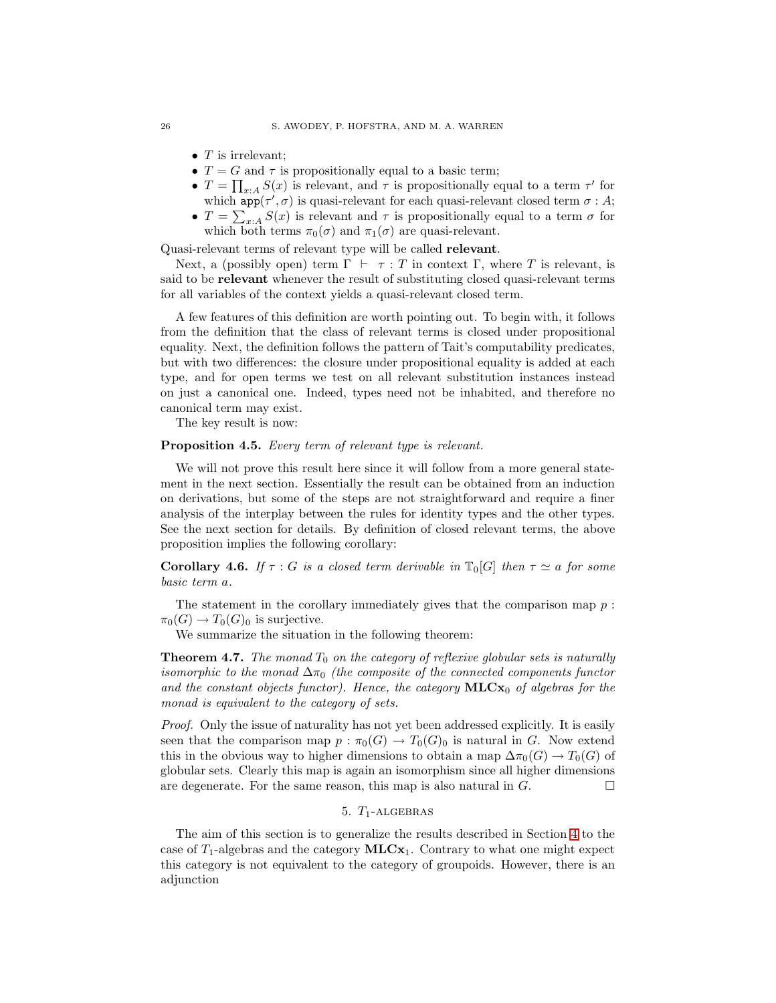- $T$  is irrelevant;
- $T = G$  and  $\tau$  is propositionally equal to a basic term;
- $T = \prod_{x:A} S(x)$  is relevant, and  $\tau$  is propositionally equal to a term  $\tau'$  for which  $app(\tau', \sigma)$  is quasi-relevant for each quasi-relevant closed term  $\sigma : A$ ;
- $T = \sum_{x:A} S(x)$  is relevant and  $\tau$  is propositionally equal to a term  $\sigma$  for which both terms  $\pi_0(\sigma)$  and  $\pi_1(\sigma)$  are quasi-relevant.

Quasi-relevant terms of relevant type will be called relevant.

Next, a (possibly open) term  $\Gamma \vdash \tau : T$  in context  $\Gamma$ , where T is relevant, is said to be relevant whenever the result of substituting closed quasi-relevant terms for all variables of the context yields a quasi-relevant closed term.

A few features of this definition are worth pointing out. To begin with, it follows from the definition that the class of relevant terms is closed under propositional equality. Next, the definition follows the pattern of Tait's computability predicates, but with two differences: the closure under propositional equality is added at each type, and for open terms we test on all relevant substitution instances instead on just a canonical one. Indeed, types need not be inhabited, and therefore no canonical term may exist.

The key result is now:

# Proposition 4.5. *Every term of relevant type is relevant.*

We will not prove this result here since it will follow from a more general statement in the next section. Essentially the result can be obtained from an induction on derivations, but some of the steps are not straightforward and require a finer analysis of the interplay between the rules for identity types and the other types. See the next section for details. By definition of closed relevant terms, the above proposition implies the following corollary:

**Corollary 4.6.** *If*  $\tau$  : *G is a closed term derivable in*  $\mathbb{T}_0[G]$  *then*  $\tau \simeq a$  *for some basic term* a*.*

The statement in the corollary immediately gives that the comparison map  $p$ :  $\pi_0(G) \to T_0(G)_0$  is surjective.

We summarize the situation in the following theorem:

**Theorem 4.7.** The monad  $T_0$  on the category of reflexive globular sets is naturally *isomorphic to the monad*  $\Delta \pi_0$  *(the composite of the connected components functor* and the constant objects functor). Hence, the category **MLC**x<sub>0</sub> of algebras for the *monad is equivalent to the category of sets.*

*Proof.* Only the issue of naturality has not yet been addressed explicitly. It is easily seen that the comparison map  $p : \pi_0(G) \to T_0(G)_0$  is natural in G. Now extend this in the obvious way to higher dimensions to obtain a map  $\Delta \pi_0(G) \to T_0(G)$  of globular sets. Clearly this map is again an isomorphism since all higher dimensions are degenerate. For the same reason, this map is also natural in  $G$ .

# 5.  $T_1$ -ALGEBRAS

<span id="page-25-0"></span>The aim of this section is to generalize the results described in Section [4](#page-22-0) to the case of  $T_1$ -algebras and the category  $MLCx_1$ . Contrary to what one might expect this category is not equivalent to the category of groupoids. However, there is an adjunction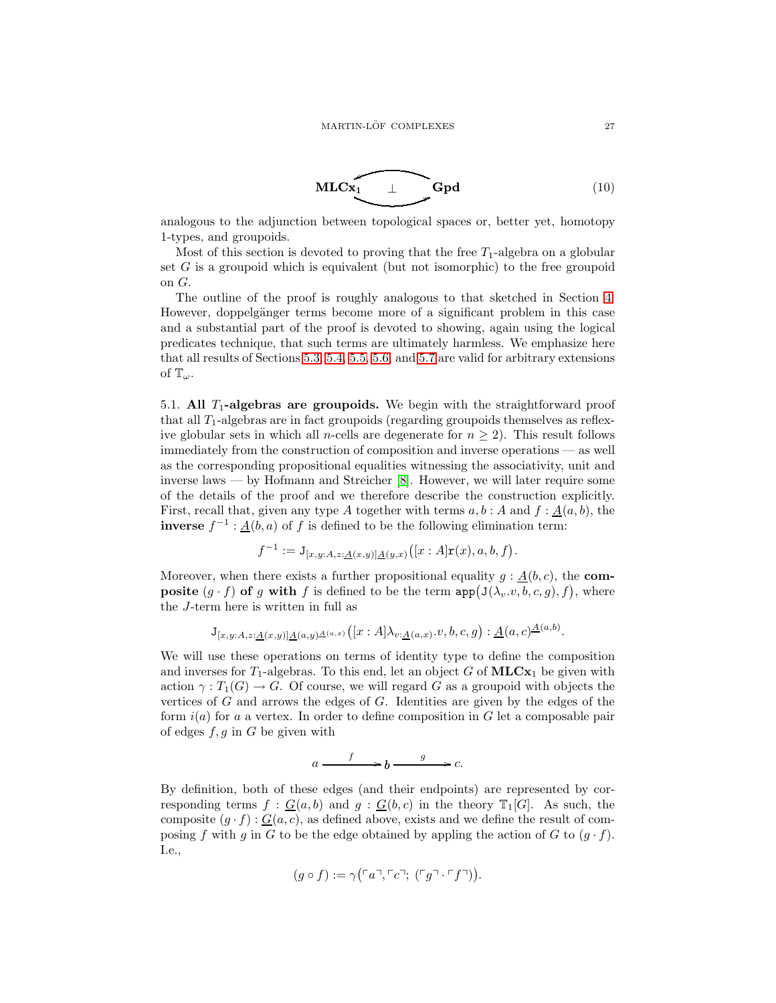<span id="page-26-1"></span>

analogous to the adjunction between topological spaces or, better yet, homotopy 1-types, and groupoids.

Most of this section is devoted to proving that the free  $T_1$ -algebra on a globular set  $G$  is a groupoid which is equivalent (but not isomorphic) to the free groupoid on G.

The outline of the proof is roughly analogous to that sketched in Section [4.](#page-22-0) However, doppelgänger terms become more of a significant problem in this case and a substantial part of the proof is devoted to showing, again using the logical predicates technique, that such terms are ultimately harmless. We emphasize here that all results of Sections [5.3,](#page-30-0) [5.4,](#page-31-0) [5.5,](#page-33-0) [5.6,](#page-34-0) and [5.7](#page-35-0) are valid for arbitrary extensions of  $\mathbb{T}_{\omega}$ .

<span id="page-26-0"></span>5.1. All  $T_1$ -algebras are groupoids. We begin with the straightforward proof that all  $T_1$ -algebras are in fact groupoids (regarding groupoids themselves as reflexive globular sets in which all *n*-cells are degenerate for  $n \geq 2$ ). This result follows immediately from the construction of composition and inverse operations — as well as the corresponding propositional equalities witnessing the associativity, unit and inverse laws — by Hofmann and Streicher [\[8\]](#page-60-9). However, we will later require some of the details of the proof and we therefore describe the construction explicitly. First, recall that, given any type A together with terms  $a, b : A$  and  $f : A(a, b)$ , the **inverse**  $f^{-1}$ :  $\underline{A}(b, a)$  of f is defined to be the following elimination term:

$$
f^{-1} := J_{[x,y:A,z:\underline{A}(x,y)]\underline{A}(y,x)}([x:A]\mathbf{r}(x),a,b,f).
$$

Moreover, when there exists a further propositional equality  $g : \underline{A}(b, c)$ , the **composite**  $(g \cdot f)$  of g with f is defined to be the term  $app(J(\lambda_v.v, b, c, g), f)$ , where the J-term here is written in full as

$$
\mathsf{J}_{[x,y:A,z:\underline{A}(x,y)]\underline{A}(a,y)\underline{A}(a,x)}([x:A]\lambda_{v:\underline{A}(a,x)}..v,b,c,g):\underline{A}(a,c)\underline{A}(a,b).
$$

We will use these operations on terms of identity type to define the composition and inverses for  $T_1$ -algebras. To this end, let an object G of  $MLCx_1$  be given with action  $\gamma: T_1(G) \to G$ . Of course, we will regard G as a groupoid with objects the vertices of  $G$  and arrows the edges of  $G$ . Identities are given by the edges of the form  $i(a)$  for a a vertex. In order to define composition in G let a composable pair of edges  $f, g$  in G be given with

$$
a \xrightarrow{f} b \xrightarrow{g} c.
$$

By definition, both of these edges (and their endpoints) are represented by corresponding terms  $f : G(a, b)$  and  $g : G(b, c)$  in the theory  $\mathbb{T}_1[G]$ . As such, the composite  $(g \cdot f) : \underline{G}(a, c)$ , as defined above, exists and we define the result of composing f with g in G to be the edge obtained by appling the action of G to  $(g \cdot f)$ . I.e.,

$$
(g \circ f) := \gamma(\ulcorner a \urcorner, \ulcorner c \urcorner; (\ulcorner g \urcorner \ulcorner f \urcorner)).
$$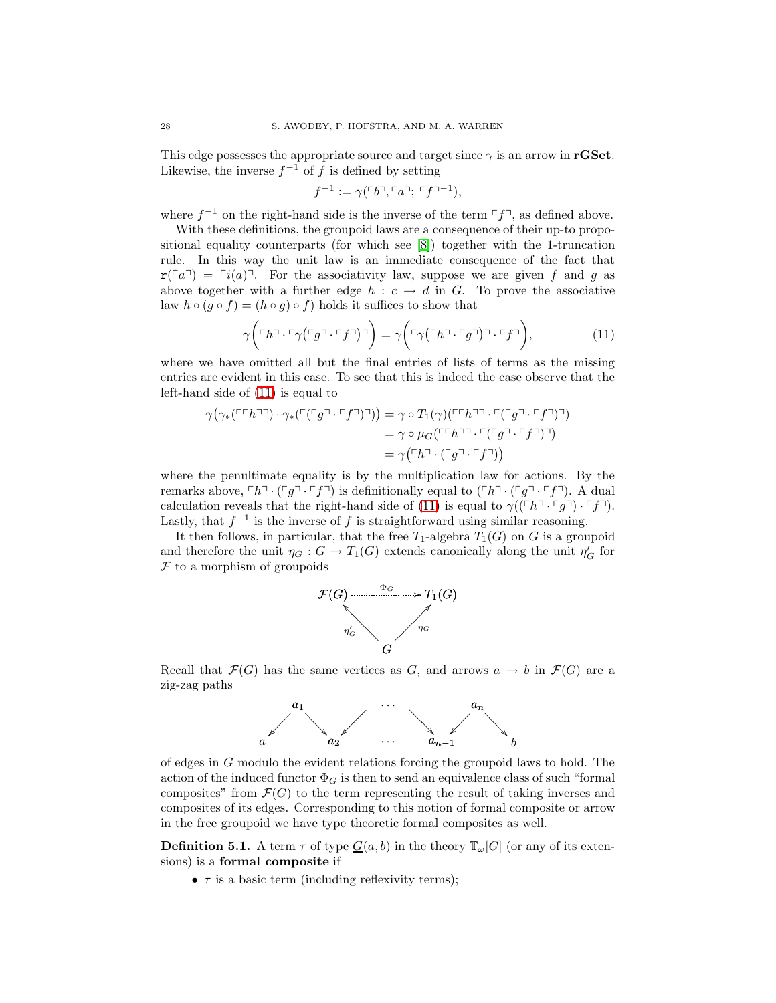This edge possesses the appropriate source and target since  $\gamma$  is an arrow in **rGSet**. Likewise, the inverse  $f^{-1}$  of f is defined by setting

<span id="page-27-0"></span>
$$
f^{-1} := \gamma(\ulcorner b \urcorner, \ulcorner a \urcorner; \ulcorner f \urcorner^{-1}),
$$

where  $f^{-1}$  on the right-hand side is the inverse of the term  $\lceil f \rceil$ , as defined above.

With these definitions, the groupoid laws are a consequence of their up-to propositional equality counterparts (for which see [\[8\]](#page-60-9)) together with the 1-truncation rule. In this way the unit law is an immediate consequence of the fact that  $\mathbf{r}(\lceil a\rceil) = \lceil i(a)\rceil$ . For the associativity law, suppose we are given f and g as above together with a further edge  $h : c \rightarrow d$  in G. To prove the associative law  $h \circ (g \circ f) = (h \circ g) \circ f$  holds it suffices to show that

$$
\gamma\bigg(\ulcorner h\urcorner\cdot\ulcorner\gamma\big(\ulcorner g\urcorner\cdot\ulcorner f\urcorner\big)\urcorner\bigg) = \gamma\bigg(\ulcorner\gamma\big(\ulcorner h\urcorner\cdot\ulcorner g\urcorner\big)\urcorner\cdot\ulcorner f\urcorner\bigg),\tag{11}
$$

where we have omitted all but the final entries of lists of terms as the missing entries are evident in this case. To see that this is indeed the case observe that the left-hand side of [\(11\)](#page-27-0) is equal to

$$
\gamma(\gamma_*(\ulcorner\ulcorner h\urcorner\urcorner)\cdot\gamma_*(\ulcorner(\ulcorner g\urcorner\ulcorner f\urcorner\urcorner\urcorner)) = \gamma \circ T_1(\gamma)(\ulcorner\ulcorner h\urcorner\urcorner\ulcorner(\ulcorner g\urcorner\ulcorner f\urcorner\urcorner\urcorner))
$$
  
=\gamma \circ \mu\_G(\ulcorner\ulcorner h\urcorner\urcorner\ulcorner(\ulcorner g\urcorner\ulcorner f\urcorner\urcorner))  
=\gamma(\ulcorner h\urcorner\ulcorner(\ulcorner g\urcorner\ulcorner f\urcorner))

where the penultimate equality is by the multiplication law for actions. By the remarks above,  $\ulcorner h \urcorner \cdot (\ulcorner g \urcorner \cdot \ulcorner f \urcorner)$  is definitionally equal to  $(\ulcorner h \urcorner \cdot (\ulcorner g \urcorner \cdot \ulcorner f \urcorner)$ . A dual calculation reveals that the right-hand side of [\(11\)](#page-27-0) is equal to  $\gamma((\ulcorner h \urcorner \ulcorner g \urcorner) \urcorner f \urcorner).$ Lastly, that  $f^{-1}$  is the inverse of f is straightforward using similar reasoning.

It then follows, in particular, that the free  $T_1$ -algebra  $T_1(G)$  on G is a groupoid and therefore the unit  $\eta_G: G \to T_1(G)$  extends canonically along the unit  $\eta'_G$  for  $F$  to a morphism of groupoids



Recall that  $\mathcal{F}(G)$  has the same vertices as G, and arrows  $a \to b$  in  $\mathcal{F}(G)$  are a zig-zag paths



of edges in G modulo the evident relations forcing the groupoid laws to hold. The action of the induced functor  $\Phi_G$  is then to send an equivalence class of such "formal" composites" from  $\mathcal{F}(G)$  to the term representing the result of taking inverses and composites of its edges. Corresponding to this notion of formal composite or arrow in the free groupoid we have type theoretic formal composites as well.

**Definition 5.1.** A term  $\tau$  of type  $G(a, b)$  in the theory  $\mathbb{T}_{\omega}[G]$  (or any of its extensions) is a formal composite if

•  $\tau$  is a basic term (including reflexivity terms);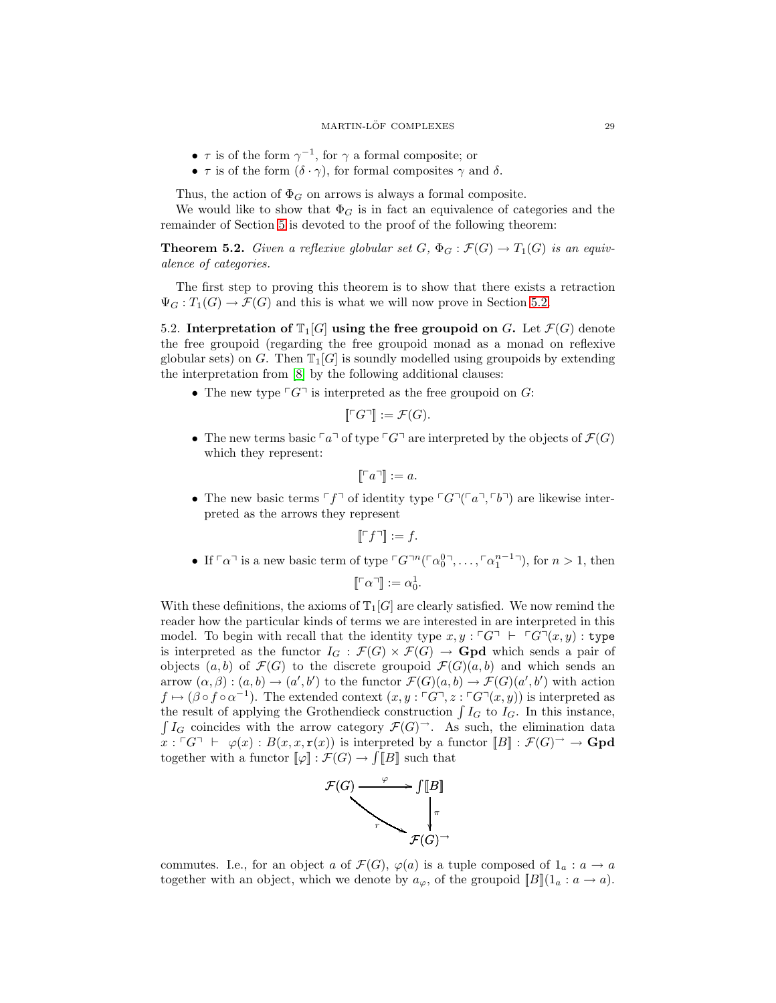- $\tau$  is of the form  $\gamma^{-1}$ , for  $\gamma$  a formal composite; or
- $\tau$  is of the form  $(\delta \cdot \gamma)$ , for formal composites  $\gamma$  and  $\delta$ .

Thus, the action of  $\Phi_G$  on arrows is always a formal composite.

We would like to show that  $\Phi_G$  is in fact an equivalence of categories and the remainder of Section [5](#page-25-0) is devoted to the proof of the following theorem:

**Theorem 5.2.** *Given a reflexive globular set*  $G$ ,  $\Phi_G : \mathcal{F}(G) \to T_1(G)$  *is an equivalence of categories.*

The first step to proving this theorem is to show that there exists a retraction  $\Psi_G: T_1(G) \to \mathcal{F}(G)$  and this is what we will now prove in Section [5.2.](#page-28-0)

<span id="page-28-0"></span>5.2. Interpretation of  $T_1[G]$  using the free groupoid on G. Let  $\mathcal{F}(G)$  denote the free groupoid (regarding the free groupoid monad as a monad on reflexive globular sets) on G. Then  $\mathbb{T}_1[G]$  is soundly modelled using groupoids by extending the interpretation from [\[8\]](#page-60-9) by the following additional clauses:

• The new type  $\ulcorner G\urcorner$  is interpreted as the free groupoid on G:

$$
\llbracket \ulcorner G \urcorner \rrbracket := \mathcal{F}(G).
$$

• The new terms basic  $\lceil a \rceil$  of type  $\lceil G \rceil$  are interpreted by the objects of  $\mathcal{F}(G)$ which they represent:

$$
\llbracket \ulcorner a \urcorner \rrbracket := a.
$$

• The new basic terms  $\ulcorner f \urcorner$  of identity type  $\ulcorner G \urcorner (\ulcorner a \urcorner, \ulcorner b \urcorner)$  are likewise interpreted as the arrows they represent

$$
\llbracket \ulcorner f \urcorner \rrbracket := f.
$$

• If  $\lceil \alpha \rceil$  is a new basic term of type  $\lceil G \rceil^n (\lceil \alpha_0^0 \rceil, \ldots, \lceil \alpha_1^{n-1} \rceil)$ , for  $n > 1$ , then

$$
[\![\ulcorner\alpha\urcorner]\!]:= \alpha_0^1.
$$

With these definitions, the axioms of  $\mathbb{T}_1[G]$  are clearly satisfied. We now remind the reader how the particular kinds of terms we are interested in are interpreted in this model. To begin with recall that the identity type  $x, y : \ulcorner G \urcorner \vdash \ulcorner G \urcorner (x, y) :$  type is interpreted as the functor  $I_G : \mathcal{F}(G) \times \mathcal{F}(G) \to \mathbf{Gpd}$  which sends a pair of objects  $(a, b)$  of  $\mathcal{F}(G)$  to the discrete groupoid  $\mathcal{F}(G)(a, b)$  and which sends an arrow  $(\alpha, \beta) : (a, b) \to (a', b')$  to the functor  $\mathcal{F}(G)(a, b) \to \mathcal{F}(G)(a', b')$  with action  $f \mapsto (\beta \circ f \circ \alpha^{-1})$ . The extended context  $(x, y : \ulcorner G \urcorner, z : \ulcorner G \urcorner (x, y))$  is interpreted as the result of applying the Grothendieck construction  $\int I_G$  to  $I_G$ . In this instance,  $\int I_G$  coincides with the arrow category  $\mathcal{F}(G)$ <sup>→</sup>. As such, the elimination data  $x : \ulcorner G \urcorner \vdash \varphi(x) : B(x, x, \mathbf{r}(x))$  is interpreted by a functor  $\llbracket B \rrbracket : \mathcal{F}(G) \urcorner \rightarrow \mathbf{Gpd}$ together with a functor  $[\![\varphi]\!] : \mathcal{F}(G) \to \iint [B]$  such that



commutes. I.e., for an object a of  $\mathcal{F}(G)$ ,  $\varphi(a)$  is a tuple composed of  $1_a : a \to a$ together with an object, which we denote by  $a_{\varphi}$ , of the groupoid  $[[B]](1_a : a \to a)$ .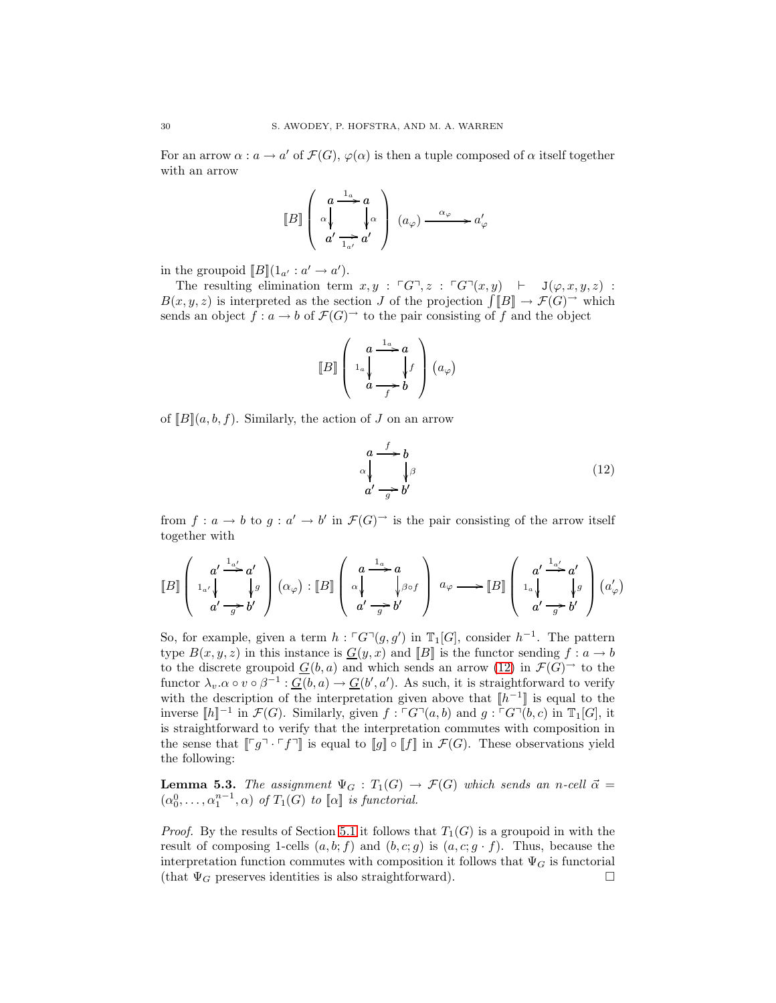For an arrow  $\alpha : a \to a'$  of  $\mathcal{F}(G)$ ,  $\varphi(\alpha)$  is then a tuple composed of  $\alpha$  itself together with an arrow

$$
\llbracket B\rrbracket \left(\begin{array}{c} a \xrightarrow{1_a} a \\ \alpha \downarrow \\ a' \xrightarrow{1_{a'}} a'\end{array}\right) (a_\varphi) \xrightarrow{\alpha_\varphi} a'_\varphi
$$

in the groupoid  $[\![B]\!](1_{a'}:a'\to a').$ 

The resulting elimination term  $x, y : \ulcorner G \urcorner, z : \ulcorner G \urcorner (x, y) \vdash J(\varphi, x, y, z) :$  $B(x, y, z)$  is interpreted as the section J of the projection  $\iiint [B] \to \mathcal{F}(G)$ <sup>-1</sup> which sends an object  $f : a \to b$  of  $\mathcal{F}(G)$ <sup> $\to$ </sup> to the pair consisting of f and the object

$$
\llbracket B \rrbracket \left( \begin{array}{c} a \xrightarrow{1_a} a \\ 1_a \downarrow \\ a \xrightarrow{f} b \end{array} \right) (a_\varphi)
$$

of  $[B](a, b, f)$ . Similarly, the action of J on an arrow

<span id="page-29-0"></span>
$$
\begin{array}{ccc}\n a \xrightarrow{f} & b \\
 \alpha \downarrow & \downarrow \beta \\
 a' \xrightarrow{g} b'\n\end{array} \tag{12}
$$

from  $f: a \to b$  to  $g: a' \to b'$  in  $\mathcal{F}(G)$ <sup> $\to$ </sup> is the pair consisting of the arrow itself together with

$$
\llbracket B \rrbracket \left( \begin{array}{c} a' \xrightarrow{1_{a'}} a' \\ 1_{a'} \downarrow \\ a' \xrightarrow{g} b' \end{array} \right) (\alpha_{\varphi}) : \llbracket B \rrbracket \left( \begin{array}{c} a \xrightarrow{1_{a}} a \\ \alpha \downarrow \\ a' \xrightarrow{g} b' \end{array} \right) a_{\varphi} \longrightarrow \llbracket B \rrbracket \left( \begin{array}{c} a' \xrightarrow{1_{a'}} a' \\ 1_{a} \downarrow \\ a' \xrightarrow{g} b' \end{array} \right) (a'_{\varphi})
$$

So, for example, given a term  $h: \ulcorner G\urcorner(g, g')$  in  $\mathbb{T}_1[G]$ , consider  $h^{-1}$ . The pattern type  $B(x, y, z)$  in this instance is  $\underline{G}(y, x)$  and  $[\![B]\!]$  is the functor sending  $f : a \to b$ to the discrete groupoid  $G(b, a)$  and which sends an arrow [\(12\)](#page-29-0) in  $\mathcal{F}(G)$ <sup> $\rightarrow$ </sup> to the functor  $\lambda_v.\alpha \circ v \circ \beta^{-1} : \underline{G}(b,a) \to \underline{G}(b',a')$ . As such, it is straightforward to verify with the description of the interpretation given above that  $[h^{-1}]$  is equal to the inverse  $[[h]]^{-1}$  in  $\mathcal{F}(G)$ . Similarly, given f:  $\ulcorner G\urcorner(a, b)$  and  $g: \ulcorner G\urcorner(b, c)$  in  $\mathbb{T}_1[G]$ , it is straightforward to verify that the interpretation commutes with composition in the sense that  $\llbracket \ulcorner g \urcorner \cdot \ulcorner f \urcorner \rrbracket$  is equal to  $\llbracket g \rrbracket \circ \llbracket f \rrbracket$  in  $\mathcal{F}(G)$ . These observations yield the following:

**Lemma 5.3.** The assignment  $\Psi_G : T_1(G) \to \mathcal{F}(G)$  which sends an n-cell  $\vec{\alpha} =$  $(\alpha_0^0, \ldots, \alpha_1^{n-1}, \alpha)$  *of*  $T_1(G)$  *to*  $[\![\alpha]\!]$  *is functorial.* 

*Proof.* By the results of Section [5.1](#page-26-0) it follows that  $T_1(G)$  is a groupoid in with the result of composing 1-cells  $(a, b; f)$  and  $(b, c; g)$  is  $(a, c; g \cdot f)$ . Thus, because the interpretation function commutes with composition it follows that  $\Psi_G$  is functorial (that  $\Psi_G$  preserves identities is also straightforward).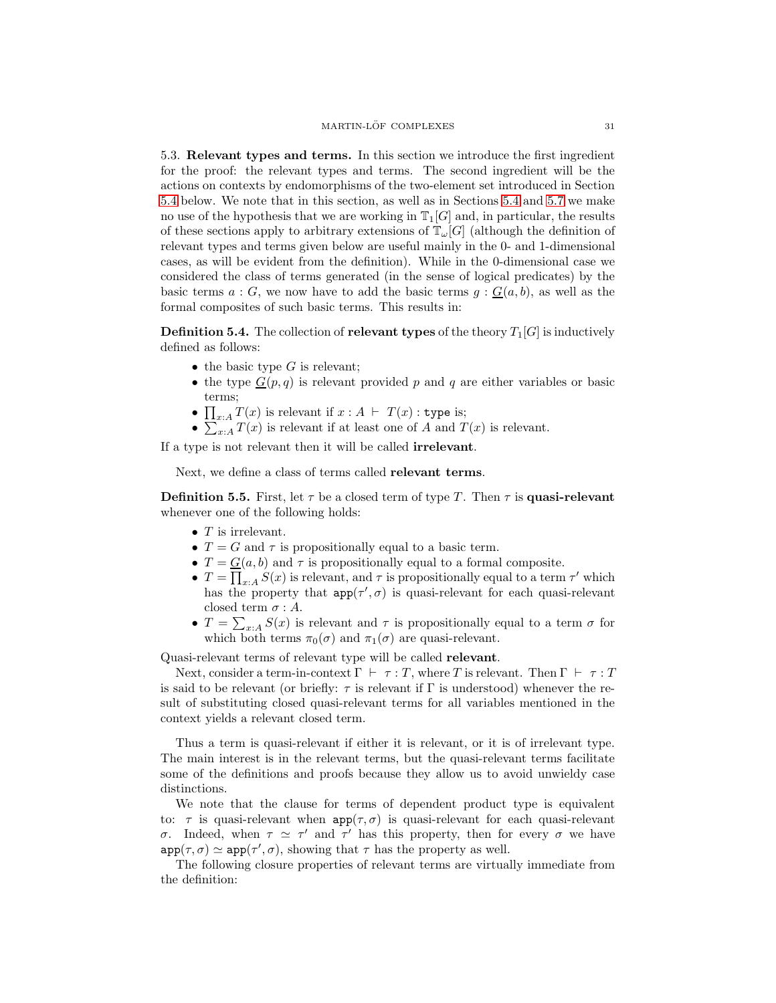<span id="page-30-0"></span>5.3. Relevant types and terms. In this section we introduce the first ingredient for the proof: the relevant types and terms. The second ingredient will be the actions on contexts by endomorphisms of the two-element set introduced in Section [5.4](#page-31-0) below. We note that in this section, as well as in Sections [5.4](#page-31-0) and [5.7](#page-35-0) we make no use of the hypothesis that we are working in  $\mathbb{T}_1[G]$  and, in particular, the results of these sections apply to arbitrary extensions of  $\mathbb{T}_{\omega}[G]$  (although the definition of relevant types and terms given below are useful mainly in the 0- and 1-dimensional cases, as will be evident from the definition). While in the 0-dimensional case we considered the class of terms generated (in the sense of logical predicates) by the basic terms  $a : G$ , we now have to add the basic terms  $g : G(a, b)$ , as well as the formal composites of such basic terms. This results in:

**Definition 5.4.** The collection of **relevant types** of the theory  $T_1[G]$  is inductively defined as follows:

- the basic type  $G$  is relevant;
- the type  $G(p, q)$  is relevant provided p and q are either variables or basic terms;
- $\prod_{x:A} T(x)$  is relevant if  $x:A \vdash T(x)$ : type is;
- $\sum_{x:A} T(x)$  is relevant if at least one of A and  $T(x)$  is relevant.

If a type is not relevant then it will be called irrelevant.

<span id="page-30-1"></span>Next, we define a class of terms called relevant terms.

**Definition 5.5.** First, let  $\tau$  be a closed term of type T. Then  $\tau$  is quasi-relevant whenever one of the following holds:

- $\bullet$  T is irrelevant.
- $T = G$  and  $\tau$  is propositionally equal to a basic term.
- $T = G(a, b)$  and  $\tau$  is propositionally equal to a formal composite.
- $T = \prod_{x:A} S(x)$  is relevant, and  $\tau$  is propositionally equal to a term  $\tau'$  which has the property that  $app(\tau', \sigma)$  is quasi-relevant for each quasi-relevant closed term  $\sigma : A$ .
- $T = \sum_{x:A} S(x)$  is relevant and  $\tau$  is propositionally equal to a term  $\sigma$  for which both terms  $\pi_0(\sigma)$  and  $\pi_1(\sigma)$  are quasi-relevant.

Quasi-relevant terms of relevant type will be called relevant.

Next, consider a term-in-context  $\Gamma \vdash \tau : T$ , where T is relevant. Then  $\Gamma \vdash \tau : T$ is said to be relevant (or briefly:  $\tau$  is relevant if  $\Gamma$  is understood) whenever the result of substituting closed quasi-relevant terms for all variables mentioned in the context yields a relevant closed term.

Thus a term is quasi-relevant if either it is relevant, or it is of irrelevant type. The main interest is in the relevant terms, but the quasi-relevant terms facilitate some of the definitions and proofs because they allow us to avoid unwieldy case distinctions.

We note that the clause for terms of dependent product type is equivalent to:  $\tau$  is quasi-relevant when  $app(\tau, \sigma)$  is quasi-relevant for each quasi-relevant σ. Indeed, when  $τ ≈ τ'$  and  $τ'$  has this property, then for every σ we have  $app(\tau, \sigma) \simeq app(\tau', \sigma)$ , showing that  $\tau$  has the property as well.

The following closure properties of relevant terms are virtually immediate from the definition: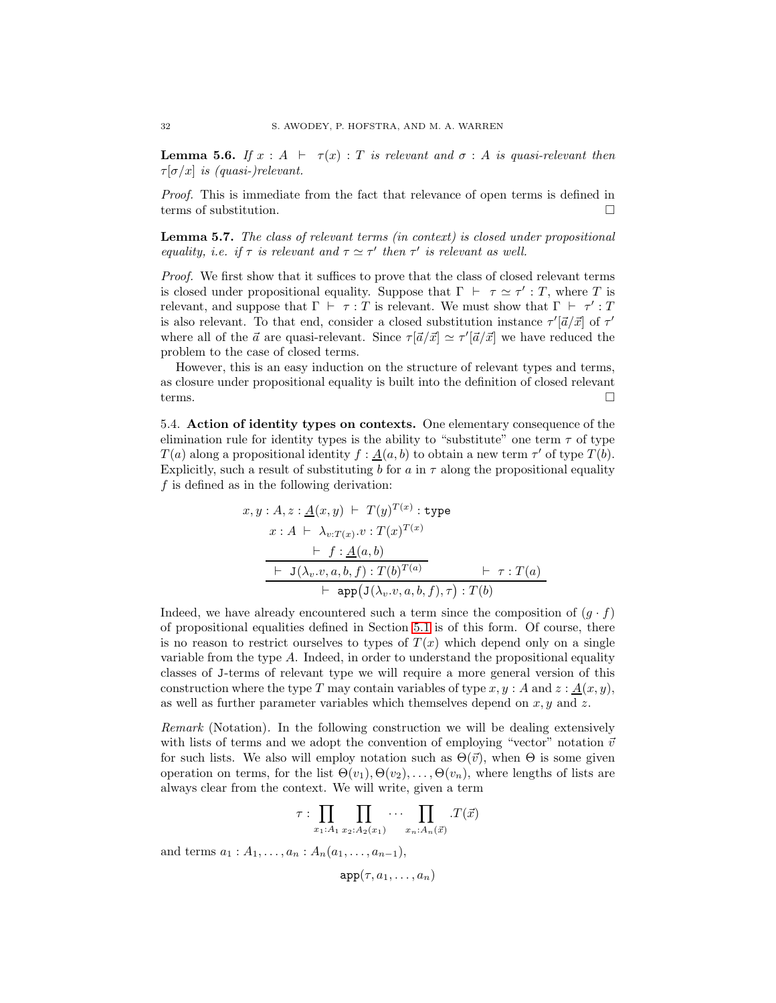**Lemma 5.6.** *If*  $x : A \vdash \tau(x) : T$  *is relevant and*  $\sigma : A$  *is quasi-relevant then*  $\tau[\sigma/x]$  *is (quasi-)relevant.* 

*Proof.* This is immediate from the fact that relevance of open terms is defined in terms of substitution.

Lemma 5.7. *The class of relevant terms (in context) is closed under propositional equality, i.e. if*  $\tau$  *is relevant and*  $\tau \simeq \tau'$  *then*  $\tau'$  *is relevant as well.* 

*Proof.* We first show that it suffices to prove that the class of closed relevant terms is closed under propositional equality. Suppose that  $\Gamma \vdash \tau \simeq \tau' : T$ , where T is relevant, and suppose that  $\Gamma \vdash \tau : T$  is relevant. We must show that  $\Gamma \vdash \tau' : T$ is also relevant. To that end, consider a closed substitution instance  $\tau'[\vec{a}/\vec{x}]$  of  $\tau'$ where all of the  $\vec{a}$  are quasi-relevant. Since  $\tau[\vec{a}/\vec{x}] \simeq \tau'[\vec{a}/\vec{x}]$  we have reduced the problem to the case of closed terms.

However, this is an easy induction on the structure of relevant types and terms, as closure under propositional equality is built into the definition of closed relevant terms.  $\Box$ 

<span id="page-31-0"></span>5.4. Action of identity types on contexts. One elementary consequence of the elimination rule for identity types is the ability to "substitute" one term  $\tau$  of type  $T(a)$  along a propositional identity  $f: \underline{A}(a, b)$  to obtain a new term  $\tau'$  of type  $T(b)$ . Explicitly, such a result of substituting b for a in  $\tau$  along the propositional equality  $f$  is defined as in the following derivation:

$$
x, y : A, z : \underline{A}(x, y) \vdash T(y)^{T(x)} : \text{type}
$$
\n
$$
x : A \vdash \lambda_{v:T(x)} \cdot v : T(x)^{T(x)} \qquad \qquad \vdash f : \underline{A}(a, b) \qquad \qquad \vdash J(\lambda_v \cdot v, a, b, f) : T(b)^{T(a)} \qquad \qquad \vdash \tau : T(a) \qquad \qquad \vdash \text{app}(J(\lambda_v \cdot v, a, b, f), \tau) : T(b)
$$

Indeed, we have already encountered such a term since the composition of  $(g \cdot f)$ of propositional equalities defined in Section [5.1](#page-26-0) is of this form. Of course, there is no reason to restrict ourselves to types of  $T(x)$  which depend only on a single variable from the type  $A$ . Indeed, in order to understand the propositional equality classes of J-terms of relevant type we will require a more general version of this construction where the type T may contain variables of type  $x, y : A$  and  $z : \underline{A}(x, y)$ , as well as further parameter variables which themselves depend on  $x, y$  and  $z$ .

*Remark* (Notation)*.* In the following construction we will be dealing extensively with lists of terms and we adopt the convention of employing "vector" notation  $\vec{v}$ for such lists. We also will employ notation such as  $\Theta(\vec{v})$ , when  $\Theta$  is some given operation on terms, for the list  $\Theta(v_1), \Theta(v_2), \ldots, \Theta(v_n)$ , where lengths of lists are always clear from the context. We will write, given a term

$$
\tau : \prod_{x_1:A_1} \prod_{x_2:A_2(x_1)} \cdots \prod_{x_n:A_n(\vec{x})} \cdot T(\vec{x})
$$

and terms  $a_1 : A_1, \ldots, a_n : A_n(a_1, \ldots, a_{n-1}),$ 

 $app(\tau, a_1, \ldots, a_n)$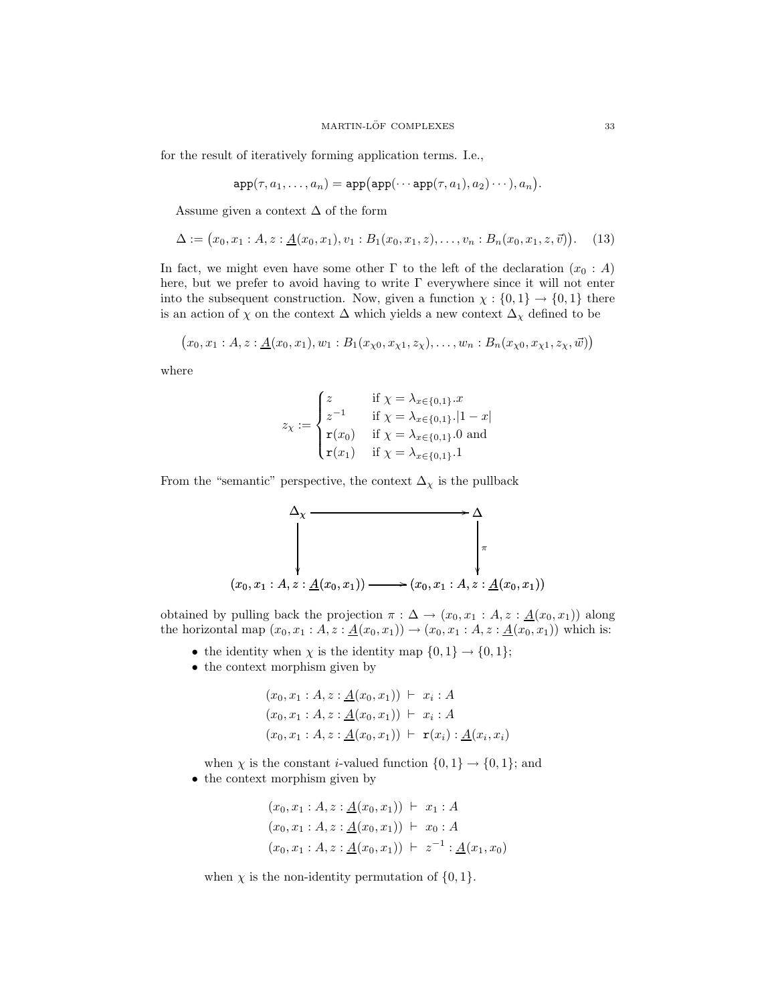for the result of iteratively forming application terms. I.e.,

$$
\mathtt{app}(\tau, a_1, \ldots, a_n) = \mathtt{app}\big(\mathtt{app}(\cdots \mathtt{app}(\tau, a_1), a_2) \cdots), a_n\big).
$$

Assume given a context  $\Delta$  of the form

$$
\Delta := (x_0, x_1 : A, z : \underline{A}(x_0, x_1), v_1 : B_1(x_0, x_1, z), \dots, v_n : B_n(x_0, x_1, z, \vec{v})). \tag{13}
$$

In fact, we might even have some other  $\Gamma$  to the left of the declaration  $(x_0 : A)$ here, but we prefer to avoid having to write Γ everywhere since it will not enter into the subsequent construction. Now, given a function  $\chi : \{0,1\} \to \{0,1\}$  there is an action of  $\chi$  on the context  $\Delta$  which yields a new context  $\Delta_{\chi}$  defined to be

$$
(x_0, x_1 : A, z : \underline{A}(x_0, x_1), w_1 : B_1(x_{\chi_0}, x_{\chi_1}, z_{\chi}), \ldots, w_n : B_n(x_{\chi_0}, x_{\chi_1}, z_{\chi}, \vec{w}))
$$

where

<span id="page-32-0"></span>
$$
z_{\chi} := \begin{cases} z & \text{if } \chi = \lambda_{x \in \{0,1\}}.x \\ z^{-1} & \text{if } \chi = \lambda_{x \in \{0,1\}} . |1 - x| \\ \mathbf{r}(x_0) & \text{if } \chi = \lambda_{x \in \{0,1\}}.0 \text{ and} \\ \mathbf{r}(x_1) & \text{if } \chi = \lambda_{x \in \{0,1\}}.1 \end{cases}
$$

From the "semantic" perspective, the context  $\Delta_\chi$  is the pullback



obtained by pulling back the projection  $\pi : \Delta \to (x_0, x_1 : A, z : \underline{A}(x_0, x_1))$  along the horizontal map  $(x_0, x_1 : A, z : \underline{A}(x_0, x_1)) \to (x_0, x_1 : A, z : \underline{A}(x_0, x_1))$  which is:

- the identity when  $\chi$  is the identity map  $\{0,1\} \to \{0,1\};$
- the context morphism given by

$$
(x_0, x_1 : A, z : \underline{A}(x_0, x_1)) \vdash x_i : A
$$
  
\n
$$
(x_0, x_1 : A, z : \underline{A}(x_0, x_1)) \vdash x_i : A
$$
  
\n
$$
(x_0, x_1 : A, z : \underline{A}(x_0, x_1)) \vdash \mathbf{r}(x_i) : \underline{A}(x_i, x_i)
$$

when  $\chi$  is the constant *i*-valued function  $\{0, 1\} \to \{0, 1\}$ ; and • the context morphism given by

$$
(x_0, x_1 : A, z : \underline{A}(x_0, x_1)) \vdash x_1 : A
$$
  
\n
$$
(x_0, x_1 : A, z : \underline{A}(x_0, x_1)) \vdash x_0 : A
$$
  
\n
$$
(x_0, x_1 : A, z : \underline{A}(x_0, x_1)) \vdash z^{-1} : \underline{A}(x_1, x_0)
$$

when  $\chi$  is the non-identity permutation of  $\{0, 1\}.$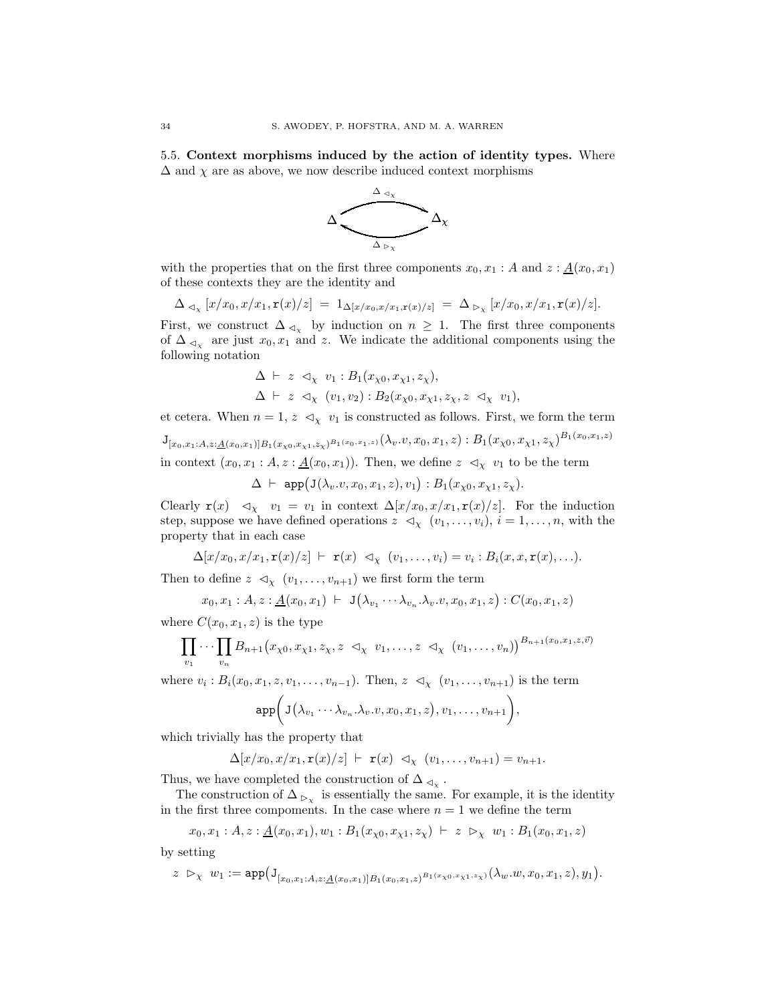<span id="page-33-0"></span>5.5. Context morphisms induced by the action of identity types. Where  $\Delta$  and  $\chi$  are as above, we now describe induced context morphisms



with the properties that on the first three components  $x_0, x_1 : A$  and  $z : \underline{A}(x_0, x_1)$ of these contexts they are the identity and

$$
\Delta_{\lhd_{\chi}}[x/x_0,x/x_1,\mathbf{r}(x)/z] = 1_{\Delta[x/x_0,x/x_1,\mathbf{r}(x)/z]} = \Delta_{\rhd_{\chi}}[x/x_0,x/x_1,\mathbf{r}(x)/z].
$$

First, we construct  $\Delta_{\leq \chi}$  by induction on  $n \geq 1$ . The first three components of  $\Delta_{\leq x}$  are just  $x_0, x_1$  and z. We indicate the additional components using the following notation

$$
\Delta \vdash z \lhd_{\chi} v_1 : B_1(x_{\chi 0}, x_{\chi 1}, z_{\chi}), \n\Delta \vdash z \lhd_{\chi} (v_1, v_2) : B_2(x_{\chi 0}, x_{\chi 1}, z_{\chi}, z \lhd_{\chi} v_1),
$$

et cetera. When  $n = 1, z \leq x \leq v_1$  is constructed as follows. First, we form the term

 ${\rm J}_{[x_0, x_1:A, z:\underline{A}(x_0, x_1)]B_1(x_{\chi 0}, x_{\chi 1}, z_{\chi})^{B_1(x_0, x_1,z)} }(\lambda_v.v, x_0, x_1, z): B_1(x_{\chi 0}, x_{\chi 1}, z_{\chi})^{B_1(x_0, x_1,z)}$ in context  $(x_0, x_1 : A, z : \underline{A}(x_0, x_1))$ . Then, we define  $z \leq_X v_1$  to be the term

 $\Delta \ \vdash \ \mathtt{app} \big( \mathtt{J} (\lambda_v. v, x_0, x_1, z), v_1 \big) : B_1 (x_{\chi 0}, x_{\chi 1}, z_{\chi}).$ 

Clearly  $\mathbf{r}(x) \leq \mathcal{L}_\chi \quad v_1 = v_1$  in context  $\Delta[x/x_0, x/x_1, \mathbf{r}(x)/z]$ . For the induction step, suppose we have defined operations  $z \prec_{\chi} (v_1, \ldots, v_i), i = 1, \ldots, n$ , with the property that in each case

$$
\Delta[x/x_0, x/x_1, \mathbf{r}(x)/z] \vdash \mathbf{r}(x) \triangleleft_{\chi} (v_1, \ldots, v_i) = v_i : B_i(x, x, \mathbf{r}(x), \ldots).
$$

Then to define  $z \leq \langle v_1, \ldots, v_{n+1} \rangle$  we first form the term

$$
x_0, x_1 : A, z : \underline{A}(x_0, x_1) \vdash J(\lambda_{v_1} \cdots \lambda_{v_n} \cdot \lambda_v \cdot v, x_0, x_1, z) : C(x_0, x_1, z)
$$

where  $C(x_0, x_1, z)$  is the type

$$
\prod_{v_1} \cdots \prod_{v_n} B_{n+1}(x_{\chi 0}, x_{\chi 1}, z_{\chi}, z \prec_{\chi} v_1, \ldots, z \prec_{\chi} (v_1, \ldots, v_n))^{B_{n+1}(x_0, x_1, z, \vec{v})}
$$

where  $v_i : B_i(x_0, x_1, z, v_1, \ldots, v_{n-1})$ . Then,  $z \leq x_i (v_1, \ldots, v_{n+1})$  is the term

$$
\mathrm{app}\bigg(\mathrm{J}\big(\lambda_{v_1}\cdots\lambda_{v_n}.\lambda_v.v,x_0,x_1,z\big),v_1,\ldots,v_{n+1}\bigg)
$$

,

which trivially has the property that

$$
\Delta[x/x_0, x/x_1, \mathbf{r}(x)/z] \vdash \mathbf{r}(x) \triangleleft_X (v_1, \ldots, v_{n+1}) = v_{n+1}.
$$

Thus, we have completed the construction of  $\Delta_{\lhd_\chi}$ .

The construction of  $\Delta_{\triangleright_{\chi}}$  is essentially the same. For example, it is the identity in the first three compoments. In the case where  $n = 1$  we define the term

$$
x_0, x_1 : A, z : \underline{A}(x_0, x_1), w_1 : B_1(x_{\chi 0}, x_{\chi 1}, z_{\chi}) \vdash z \rhd_{\chi} w_1 : B_1(x_0, x_1, z)
$$

by setting

$$
z \; \rhd_{\chi} \; w_1 := \mathrm{app} \big( \mathrm{J}_{[x_0,x_1:A,z:\underline{A}(x_0,x_1)]B_1(x_0,x_1,z)} B_1(x_0,x_1,z_1)}(\lambda_w.w,x_0,x_1,z),y_1 \big).
$$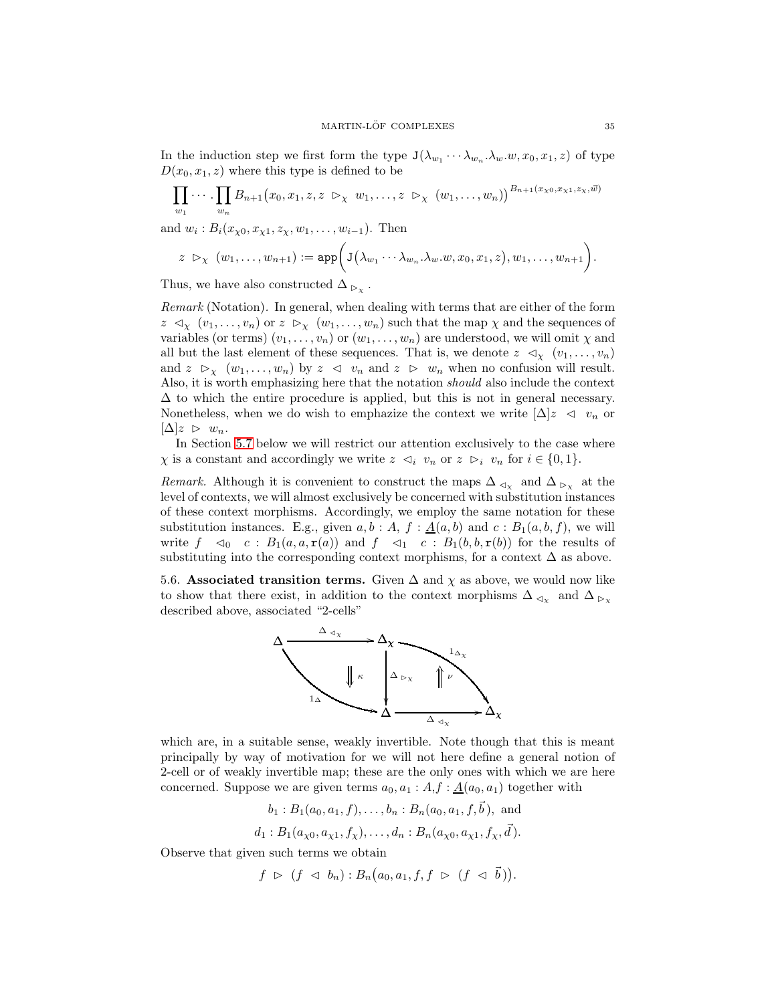In the induction step we first form the type  $J(\lambda_{w_1} \cdots \lambda_{w_n} \lambda_w w, x_0, x_1, z)$  of type  $D(x_0, x_1, z)$  where this type is defined to be

$$
\prod_{w_1} \cdots \prod_{w_n} B_{n+1}(x_0, x_1, z, z \triangleright_{\chi} w_1, \ldots, z \triangleright_{\chi} (w_1, \ldots, w_n))^{B_{n+1}(x_{\chi_0}, x_{\chi_1}, z_{\chi}, \vec{w})}
$$

and  $w_i: B_i(x_{\chi 0}, x_{\chi 1}, z_{\chi}, w_1, \ldots, w_{i-1})$ . Then

$$
z \; \rhd_{\chi} \; (w_1,\ldots,w_{n+1}) := \mathrm{app}\bigg(\mathsf{J}\big(\lambda_{w_1}\cdots \lambda_{w_n}.\lambda_w.w,x_0,x_1,z\big),w_1,\ldots,w_{n+1}\bigg).
$$

Thus, we have also constructed  $\Delta_{\triangleright_{\chi}}$ .

*Remark* (Notation)*.* In general, when dealing with terms that are either of the form  $z \prec_{\chi} (v_1, \ldots, v_n)$  or  $z \succ_{\chi} (w_1, \ldots, w_n)$  such that the map  $\chi$  and the sequences of variables (or terms)  $(v_1, \ldots, v_n)$  or  $(w_1, \ldots, w_n)$  are understood, we will omit  $\chi$  and all but the last element of these sequences. That is, we denote  $z \prec_{\chi} (v_1, \ldots, v_n)$ and  $z \ge_{\chi} (w_1, \ldots, w_n)$  by  $z \le v_n$  and  $z \ge w_n$  when no confusion will result. Also, it is worth emphasizing here that the notation *should* also include the context  $\Delta$  to which the entire procedure is applied, but this is not in general necessary. Nonetheless, when we do wish to emphazize the context we write  $|\Delta|z \leq v_n$  or  $[\Delta]z \geq w_n$ .

In Section [5.7](#page-35-0) below we will restrict our attention exclusively to the case where  $\chi$  is a constant and accordingly we write  $z \prec_i v_n$  or  $z \succ_i v_n$  for  $i \in \{0, 1\}.$ 

*Remark.* Although it is convenient to construct the maps  $\Delta_{\leq \chi}$  and  $\Delta_{\geq \chi}$  at the level of contexts, we will almost exclusively be concerned with substitution instances of these context morphisms. Accordingly, we employ the same notation for these substitution instances. E.g., given  $a, b : A, f : \underline{A}(a, b)$  and  $c : B_1(a, b, f)$ , we will write  $f \prec_0 c : B_1(a, a, r(a))$  and  $f \prec_1 c : B_1(b, b, r(b))$  for the results of substituting into the corresponding context morphisms, for a context  $\Delta$  as above.

<span id="page-34-0"></span>5.6. Associated transition terms. Given  $\Delta$  and  $\chi$  as above, we would now like to show that there exist, in addition to the context morphisms  $\Delta_{\lhd_{\mathcal{X}}}$  and  $\Delta_{\rhd_{\mathcal{X}}}$ described above, associated "2-cells"



which are, in a suitable sense, weakly invertible. Note though that this is meant principally by way of motivation for we will not here define a general notion of 2-cell or of weakly invertible map; these are the only ones with which we are here concerned. Suppose we are given terms  $a_0, a_1 : A, f : \underline{A}(a_0, a_1)$  together with

$$
b_1 : B_1(a_0, a_1, f), \ldots, b_n : B_n(a_0, a_1, f, \vec{b})
$$
, and  
 $d_1 : B_1(a_{\chi_0}, a_{\chi_1}, f_{\chi}), \ldots, d_n : B_n(a_{\chi_0}, a_{\chi_1}, f_{\chi}, \vec{d})$ .

Observe that given such terms we obtain

$$
f \ \triangleright \ (f \ \triangleleft \ b_n) : B_n(a_0, a_1, f, f \ \triangleright \ (f \ \triangleleft \ \vec{b})).
$$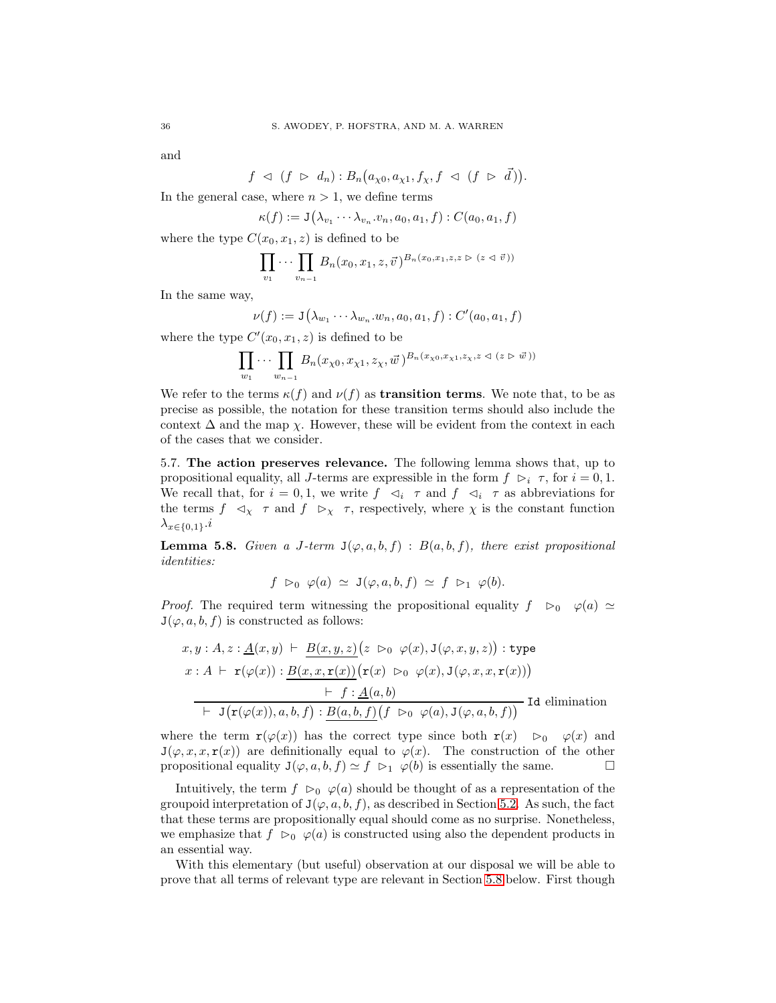and

 $f \preceq (f \rhd d_n) : B_n(a_{\chi 0}, a_{\chi 1}, f_{\chi}, f \preceq (f \rhd \vec{d})).$ 

In the general case, where  $n > 1$ , we define terms

$$
\kappa(f) := \mathbf{J}(\lambda_{v_1} \cdots \lambda_{v_n} \cdot v_n, a_0, a_1, f) : C(a_0, a_1, f)
$$

where the type  $C(x_0, x_1, z)$  is defined to be

$$
\prod_{v_1} \cdots \prod_{v_{n-1}} B_n(x_0, x_1, z, \vec{v})^{B_n(x_0, x_1, z, z \triangleright (z \triangleleft \vec{v}))}
$$

In the same way,

$$
\nu(f) := \mathbf{J}\big(\lambda_{w_1}\cdots \lambda_{w_n}.w_n,a_0,a_1,f\big): C'(a_0,a_1,f)
$$

where the type  $C'(x_0, x_1, z)$  is defined to be

$$
\prod_{w_1}\cdots\prod_{w_{n-1}}B_n(x_{\chi 0},x_{\chi 1},z_{\chi},\vec{w})^{B_n(x_{\chi 0},x_{\chi 1},z_{\chi},z\vartriangleleft (z\vartriangleright\vec{w}))}
$$

We refer to the terms  $\kappa(f)$  and  $\nu(f)$  as **transition terms**. We note that, to be as precise as possible, the notation for these transition terms should also include the context  $\Delta$  and the map  $\chi$ . However, these will be evident from the context in each of the cases that we consider.

<span id="page-35-0"></span>5.7. The action preserves relevance. The following lemma shows that, up to propositional equality, all J-terms are expressible in the form  $f \rhd_i \tau$ , for  $i = 0, 1$ . We recall that, for  $i = 0, 1$ , we write  $f \prec_i \tau$  and  $f \prec_i \tau$  as abbreviations for the terms  $f \prec_\chi \tau$  and  $f \succ_\chi \tau$ , respectively, where  $\chi$  is the constant function  $\lambda_{x\in\{0,1\}}\cdot i$ 

<span id="page-35-1"></span>**Lemma 5.8.** *Given a J-term*  $J(\varphi, a, b, f)$  :  $B(a, b, f)$ *, there exist propositional identities:*

$$
f \rhd_0 \varphi(a) \simeq J(\varphi, a, b, f) \simeq f \rhd_1 \varphi(b).
$$

*Proof.* The required term witnessing the propositional equality  $f \in \mathfrak{O}_0$   $\varphi(a) \simeq$  $J(\varphi, a, b, f)$  is constructed as follows:

$$
x, y : A, z : \underline{A}(x, y) \vdash \underline{B(x, y, z)}(z \rhd_0 \varphi(x), J(\varphi, x, y, z)) : \text{type}
$$
  

$$
x : A \vdash \mathbf{r}(\varphi(x)) : \underline{B(x, x, \mathbf{r}(x))}(\mathbf{r}(x) \rhd_0 \varphi(x), J(\varphi, x, x, \mathbf{r}(x)))
$$
  

$$
\vdash f : \underline{A}(a, b)
$$
  

$$
\vdash J(\mathbf{r}(\varphi(x)), a, b, f) : \underline{B(a, b, f)}(f \rhd_0 \varphi(a), J(\varphi, a, b, f))
$$
Id elimination

where the term  $\mathbf{r}(\varphi(x))$  has the correct type since both  $\mathbf{r}(x) \geq 0 \quad \varphi(x)$  and  $J(\varphi, x, x, r(x))$  are definitionally equal to  $\varphi(x)$ . The construction of the other propositional equality  $J(\varphi, a, b, f) \simeq f \vartriangleright_1 \varphi(b)$  is essentially the same.

Intuitively, the term  $f \rhd_0 \varphi(a)$  should be thought of as a representation of the groupoid interpretation of  $J(\varphi, a, b, f)$ , as described in Section [5.2.](#page-28-0) As such, the fact that these terms are propositionally equal should come as no surprise. Nonetheless, we emphasize that  $f \rhd_0 \varphi(a)$  is constructed using also the dependent products in an essential way.

With this elementary (but useful) observation at our disposal we will be able to prove that all terms of relevant type are relevant in Section [5.8](#page-40-0) below. First though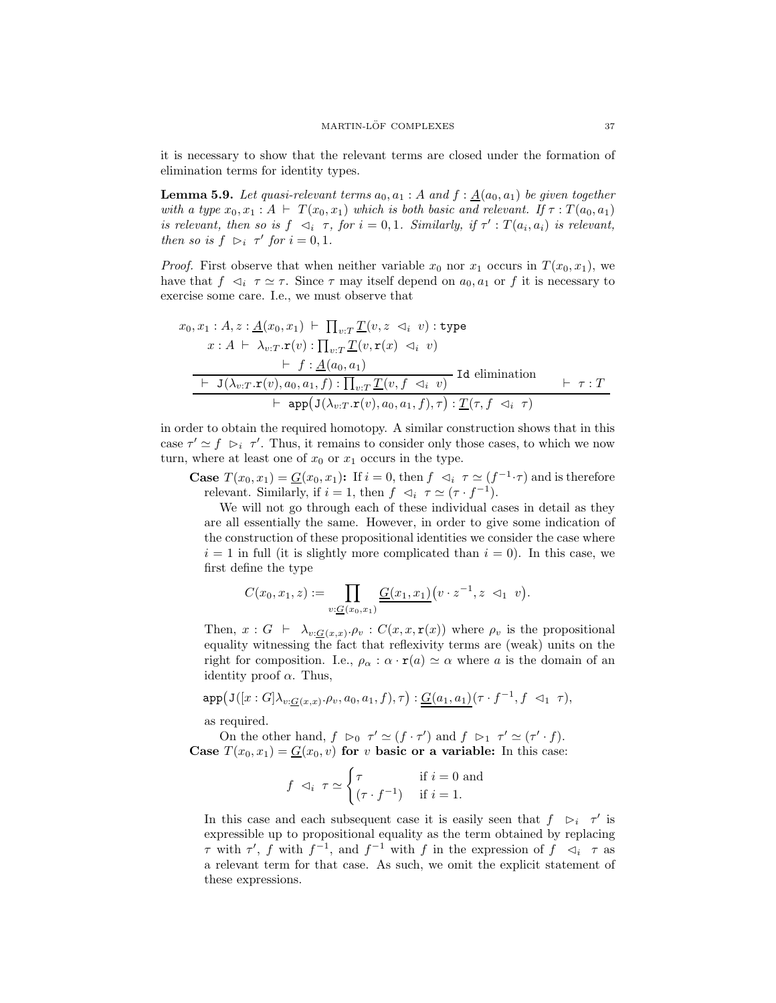<span id="page-36-0"></span>it is necessary to show that the relevant terms are closed under the formation of elimination terms for identity types.

**Lemma 5.9.** Let quasi-relevant terms  $a_0, a_1 : A$  and  $f : \underline{A}(a_0, a_1)$  be given together *with a type*  $x_0, x_1 : A \vdash T(x_0, x_1)$  *which is both basic and relevant.* If  $\tau : T(a_0, a_1)$ *is relevant, then so is*  $f \prec_i \tau$ , for  $i = 0, 1$ . Similarly, if  $\tau' : T(a_i, a_i)$  is relevant, *then so is*  $f \supset_i \tau'$  *for*  $i = 0, 1$ *.* 

*Proof.* First observe that when neither variable  $x_0$  nor  $x_1$  occurs in  $T(x_0, x_1)$ , we have that  $f \prec_i \tau \simeq \tau$ . Since  $\tau$  may itself depend on  $a_0, a_1$  or f it is necessary to exercise some care. I.e., we must observe that

$$
x_0, x_1 : A, z : \underline{A}(x_0, x_1) \vdash \prod_{v:T} \underline{T}(v, z \lhd_i v) : \text{type}
$$
  
\n
$$
x : A \vdash \lambda_{v:T}.\mathbf{r}(v) : \prod_{v:T} \underline{T}(v, \mathbf{r}(x) \lhd_i v)
$$
  
\n
$$
\vdash f : \underline{A}(a_0, a_1)
$$
  
\n
$$
\underline{\vdash} \ \underline{J}(\lambda_{v:T}.\mathbf{r}(v), a_0, a_1, f) : \prod_{v:T} \underline{T}(v, f \lhd_i v)} \ \text{Id elimination} \ \vdash \tau : T
$$
  
\n
$$
\vdash \ \text{app}(\underline{J}(\lambda_{v:T}.\mathbf{r}(v), a_0, a_1, f), \tau) : \underline{T}(\tau, f \lhd_i \tau)
$$

in order to obtain the required homotopy. A similar construction shows that in this case  $\tau' \simeq f \; \rhd_i \; \tau'$ . Thus, it remains to consider only those cases, to which we now turn, where at least one of  $x_0$  or  $x_1$  occurs in the type.

**Case**  $T(x_0, x_1) = G(x_0, x_1)$ : If  $i = 0$ , then  $f \prec_i \tau \simeq (f^{-1} \cdot \tau)$  and is therefore relevant. Similarly, if  $i = 1$ , then  $f \prec_i \tau \simeq (\tau \cdot f^{-1})$ .

We will not go through each of these individual cases in detail as they are all essentially the same. However, in order to give some indication of the construction of these propositional identities we consider the case where  $i = 1$  in full (it is slightly more complicated than  $i = 0$ ). In this case, we first define the type

$$
C(x_0,x_1,z) := \prod_{v: \underline{G}(x_0,x_1)} \underline{G(x_1,x_1)} \big( v \cdot z^{-1}, z \prec_1 v \big).
$$

Then,  $x : G \vdash \lambda_{v:G(x,x)} \rho_v : C(x,x,\mathbf{r}(x))$  where  $\rho_v$  is the propositional equality witnessing the fact that reflexivity terms are (weak) units on the right for composition. I.e.,  $\rho_{\alpha} : \alpha \cdot r(a) \simeq \alpha$  where a is the domain of an identity proof  $\alpha$ . Thus,

$$
\mathtt{app}\big(\mathtt J([x:G]\lambda_{v:\underline G(x,x)}\cdot \rho_v,a_0,a_1,f),\tau\big):\underline G(a_1,a_1)\big(\tau\cdot f^{-1},f\vartriangleleft_1\tau\big),
$$

as required.

On the other hand,  $f \rhd_0 \tau' \simeq (f \cdot \tau')$  and  $f \rhd_1 \tau' \simeq (\tau' \cdot f)$ . Case  $T(x_0, x_1) = G(x_0, v)$  for v basic or a variable: In this case:

$$
f \vartriangleleft_i \tau \simeq \begin{cases} \tau & \text{if } i = 0 \text{ and} \\ (\tau \cdot f^{-1}) & \text{if } i = 1. \end{cases}
$$

In this case and each subsequent case it is easily seen that  $f \rightharpoonup_i \tau'$  is expressible up to propositional equality as the term obtained by replacing  $\tau$  with  $\tau'$ , f with  $f^{-1}$ , and  $f^{-1}$  with f in the expression of  $f \prec_i \tau$  as a relevant term for that case. As such, we omit the explicit statement of these expressions.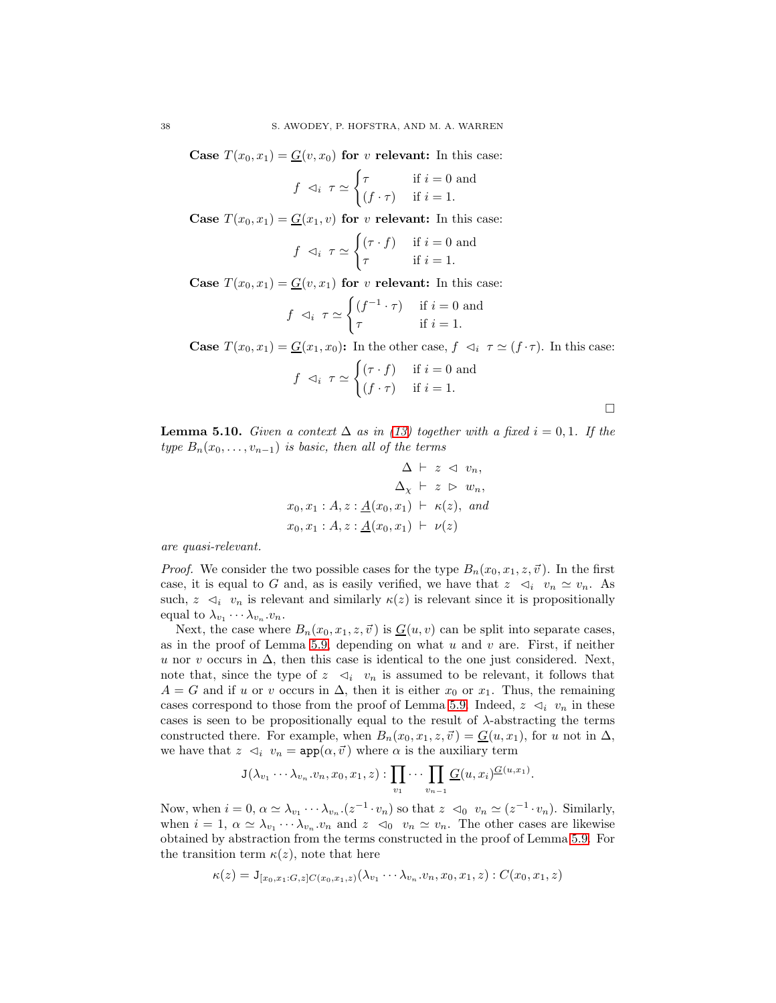Case  $T(x_0, x_1) = G(v, x_0)$  for v relevant: In this case:

$$
f \vartriangleleft_i \tau \simeq \begin{cases} \tau & \text{if } i = 0 \text{ and} \\ (f \cdot \tau) & \text{if } i = 1. \end{cases}
$$

Case  $T(x_0, x_1) = G(x_1, v)$  for v relevant: In this case:

$$
f \vartriangleleft_i \tau \simeq \begin{cases} (\tau \cdot f) & \text{if } i = 0 \text{ and} \\ \tau & \text{if } i = 1. \end{cases}
$$

Case  $T(x_0, x_1) = G(v, x_1)$  for v relevant: In this case:

$$
f \vartriangleleft_i \tau \simeq \begin{cases} (f^{-1} \cdot \tau) & \text{if } i = 0 \text{ and} \\ \tau & \text{if } i = 1. \end{cases}
$$

**Case**  $T(x_0, x_1) = G(x_1, x_0)$ : In the other case,  $f \prec_i \tau \simeq (f \cdot \tau)$ . In this case:

$$
f \vartriangleleft_i \tau \simeq \begin{cases} (\tau \cdot f) & \text{if } i = 0 \text{ and} \\ (f \cdot \tau) & \text{if } i = 1. \end{cases}
$$

 $\Box$ 

<span id="page-37-0"></span>**Lemma 5.10.** *Given a context*  $\Delta$  *as in* [\(13\)](#page-32-0) *together with a fixed*  $i = 0, 1$ *. If the type*  $B_n(x_0, \ldots, x_{n-1})$  *is basic, then all of the terms* 

$$
\Delta \vdash z \vartriangleleft v_n,
$$
  
\n
$$
\Delta_{\chi} \vdash z \vartriangleright w_n,
$$
  
\n
$$
x_0, x_1 : A, z : \underline{A}(x_0, x_1) \vdash \kappa(z), \text{ and}
$$
  
\n
$$
x_0, x_1 : A, z : \underline{A}(x_0, x_1) \vdash \nu(z)
$$

*are quasi-relevant.*

*Proof.* We consider the two possible cases for the type  $B_n(x_0, x_1, z, \vec{v})$ . In the first case, it is equal to G and, as is easily verified, we have that  $z \prec_i v_n \simeq v_n$ . As such,  $z \leq i \ v_n$  is relevant and similarly  $\kappa(z)$  is relevant since it is propositionally equal to  $\lambda_{v_1} \cdots \lambda_{v_n} v_n$ .

Next, the case where  $B_n(x_0, x_1, z, \vec{v})$  is  $G(u, v)$  can be split into separate cases, as in the proof of Lemma [5.9,](#page-36-0) depending on what u and v are. First, if neither u nor v occurs in  $\Delta$ , then this case is identical to the one just considered. Next, note that, since the type of  $z \leq v_n$  is assumed to be relevant, it follows that  $A = G$  and if u or v occurs in  $\Delta$ , then it is either  $x_0$  or  $x_1$ . Thus, the remaining cases correspond to those from the proof of Lemma [5.9.](#page-36-0) Indeed,  $z \leq i \, v_n$  in these cases is seen to be propositionally equal to the result of  $\lambda$ -abstracting the terms constructed there. For example, when  $B_n(x_0, x_1, z, \vec{v}) = \underline{G}(u, x_1)$ , for u not in  $\Delta$ , we have that  $z \leq i \ v_n = \text{app}(\alpha, \vec{v})$  where  $\alpha$  is the auxiliary term

$$
\mathsf{J}(\lambda_{v_1}\cdots \lambda_{v_n}.v_n,x_0,x_1,z):\prod_{v_1}\cdots \prod_{v_{n-1}}\underline{G}(u,x_i)^{\underline{G}(u,x_1)}.
$$

Now, when  $i = 0$ ,  $\alpha \simeq \lambda_{v_1} \cdots \lambda_{v_n}$ .  $(z^{-1} \cdot v_n)$  so that  $z \leq v_0 \cdot v_n \simeq (z^{-1} \cdot v_n)$ . Similarly, when  $i = 1, \alpha \simeq \lambda_{v_1} \cdots \lambda_{v_n} \cdot v_n$  and  $z \leq v_0 \cdots v_n \simeq v_n$ . The other cases are likewise obtained by abstraction from the terms constructed in the proof of Lemma [5.9.](#page-36-0) For the transition term  $\kappa(z)$ , note that here

$$
\kappa(z) = \mathbf{J}_{[x_0, x_1:G, z]C(x_0, x_1, z)}(\lambda_{v_1} \cdots \lambda_{v_n}.v_n, x_0, x_1, z) : C(x_0, x_1, z)
$$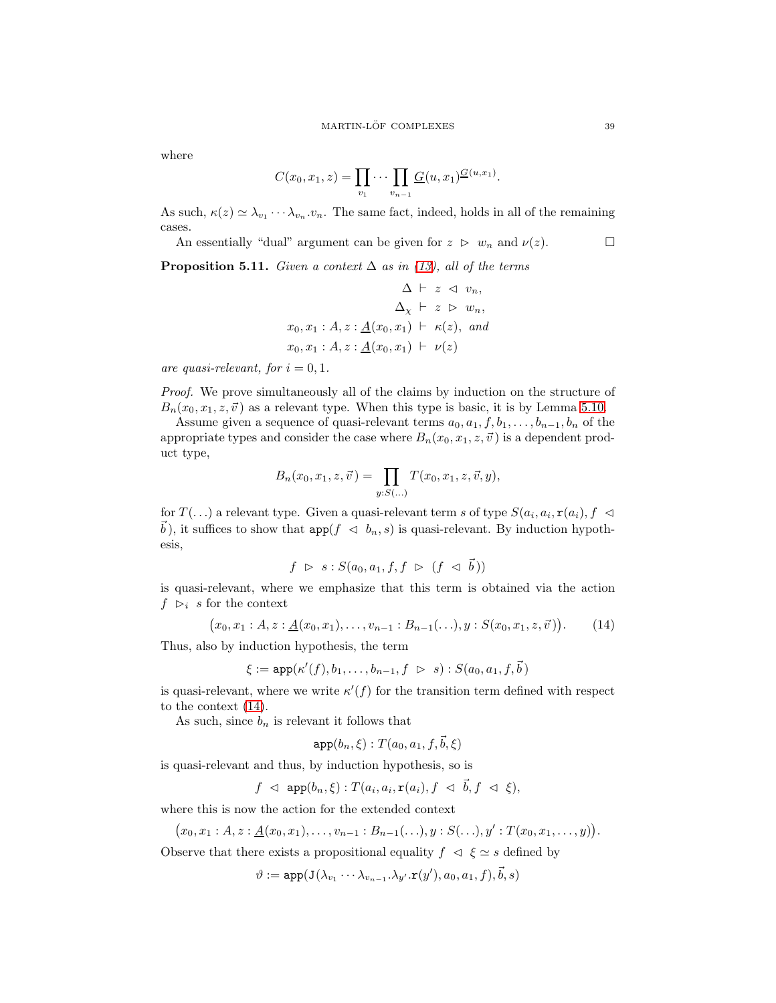where

$$
C(x_0, x_1, z) = \prod_{v_1} \cdots \prod_{v_{n-1}} \underline{G}(u, x_1)^{\underline{G}(u, x_1)}.
$$

As such,  $\kappa(z) \simeq \lambda_{v_1} \cdots \lambda_{v_n} \cdot v_n$ . The same fact, indeed, holds in all of the remaining cases.

<span id="page-38-1"></span>An essentially "dual" argument can be given for  $z \geq w_n$  and  $\nu(z)$ .

**Proposition 5.11.** *Given a context*  $\Delta$  *as in [\(13\)](#page-32-0), all of the terms* 

$$
\Delta \vdash z \vartriangleleft v_n,
$$
  
\n
$$
\Delta_{\chi} \vdash z \vartriangleright w_n,
$$
  
\n
$$
x_0, x_1 : A, z : \underline{A}(x_0, x_1) \vdash \kappa(z), \text{ and }
$$
  
\n
$$
x_0, x_1 : A, z : \underline{A}(x_0, x_1) \vdash \nu(z)
$$

*are quasi-relevant, for*  $i = 0, 1$ *.* 

*Proof.* We prove simultaneously all of the claims by induction on the structure of  $B_n(x_0, x_1, z, \vec{v})$  as a relevant type. When this type is basic, it is by Lemma [5.10.](#page-37-0)

Assume given a sequence of quasi-relevant terms  $a_0, a_1, f, b_1, \ldots, b_{n-1}, b_n$  of the appropriate types and consider the case where  $B_n(x_0, x_1, z, \vec{v})$  is a dependent product type,

$$
B_n(x_0, x_1, z, \vec{v}) = \prod_{y:S(...)} T(x_0, x_1, z, \vec{v}, y),
$$

for  $T(\ldots)$  a relevant type. Given a quasi-relevant term s of type  $S(a_i, a_i, \mathbf{r}(a_i), f \preceq$  $\vec{b}$ ), it suffices to show that  $app(f \triangleleft b_n, s)$  is quasi-relevant. By induction hypothesis,

$$
f \ \triangleright \ s : S(a_0, a_1, f, f \ \triangleright \ (f \ \triangleleft \ \vec{b}))
$$

is quasi-relevant, where we emphasize that this term is obtained via the action  $f \geq i$  s for the context

$$
(x_0, x_1 : A, z : \underline{A}(x_0, x_1), \dots, v_{n-1} : B_{n-1}(\dots), y : S(x_0, x_1, z, \vec{v})). \tag{14}
$$

Thus, also by induction hypothesis, the term

$$
\xi := \mathrm{app}(\kappa'(f), b_1, \ldots, b_{n-1}, f \; \rhd \; s) : S(a_0, a_1, f, \vec{b})
$$

is quasi-relevant, where we write  $\kappa'(f)$  for the transition term defined with respect to the context [\(14\)](#page-38-0).

As such, since  $b_n$  is relevant it follows that

<span id="page-38-0"></span>
$$
\mathtt{app}(b_n,\xi):T(a_0,a_1,f,\vec{b},\xi)
$$

is quasi-relevant and thus, by induction hypothesis, so is

$$
f \ \triangleleft \ \ {\rm app}(b_n,\xi): T(a_i,a_i,{\tt r}(a_i),f \ \triangleleft \ \vec{b},f \ \triangleleft \ \xi),
$$

where this is now the action for the extended context

$$
(x_0, x_1 : A, z : \underline{A}(x_0, x_1), \ldots, v_{n-1} : B_{n-1}(\ldots), y : S(\ldots), y' : T(x_0, x_1, \ldots, y)).
$$

Observe that there exists a propositional equality  $f \leq \xi \leq s$  defined by

$$
\vartheta:=\mathtt{app}(\mathtt{J}(\lambda_{v_1}\cdots\lambda_{v_{n-1}}.\lambda_{y'}.\mathtt{r}(y'),a_0,a_1,f),\vec{b},s)
$$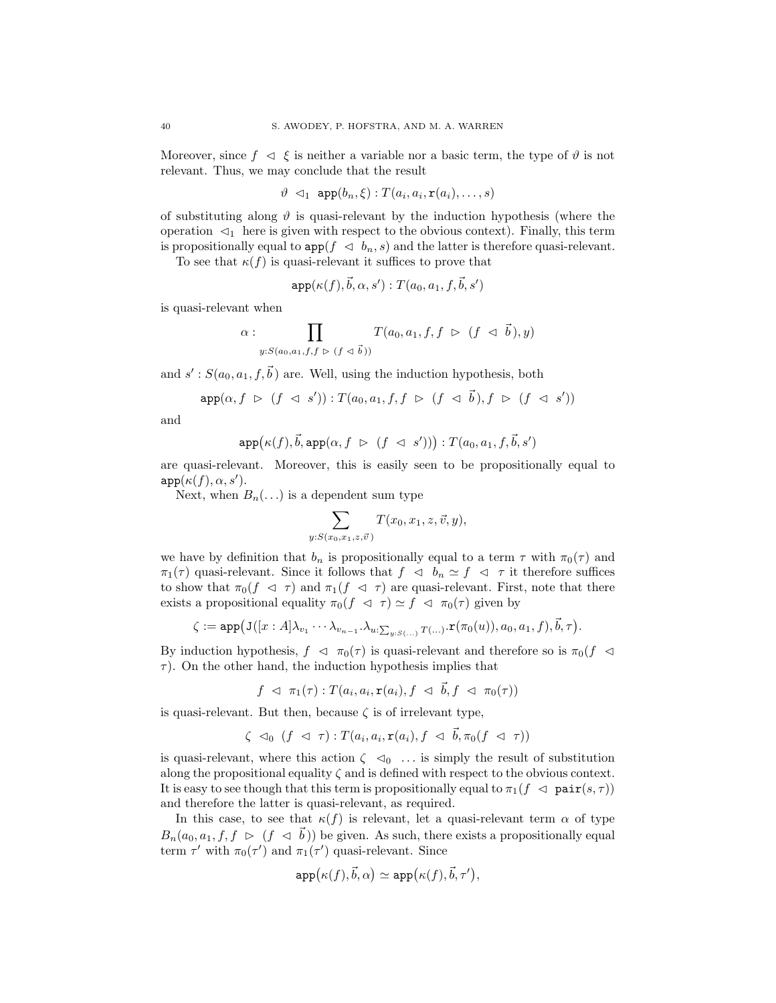Moreover, since  $f \prec \xi$  is neither a variable nor a basic term, the type of  $\vartheta$  is not relevant. Thus, we may conclude that the result

$$
\vartheta \leq_1 \text{app}(b_n, \xi) : T(a_i, a_i, \mathbf{r}(a_i), \dots, s)
$$

of substituting along  $\vartheta$  is quasi-relevant by the induction hypothesis (where the operation  $\lhd_1$  here is given with respect to the obvious context). Finally, this term is propositionally equal to  $app(f \triangleleft b_n, s)$  and the latter is therefore quasi-relevant.

To see that  $\kappa(f)$  is quasi-relevant it suffices to prove that

$$
\mathtt{app}(\kappa(f),\vec{b},\alpha,s'):T(a_0,a_1,f,\vec{b},s')
$$

is quasi-relevant when

$$
\alpha : \prod_{y:S(a_0,a_1,f,f \supseteq (f \vartriangleleft \vec{b}))} T(a_0,a_1,f,f \supseteq (f \vartriangleleft \vec{b}),y)
$$

and  $s' : S(a_0, a_1, f, \vec{b})$  are. Well, using the induction hypothesis, both

$$
\mathrm{app}(\alpha, f \; \triangleright \; (f \; \triangleleft \; s')) : T(a_0, a_1, f, f \; \triangleright \; (f \; \triangleleft \; \vec{b}), f \; \triangleright \; (f \; \triangleleft \; s'))
$$

and

$$
\mathtt{app}\bigl(\kappa(f), \vec{b}, \mathtt{app}(\alpha, f \; \vartriangleright \; (f \; \vartriangleleft \; \; s'))\bigr): T(a_0, a_1, f, \vec{b}, s')
$$

are quasi-relevant. Moreover, this is easily seen to be propositionally equal to  $app(\kappa(f), \alpha, s').$ 

Next, when  $B_n(\ldots)$  is a dependent sum type

$$
\sum_{y:S(x_0,x_1,z,\vec{v})} T(x_0,x_1,z,\vec{v},y),
$$

we have by definition that  $b_n$  is propositionally equal to a term  $\tau$  with  $\pi_0(\tau)$  and  $\pi_1(\tau)$  quasi-relevant. Since it follows that  $f \prec b_n \simeq f \prec \tau$  it therefore suffices to show that  $\pi_0(f \prec \tau)$  and  $\pi_1(f \prec \tau)$  are quasi-relevant. First, note that there exists a propositional equality  $\pi_0(f \prec \tau) \simeq f \prec \pi_0(\tau)$  given by

$$
\zeta := \mathsf{app} \big( \mathsf{J} \big( [x : A] \lambda_{v_1} \cdots \lambda_{v_{n-1}} \ldotp \lambda_{u: \sum_{y : S(\ldots)} T(\ldots)} \ldotp \mathsf{r}(\pi_0(u)), a_0, a_1, f \big), \vec{b}, \tau \big).
$$

By induction hypothesis,  $f \prec \pi_0(\tau)$  is quasi-relevant and therefore so is  $\pi_0(f \prec$  $\tau$ ). On the other hand, the induction hypothesis implies that

$$
f \prec \pi_1(\tau) : T(a_i, a_i, \mathbf{r}(a_i), f \prec \vec{b}, f \prec \pi_0(\tau))
$$

is quasi-relevant. But then, because  $\zeta$  is of irrelevant type,

$$
\zeta \triangleleft_0 (f \triangleleft \tau) : T(a_i, a_i, \mathbf{r}(a_i), f \triangleleft \vec{b}, \pi_0(f \triangleleft \tau))
$$

is quasi-relevant, where this action  $\zeta \leq 0$  ... is simply the result of substitution along the propositional equality  $\zeta$  and is defined with respect to the obvious context. It is easy to see though that this term is propositionally equal to  $\pi_1(f \prec \text{pair}(s, \tau))$ and therefore the latter is quasi-relevant, as required.

In this case, to see that  $\kappa(f)$  is relevant, let a quasi-relevant term  $\alpha$  of type  $B_n(a_0, a_1, f, f \geq (f \leq \vec{b}))$  be given. As such, there exists a propositionally equal term  $\tau'$  with  $\pi_0(\tau')$  and  $\pi_1(\tau')$  quasi-relevant. Since

$$
\mathtt{app}(\kappa(f), \vec{b}, \alpha) \simeq \mathtt{app}(\kappa(f), \vec{b}, \tau'),
$$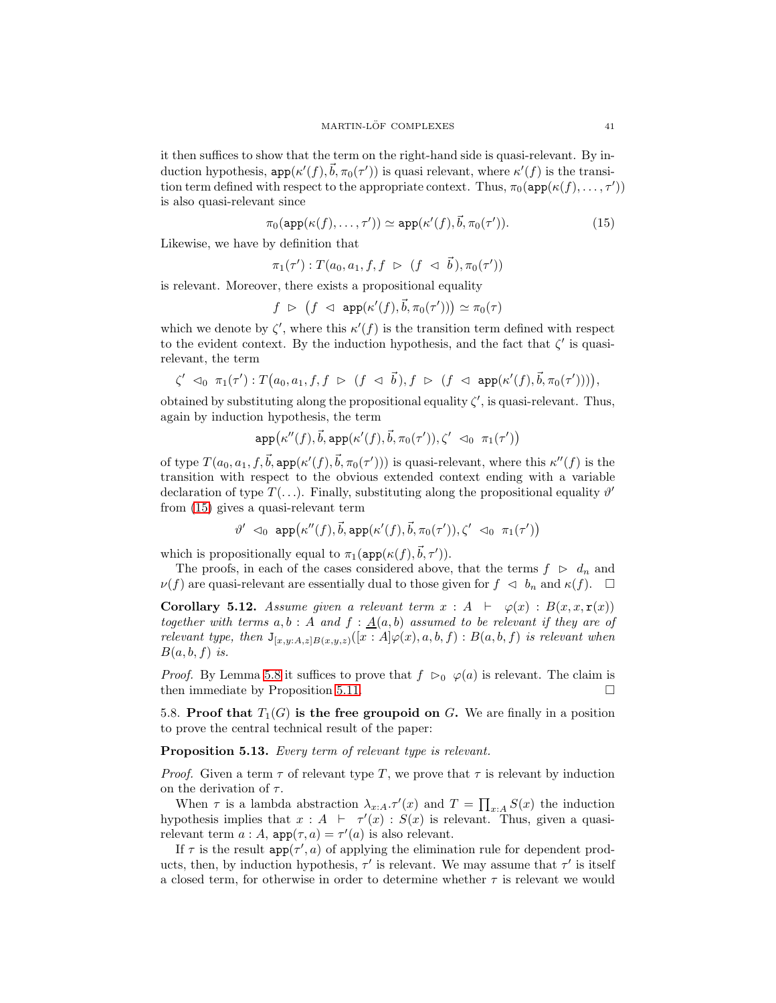it then suffices to show that the term on the right-hand side is quasi-relevant. By induction hypothesis,  $\text{app}(\kappa'(f), \vec{b}, \pi_0(\tau'))$  is quasi relevant, where  $\kappa'(f)$  is the transition term defined with respect to the appropriate context. Thus,  $\pi_0(\text{app}(\kappa(f), \ldots, \tau'))$ is also quasi-relevant since

$$
\pi_0(\text{app}(\kappa(f), \dots, \tau')) \simeq \text{app}(\kappa'(f), \vec{b}, \pi_0(\tau')). \tag{15}
$$

Likewise, we have by definition that

<span id="page-40-2"></span>
$$
\pi_1(\tau'): T(a_0, a_1, f, f \; \rhd \; (f \; \lhd \; \vec{b}), \pi_0(\tau'))
$$

is relevant. Moreover, there exists a propositional equality

$$
f \;\vartriangleright\; \big(f \;\vartriangleleft\; \; \mathtt{app}(\kappa'(f), \vec{b}, \pi_0(\tau'))\big) \simeq \pi_0(\tau)
$$

which we denote by  $\zeta'$ , where this  $\kappa'(f)$  is the transition term defined with respect to the evident context. By the induction hypothesis, and the fact that  $\zeta'$  is quasirelevant, the term

$$
\zeta' \ \lhd_0 \ \pi_1(\tau') : T(a_0, a_1, f, f \; \rhd \; (f \; \lhd \; \vec{b}\,), f \; \rhd \; (f \; \lhd \; \mathtt{app}(\kappa'(f), \vec{b}, \pi_0(\tau')))),
$$

obtained by substituting along the propositional equality  $\zeta'$ , is quasi-relevant. Thus, again by induction hypothesis, the term

$$
\mathtt{app} \bigl( \kappa''(f), \vec{b}, \mathtt{app}(\kappa'(f), \vec{b}, \pi_0(\tau')) , \zeta' \prec_0 \pi_1(\tau') \bigr)
$$

of type  $T(a_0, a_1, f, \vec{b}, \text{app}(\kappa'(f), \vec{b}, \pi_0(\tau'))$  is quasi-relevant, where this  $\kappa''(f)$  is the transition with respect to the obvious extended context ending with a variable declaration of type  $T(\ldots)$ . Finally, substituting along the propositional equality  $\vartheta'$ from [\(15\)](#page-40-2) gives a quasi-relevant term

$$
\vartheta' \ \lhd_0 \ \text{app} \bigl( \kappa''(f), \vec{b}, \text{app}(\kappa'(f), \vec{b}, \pi_0(\tau')) , \zeta' \ \lhd_0 \ \pi_1(\tau') \bigr)
$$

which is propositionally equal to  $\pi_1(\text{app}(\kappa(f), \vec{b}, \tau')).$ 

The proofs, in each of the cases considered above, that the terms  $f \geq d_n$  and  $\nu(f)$  are quasi-relevant are essentially dual to those given for  $f \prec b_n$  and  $\kappa(f)$ .  $\Box$ 

<span id="page-40-3"></span>**Corollary 5.12.** Assume given a relevant term  $x : A \vdash \varphi(x) : B(x, x, r(x))$ *together with terms*  $a, b : A$  *and*  $f : \underline{A}(a, b)$  *assumed to be relevant if they are of relevant type, then*  $J_{[x,y:A,z|B(x,y,z)}([x:A]\varphi(x),a,b,f):B(a,b,f)$  *is relevant when*  $B(a, b, f)$  *is.* 

*Proof.* By Lemma [5.8](#page-35-1) it suffices to prove that  $f \n\triangleright_0 \varphi(a)$  is relevant. The claim is then immediate by Proposition [5.11.](#page-38-1)

<span id="page-40-1"></span><span id="page-40-0"></span>5.8. Proof that  $T_1(G)$  is the free groupoid on G. We are finally in a position to prove the central technical result of the paper:

# Proposition 5.13. *Every term of relevant type is relevant.*

*Proof.* Given a term  $\tau$  of relevant type T, we prove that  $\tau$  is relevant by induction on the derivation of  $\tau$ .

When  $\tau$  is a lambda abstraction  $\lambda_{x:A}.\tau'(x)$  and  $T = \prod_{x:A} S(x)$  the induction hypothesis implies that  $x : A \vdash \tau'(x) : S(x)$  is relevant. Thus, given a quasirelevant term  $a : A$ ,  $app(\tau, a) = \tau'(a)$  is also relevant.

If  $\tau$  is the result  $app(\tau', a)$  of applying the elimination rule for dependent products, then, by induction hypothesis,  $\tau'$  is relevant. We may assume that  $\tau'$  is itself a closed term, for otherwise in order to determine whether  $\tau$  is relevant we would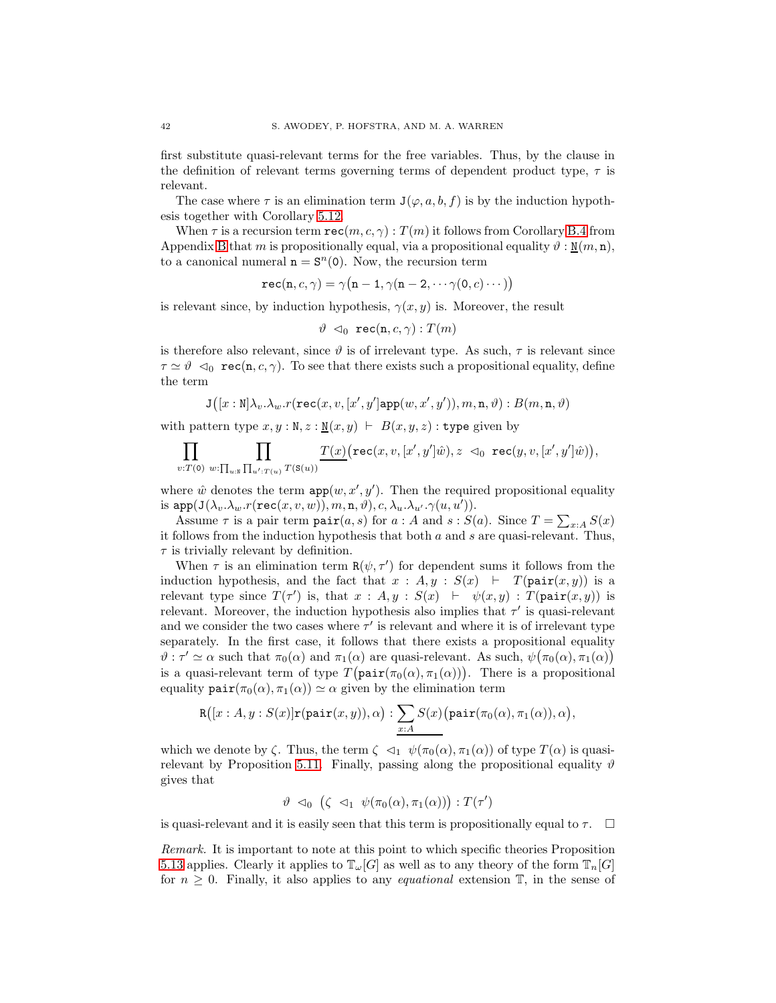first substitute quasi-relevant terms for the free variables. Thus, by the clause in the definition of relevant terms governing terms of dependent product type,  $\tau$  is relevant.

The case where  $\tau$  is an elimination term  $J(\varphi, a, b, f)$  is by the induction hypothesis together with Corollary [5.12.](#page-40-3)

When  $\tau$  is a recursion term  $\texttt{rec}(m, c, \gamma) : T(m)$  it follows from Corollary [B.4](#page-60-20) from Appendix [B](#page-59-0) that m is propositionally equal, via a propositional equality  $\vartheta : \mathbb{N}(m, n)$ , to a canonical numeral  $n = S<sup>n</sup>(0)$ . Now, the recursion term

$$
\mathtt{rec}(\mathtt{n},c,\gamma) = \gamma\big(\mathtt{n}-1,\gamma(\mathtt{n}-2,\cdots\gamma(0,c)\cdots)\big)
$$

is relevant since, by induction hypothesis,  $\gamma(x, y)$  is. Moreover, the result

$$
\vartheta \prec_0 \texttt{rec(n}, c, \gamma) : T(m)
$$

is therefore also relevant, since  $\vartheta$  is of irrelevant type. As such,  $\tau$  is relevant since  $\tau \simeq \vartheta \, \triangleleft_0 \, \text{rec}(n, c, \gamma)$ . To see that there exists such a propositional equality, define the term

$$
\mathtt{J}\big([x:\mathtt{N}]\lambda_v.\lambda_w.r(\mathtt{rec}(x,v,[x',y']\mathtt{app}(w,x',y')),m,\mathtt{n},\vartheta):B(m,\mathtt{n},\vartheta)
$$

with pattern type  $x, y : \mathbb{N}, z : \mathbb{N}(x, y) \vdash B(x, y, z)$ : type given by

$$
\prod_{v: T(\mathbf{0})} \prod_{w: \prod_{u: {\mathbb{R}}} \prod_{u': T(u)} T(\mathbf{S}(u))} \underline{T(x)} \big(\mathbf{rec}(x,v,[x',y']\hat{w}), z \prec_0 \mathbf{rec}(y,v,[x',y']\hat{w})\big),
$$

where  $\hat{w}$  denotes the term  $app(w, x', y')$ . Then the required propositional equality is  $app(\texttt{J}(\lambda_{v}.\lambda_{w}.r(\texttt{rec}(x,v,w)),m,\texttt{n},\vartheta),c,\lambda_{u}.\lambda_{u'}. \gamma(u,u')).$ 

Assume  $\tau$  is a pair term  $\text{pair}(a, s)$  for  $a : A$  and  $s : S(a)$ . Since  $T = \sum_{x : A} S(x)$ it follows from the induction hypothesis that both  $a$  and  $s$  are quasi-relevant. Thus,  $\tau$  is trivially relevant by definition.

When  $\tau$  is an elimination term  $\mathbf{R}(\psi, \tau')$  for dependent sums it follows from the induction hypothesis, and the fact that  $x : A, y : S(x) \vdash T(\text{pair}(x, y))$  is a relevant type since  $T(\tau')$  is, that  $x : A, y : S(x) \vdash \psi(x, y) : T(\text{pair}(x, y))$  is relevant. Moreover, the induction hypothesis also implies that  $\tau'$  is quasi-relevant and we consider the two cases where  $\tau'$  is relevant and where it is of irrelevant type separately. In the first case, it follows that there exists a propositional equality  $\vartheta$ :  $\tau' \simeq \alpha$  such that  $\pi_0(\alpha)$  and  $\pi_1(\alpha)$  are quasi-relevant. As such,  $\psi(\pi_0(\alpha), \pi_1(\alpha))$ is a quasi-relevant term of type  $T(\text{pair}(\pi_0(\alpha), \pi_1(\alpha)))$ . There is a propositional equality  $\operatorname{pair}(\pi_0(\alpha), \pi_1(\alpha)) \simeq \alpha$  given by the elimination term

$$
R([x:A,y:S(x)]\mathbf{r}(\texttt{pair}(x,y)),\alpha): \sum_{x:A}S(x)\big(\texttt{pair}(\pi_0(\alpha),\pi_1(\alpha)),\alpha\big),
$$

which we denote by  $\zeta$ . Thus, the term  $\zeta \leq 1$   $\psi(\pi_0(\alpha), \pi_1(\alpha))$  of type  $T(\alpha)$  is quasi-relevant by Proposition [5.11.](#page-38-1) Finally, passing along the propositional equality  $\vartheta$ gives that

$$
\vartheta \triangleleft_0 (\zeta \triangleleft_1 \psi(\pi_0(\alpha), \pi_1(\alpha))) : T(\tau')
$$

is quasi-relevant and it is easily seen that this term is propositionally equal to  $\tau$ .  $\Box$ 

*Remark.* It is important to note at this point to which specific theories Proposition [5.13](#page-40-1) applies. Clearly it applies to  $\mathbb{T}_{\omega}[G]$  as well as to any theory of the form  $\mathbb{T}_{n}[G]$ for  $n \geq 0$ . Finally, it also applies to any *equational* extension  $\mathbb{T}$ , in the sense of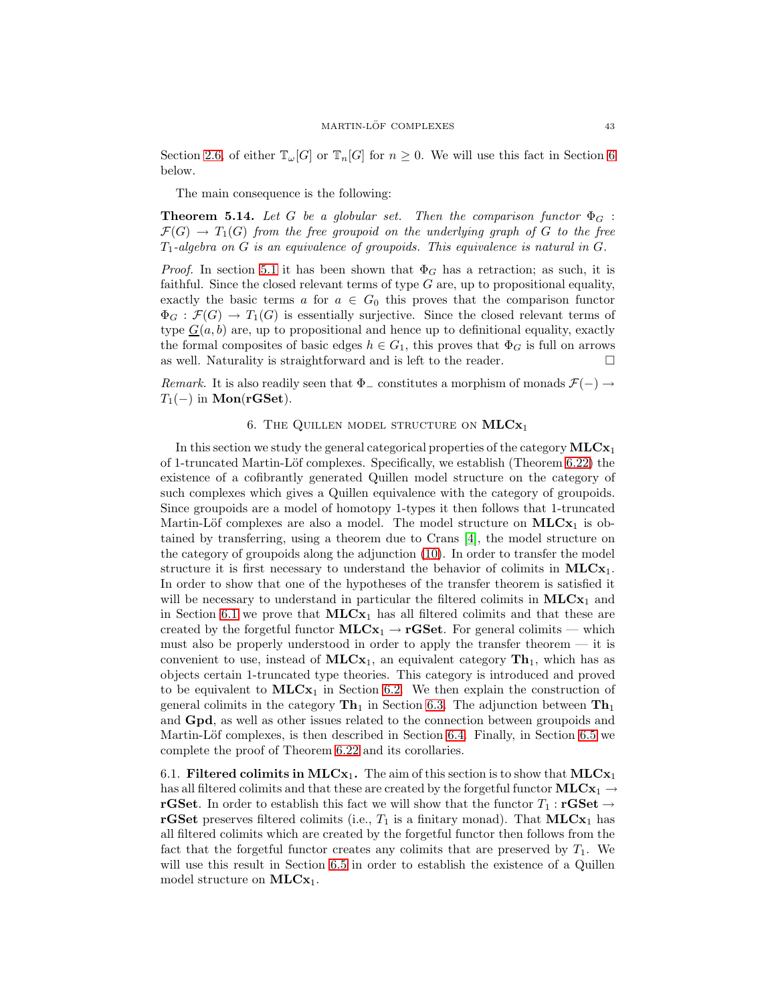Section [2.6,](#page-11-1) of either  $\mathbb{T}_{\omega}[G]$  or  $\mathbb{T}_{n}[G]$  for  $n \geq 0$ . We will use this fact in Section [6](#page-42-0) below.

<span id="page-42-2"></span>The main consequence is the following:

**Theorem 5.14.** Let G be a globular set. Then the comparison functor  $\Phi_G$ :  $\mathcal{F}(G) \to T_1(G)$  *from the free groupoid on the underlying graph of* G *to the free*  $T_1$ -algebra on G is an equivalence of groupoids. This equivalence is natural in G.

*Proof.* In section [5.1](#page-26-0) it has been shown that  $\Phi_G$  has a retraction; as such, it is faithful. Since the closed relevant terms of type  $G$  are, up to propositional equality, exactly the basic terms a for  $a \in G_0$  this proves that the comparison functor  $\Phi_G : \mathcal{F}(G) \to T_1(G)$  is essentially surjective. Since the closed relevant terms of type  $G(a, b)$  are, up to propositional and hence up to definitional equality, exactly the formal composites of basic edges  $h \in G_1$ , this proves that  $\Phi_G$  is full on arrows as well. Naturality is straightforward and is left to the reader.  $\Box$ 

<span id="page-42-0"></span>*Remark.* It is also readily seen that  $\Phi$ <sub>-</sub> constitutes a morphism of monads  $\mathcal{F}(-) \rightarrow$  $T_1(-)$  in Mon(rGSet).

# 6. THE QUILLEN MODEL STRUCTURE ON  $MLCx_1$

In this section we study the general categorical properties of the category  $MLCx_1$ of 1-truncated Martin-Löf complexes. Specifically, we establish (Theorem  $6.22$ ) the existence of a cofibrantly generated Quillen model structure on the category of such complexes which gives a Quillen equivalence with the category of groupoids. Since groupoids are a model of homotopy 1-types it then follows that 1-truncated Martin-Löf complexes are also a model. The model structure on  $MLCx_1$  is obtained by transferring, using a theorem due to Crans [\[4\]](#page-60-14), the model structure on the category of groupoids along the adjunction [\(10\)](#page-26-1). In order to transfer the model structure it is first necessary to understand the behavior of colimits in  $MLCx_1$ . In order to show that one of the hypotheses of the transfer theorem is satisfied it will be necessary to understand in particular the filtered colimits in  $MLCx_1$  and in Section [6.1](#page-42-1) we prove that  $MLCx_1$  has all filtered colimits and that these are created by the forgetful functor  $MLCx_1 \rightarrow rGSet$ . For general colimits — which must also be properly understood in order to apply the transfer theorem — it is convenient to use, instead of  $MLCx_1$ , an equivalent category  $Th_1$ , which has as objects certain 1-truncated type theories. This category is introduced and proved to be equivalent to  $MLCx_1$  in Section [6.2.](#page-44-0) We then explain the construction of general colimits in the category  $\text{Th}_1$  in Section [6.3.](#page-48-0) The adjunction between  $\text{Th}_1$ and Gpd, as well as other issues related to the connection between groupoids and Martin-Löf complexes, is then described in Section [6.4.](#page-50-0) Finally, in Section [6.5](#page-52-0) we complete the proof of Theorem [6.22](#page-55-0) and its corollaries.

<span id="page-42-1"></span>6.1. Filtered colimits in  $MLCx_1$ . The aim of this section is to show that  $MLCx_1$ has all filtered colimits and that these are created by the forgetful functor  $MLCx_1 \rightarrow$ **rGSet**. In order to establish this fact we will show that the functor  $T_1$ : **rGSet**  $\rightarrow$ **rGSet** preserves filtered colimits (i.e.,  $T_1$  is a finitary monad). That  $MLCx_1$  has all filtered colimits which are created by the forgetful functor then follows from the fact that the forgetful functor creates any colimits that are preserved by  $T_1$ . We will use this result in Section [6.5](#page-52-0) in order to establish the existence of a Quillen model structure on  $MLCx_1$ .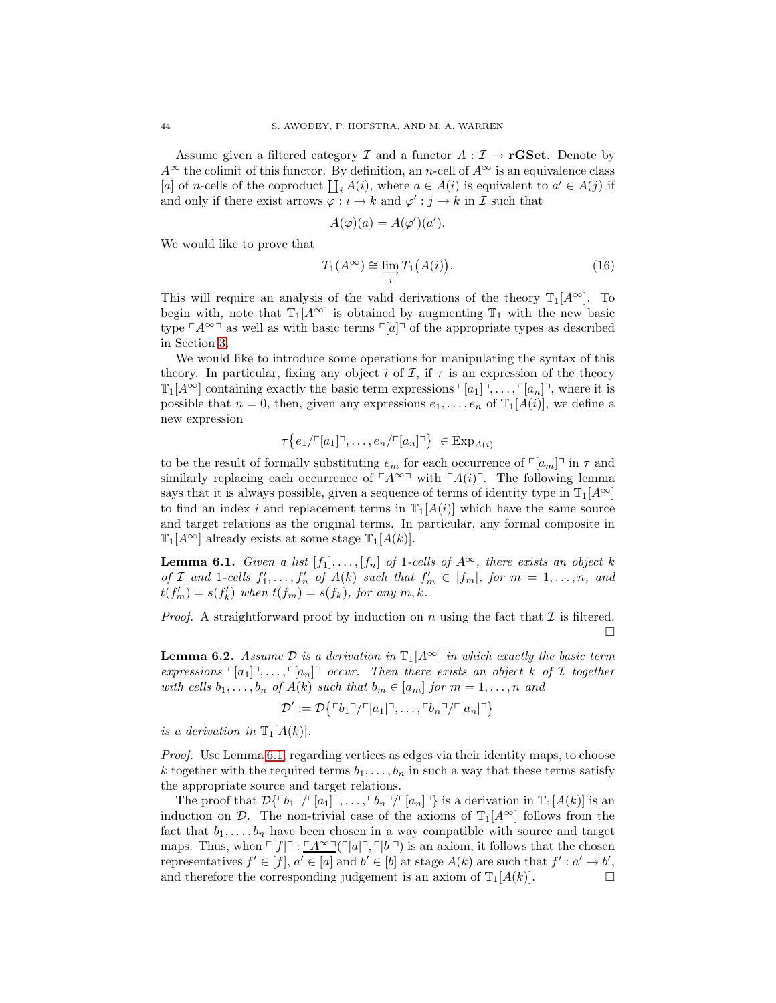Assume given a filtered category I and a functor  $A: \mathcal{I} \to \mathbf{rGSet}$ . Denote by  $A^{\infty}$  the colimit of this functor. By definition, an n-cell of  $A^{\infty}$  is an equivalence class [a] of n-cells of the coproduct  $\coprod_i A(i)$ , where  $a \in A(i)$  is equivalent to  $a' \in A(j)$  if and only if there exist arrows  $\varphi : i \to k$  and  $\varphi' : j \to k$  in  $\mathcal I$  such that

<span id="page-43-1"></span>
$$
A(\varphi)(a) = A(\varphi')(a').
$$

We would like to prove that

$$
T_1(A^{\infty}) \cong \varinjlim_{i} T_1(A(i)). \tag{16}
$$

This will require an analysis of the valid derivations of the theory  $\mathbb{T}_1[A^\infty]$ . To begin with, note that  $\mathbb{T}_1[A^\infty]$  is obtained by augmenting  $\mathbb{T}_1$  with the new basic type  $\ulcorner A^{\infty}$  as well as with basic terms  $\ulcorner [a]\urcorner$  of the appropriate types as described in Section [3.](#page-14-0)

We would like to introduce some operations for manipulating the syntax of this theory. In particular, fixing any object i of  $\mathcal I$ , if  $\tau$  is an expression of the theory  $\mathbb{T}_1[A^{\infty}]$  containing exactly the basic term expressions  $\lceil a_1 \rceil, \ldots, \lceil a_n \rceil$ , where it is possible that  $n = 0$ , then, given any expressions  $e_1, \ldots, e_n$  of  $\mathbb{T}_1[A(i)]$ , we define a new expression

$$
\tau\big\{e_1/\ulcorner[a_1]\urcorner,\ldots,e_n/\ulcorner[a_n]\urcorner\big\}\ \in \operatorname{Exp}_{A(i)}
$$

to be the result of formally substituting  $e_m$  for each occurrence of  $\lceil a_m \rceil$  in  $\tau$  and similarly replacing each occurrence of  $\ulcorner A^{\infty} \urcorner$  with  $\ulcorner A(i) \urcorner$ . The following lemma says that it is always possible, given a sequence of terms of identity type in  $\mathbb{T}_1[A^{\infty}]$ to find an index i and replacement terms in  $\mathbb{T}_1[A(i)]$  which have the same source and target relations as the original terms. In particular, any formal composite in  $\mathbb{T}_1[A^{\infty}]$  already exists at some stage  $\mathbb{T}_1[A(k)]$ .

<span id="page-43-0"></span>**Lemma 6.1.** *Given a list*  $[f_1], \ldots, [f_n]$  *of* 1-cells of  $A^{\infty}$ *, there exists an object* k *of* I and 1-cells  $f'_1, \ldots, f'_n$  *of*  $A(k)$  *such that*  $f'_m \in [f_m]$ *, for*  $m = 1, \ldots, n$ *, and*  $t(f'_m) = s(f'_k)$  when  $t(f_m) = s(f_k)$ , for any  $m, k$ .

*Proof.* A straightforward proof by induction on n using the fact that  $\mathcal I$  is filtered.  $\Box$ 

<span id="page-43-2"></span>**Lemma 6.2.** Assume  $\mathcal{D}$  is a derivation in  $\mathbb{T}_1[A^{\infty}]$  in which exactly the basic term *expressions*  $\lceil a_1 \rceil, \ldots, \lceil a_n \rceil$  *occur. Then there exists an object* k of I together *with cells*  $b_1, \ldots, b_n$  *of*  $A(k)$  *such that*  $b_m \in [a_m]$  *for*  $m = 1, \ldots, n$  *and* 

$$
\mathcal{D}' := \mathcal{D}\{ \ulcorner b_1 \urcorner / \ulcorner [a_1] \urcorner, \ldots, \ulcorner b_n \urcorner / \ulcorner [a_n] \urcorner \}
$$

*is a derivation in*  $\mathbb{T}_1[A(k)]$ *.* 

*Proof.* Use Lemma [6.1,](#page-43-0) regarding vertices as edges via their identity maps, to choose k together with the required terms  $b_1, \ldots, b_n$  in such a way that these terms satisfy the appropriate source and target relations.

<span id="page-43-3"></span>The proof that  $\mathcal{D}\{\ulcorner b_1\urcorner/\ulcorner[a_1]\urcorner, \ldots, \ulcorner b_n\urcorner/\ulcorner[a_n]\urcorner\}$  is a derivation in  $\mathbb{T}_1[A(k)]$  is an induction on D. The non-trivial case of the axioms of  $\mathbb{T}_1[A^{\infty}]$  follows from the fact that  $b_1, \ldots, b_n$  have been chosen in a way compatible with source and target maps. Thus, when  $\lceil f \rceil : \lceil A^{\infty} \rceil \lceil [a] \rceil, \lceil b \rceil \rceil$  is an axiom, it follows that the chosen representatives  $f' \in [f]$ ,  $a' \in [a]$  and  $b' \in [b]$  at stage  $A(k)$  are such that  $f' : a' \to b'$ , and therefore the corresponding judgement is an axiom of  $\mathbb{T}_1[A(k)]$ .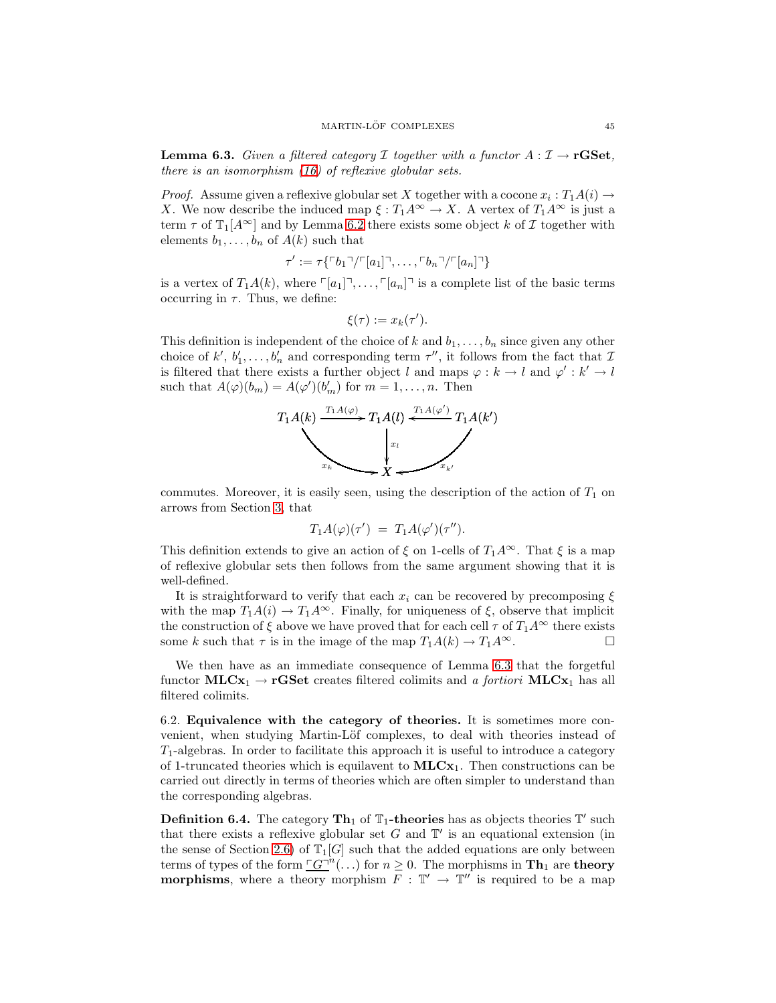**Lemma 6.3.** *Given a filtered category* I *together with a functor*  $A: \mathcal{I} \to \mathbf{r} GSet$ , *there is an isomorphism [\(16\)](#page-43-1) of reflexive globular sets.*

*Proof.* Assume given a reflexive globular set X together with a cocone  $x_i : T_1A(i) \rightarrow$ X. We now describe the induced map  $\xi : T_1 A^{\infty} \to X$ . A vertex of  $T_1 A^{\infty}$  is just a term  $\tau$  of  $\mathbb{T}_1[A^{\infty}]$  and by Lemma [6.2](#page-43-2) there exists some object k of  $\mathcal I$  together with elements  $b_1, \ldots, b_n$  of  $A(k)$  such that

$$
\tau' := \tau\{\ulcorner b_1\urcorner / \ulcorner [a_1]\urcorner, \ldots, \ulcorner b_n\urcorner / \ulcorner [a_n]\urcorner\}
$$

is a vertex of  $T_1A(k)$ , where  $\lceil a_1 \rceil, \ldots, \lceil a_n \rceil$  is a complete list of the basic terms occurring in  $\tau$ . Thus, we define:

$$
\xi(\tau) := x_k(\tau').
$$

This definition is independent of the choice of k and  $b_1, \ldots, b_n$  since given any other choice of  $k'$ ,  $b'_1, \ldots, b'_n$  and corresponding term  $\tau''$ , it follows from the fact that  $\mathcal I$ is filtered that there exists a further object l and maps  $\varphi : k \to l$  and  $\varphi' : k' \to l$ such that  $A(\varphi)(b_m) = A(\varphi')(b'_m)$  for  $m = 1, ..., n$ . Then



commutes. Moreover, it is easily seen, using the description of the action of  $T_1$  on arrows from Section [3,](#page-14-0) that

$$
T_1A(\varphi)(\tau') = T_1A(\varphi')(\tau'').
$$

This definition extends to give an action of  $\xi$  on 1-cells of  $T_1A^{\infty}$ . That  $\xi$  is a map of reflexive globular sets then follows from the same argument showing that it is well-defined.

It is straightforward to verify that each  $x_i$  can be recovered by precomposing  $\xi$ with the map  $T_1A(i) \to T_1A^{\infty}$ . Finally, for uniqueness of  $\xi$ , observe that implicit the construction of  $\xi$  above we have proved that for each cell  $\tau$  of  $T_1A^{\infty}$  there exists some k such that  $\tau$  is in the image of the map  $T_1A(k) \to T_1A^{\infty}$ .

We then have as an immediate consequence of Lemma [6.3](#page-43-3) that the forgetful functor  $MLCx_1 \rightarrow rGSet$  creates filtered colimits and *a fortiori*  $MLCx_1$  has all filtered colimits.

<span id="page-44-0"></span>6.2. Equivalence with the category of theories. It is sometimes more convenient, when studying Martin-Löf complexes, to deal with theories instead of  $T_1$ -algebras. In order to facilitate this approach it is useful to introduce a category of 1-truncated theories which is equilavent to  $MLCx_1$ . Then constructions can be carried out directly in terms of theories which are often simpler to understand than the corresponding algebras.

**Definition 6.4.** The category  $\text{Th}_1$  of  $\mathbb{T}_1$ -theories has as objects theories  $\mathbb{T}'$  such that there exists a reflexive globular set  $G$  and  $T'$  is an equational extension (in the sense of Section [2.6\)](#page-11-1) of  $\mathbb{T}_1[G]$  such that the added equations are only between terms of types of the form  $\underline{G}^{-n}(\ldots)$  for  $n \geq 0$ . The morphisms in  $\mathbf{Th}_1$  are theory **morphisms**, where a theory morphism  $F : \mathbb{T}' \to \mathbb{T}''$  is required to be a map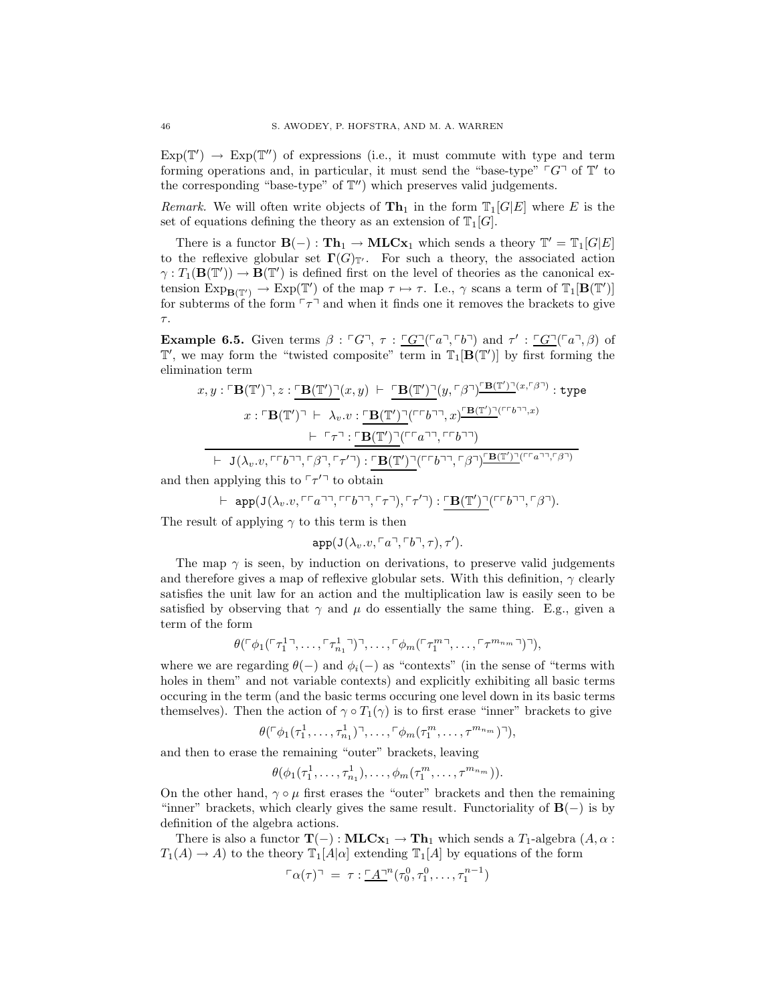$Exp(\mathbb{T}') \rightarrow Exp(\mathbb{T}'')$  of expressions (i.e., it must commute with type and term forming operations and, in particular, it must send the "base-type"  $\ulcorner G \urcorner$  of  $\mathbb{T}'$  to the corresponding "base-type" of  $\mathbb{T}''$ ) which preserves valid judgements.

*Remark.* We will often write objects of  $\mathbf{Th}_1$  in the form  $\mathbb{T}_1[G|E]$  where E is the set of equations defining the theory as an extension of  $\mathbb{T}_1[G]$ .

There is a functor  $\mathbf{B}(-)$ :  $\mathbf{Th}_1 \to \mathbf{MLCx}_1$  which sends a theory  $\mathbb{T}' = \mathbb{T}_1[G|E]$ to the reflexive globular set  $\Gamma(G)_{\mathbb{T}'}$ . For such a theory, the associated action  $\gamma: T_1(\mathbf{B}(\mathbb{T}')) \to \mathbf{B}(\mathbb{T}')$  is defined first on the level of theories as the canonical extension  $\text{Exp}_{\mathbf{B}(\mathbb{T}')} \to \text{Exp}(\mathbb{T}')$  of the map  $\tau \mapsto \tau$ . I.e.,  $\gamma$  scans a term of  $\mathbb{T}_1[\mathbf{B}(\mathbb{T}')]$ for subterms of the form  $\lceil \tau \rceil$  and when it finds one it removes the brackets to give  $\tau.$ 

**Example 6.5.** Given terms  $\beta : \ulcorner G \urcorner, \tau : \ulcorner \underline{G} \urcorner (\ulcorner a \urcorner, \ulcorner b \urcorner)$  and  $\tau' : \ulcorner \underline{G} \urcorner (\ulcorner a \urcorner, \beta)$  of  $\mathbb{T}'$ , we may form the "twisted composite" term in  $\mathbb{T}_1[\mathbf{B}(\mathbb{T}')]$  by first forming the elimination term

$$
x, y: \ulcorner \mathbf{B}(\mathbb{T}') \urcorner, z: \ulcorner \mathbf{B}(\mathbb{T}') \urcorner(x, y) \vdash \ulcorner \mathbf{B}(\mathbb{T}') \urcorner(y, \ulcorner \beta \urcorner) \ulcorner \mathbf{B}(\mathbb{T}') \urcorner(x, \ulcorner \beta \urcorner) : \text{type}
$$
\n
$$
x: \ulcorner \mathbf{B}(\mathbb{T}') \urcorner \vdash \lambda_v. v: \ulcorner \mathbf{B}(\mathbb{T}') \urcorner (\ulcorner \ulcorner b \urcorner \urcorner, x) \ulcorner \mathbf{B}(\mathbb{T}') \urcorner (\ulcorner \ulcorner b \urcorner \urcorner, x)
$$
\n
$$
\vdash \ulcorner \tau \urcorner : \ulcorner \mathbf{B}(\mathbb{T}') \urcorner (\ulcorner \ulcorner a \urcorner \urcorner, \ulcorner \ulcorner b \urcorner \urcorner)
$$
\n
$$
\vdash \mathbf{J}(\lambda_v. v, \ulcorner \ulcorner b \urcorner \urcorner, \ulcorner \beta \urcorner, \ulcorner \tau' \urcorner) : \ulcorner \mathbf{B}(\mathbb{T}') \urcorner (\ulcorner \ulcorner b \urcorner \urcorner, \ulcorner \beta \urcorner) \urcorner \mathbf{B}(\mathbb{T}') \urcorner (\ulcorner \ulcorner b \urcorner \urcorner, \ulcorner \beta \urcorner) \urcorner \mathbf{B}(\mathbb{T}') \urcorner (\ulcorner \ulcorner b \urcorner \urcorner, \ulcorner \beta \urcorner) \urcorner)
$$

and then applying this to  $\lceil \tau'^{\neg} \rceil$  to obtain

$$
\vdash \text{ app}(J(\lambda_v. v, \ulcorner\ulcorner a \urcorner\urcorner, \ulcorner\ulcorner b \urcorner\urcorner, \ulcorner\tau\urcorner), \ulcorner\tau\urcorner) : \ulcorner\mathbf{B}(\mathbb{T}') \urcorner (\ulcorner\ulcorner b \urcorner\urcorner, \ulcorner\beta\urcorner).
$$

The result of applying  $\gamma$  to this term is then

 $app(J(\lambda_v. v, \lceil a \rceil, \lceil b \rceil, \tau), \tau').$ 

The map  $\gamma$  is seen, by induction on derivations, to preserve valid judgements and therefore gives a map of reflexive globular sets. With this definition,  $\gamma$  clearly satisfies the unit law for an action and the multiplication law is easily seen to be satisfied by observing that  $\gamma$  and  $\mu$  do essentially the same thing. E.g., given a term of the form

$$
\theta(\ulcorner\phi_1(\ulcorner\tau_1^1\urcorner,\ldots,\ulcorner\tau_{n_1}^1\urcorner)\urcorner,\ldots,\ulcorner\phi_m(\ulcorner\tau_1^{m}\urcorner,\ldots,\ulcorner\tau^{m_{n_m}}\urcorner)\urcorner),
$$

where we are regarding  $\theta(-)$  and  $\phi_i(-)$  as "contexts" (in the sense of "terms with holes in them" and not variable contexts) and explicitly exhibiting all basic terms occuring in the term (and the basic terms occuring one level down in its basic terms themselves). Then the action of  $\gamma \circ T_1(\gamma)$  is to first erase "inner" brackets to give

$$
\theta(\lceil \phi_1(\tau_1^1,\ldots,\tau_{n_1}^1)\rceil,\ldots,\lceil \phi_m(\tau_1^m,\ldots,\tau^{m_{n_m}})\rceil),
$$

and then to erase the remaining "outer" brackets, leaving

$$
\theta(\phi_1(\tau_1^1,\ldots,\tau_{n_1}^1),\ldots,\phi_m(\tau_1^m,\ldots,\tau^{m_{n_m}})).
$$

On the other hand,  $\gamma \circ \mu$  first erases the "outer" brackets and then the remaining "inner" brackets, which clearly gives the same result. Functoriality of  $B(-)$  is by definition of the algebra actions.

There is also a functor  $\mathbf{T}(-): \mathbf{MLCx}_1 \to \mathbf{Th}_1$  which sends a  $T_1$ -algebra  $(A, \alpha :$  $T_1(A) \to A$ ) to the theory  $\mathbb{T}_1[A|\alpha]$  extending  $\mathbb{T}_1[A]$  by equations of the form

$$
\ulcorner \alpha(\tau) \urcorner = \tau : \ulcorner \underline{A} \urcorner^n (\tau_0^0, \tau_1^0, \ldots, \tau_1^{n-1})
$$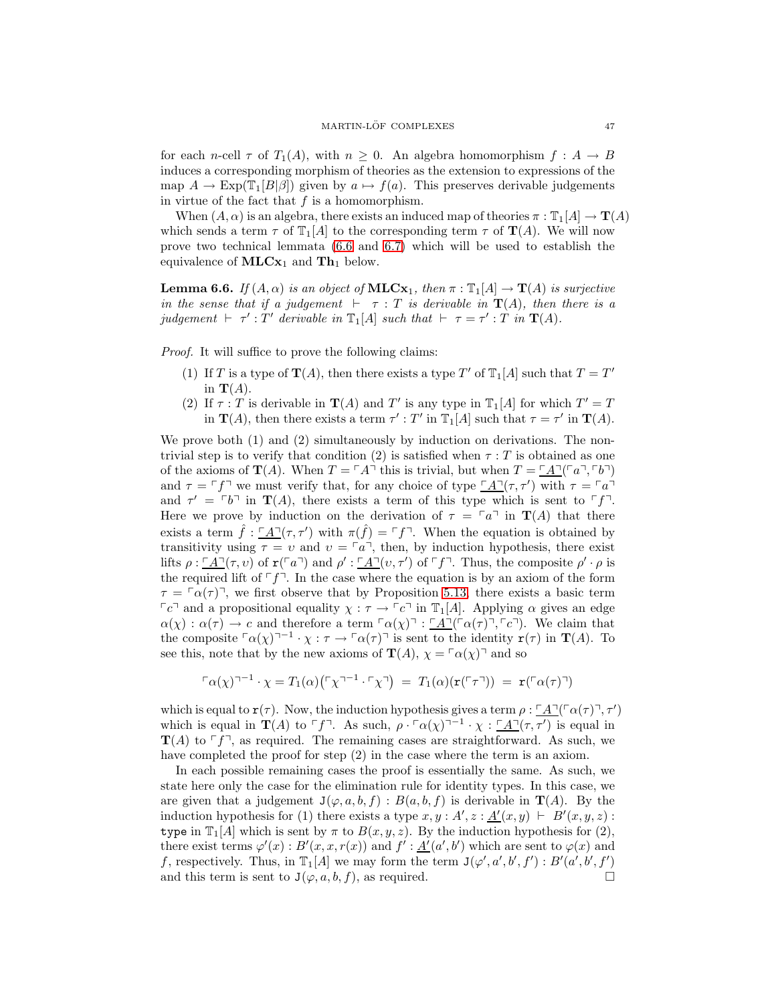for each n-cell  $\tau$  of  $T_1(A)$ , with  $n \geq 0$ . An algebra homomorphism  $f : A \to B$ induces a corresponding morphism of theories as the extension to expressions of the map  $A \to \text{Exp}(\mathbb{T}_1[B|\beta])$  given by  $a \mapsto f(a)$ . This preserves derivable judgements in virtue of the fact that  $f$  is a homomorphism.

When  $(A, \alpha)$  is an algebra, there exists an induced map of theories  $\pi : \mathbb{T}_1[A] \to \mathbb{T}(A)$ which sends a term  $\tau$  of  $\mathbb{T}_1[A]$  to the corresponding term  $\tau$  of  $\mathbb{T}(A)$ . We will now prove two technical lemmata [\(6.6](#page-46-0) and [6.7\)](#page-47-0) which will be used to establish the equivalence of  $MLCx_1$  and  $Th_1$  below.

<span id="page-46-0"></span>**Lemma 6.6.** *If*  $(A, \alpha)$  *is an object of* **MLCx**<sub>1</sub>*, then*  $\pi : \mathbb{T}_1[A] \to \mathbf{T}(A)$  *is surjective in the sense that if a judgement*  $⊢$   $\tau$  : T *is derivable in*  $\mathbf{T}(A)$ *, then there is a judgement*  $\vdash \tau' : T'$  *derivable in*  $\mathbb{T}_1[A]$  *such that*  $\vdash \tau = \tau' : T \text{ in } \mathbf{T}(A)$ *.* 

*Proof.* It will suffice to prove the following claims:

- (1) If T is a type of  $\mathbf{T}(A)$ , then there exists a type T' of  $\mathbb{T}_1[A]$  such that  $T = T'$ in  $\mathbf{T}(A)$ .
- (2) If  $\tau : T$  is derivable in  $\mathbf{T}(A)$  and  $T'$  is any type in  $\mathbb{T}_1[A]$  for which  $T' = T$ in  $\mathbf{T}(A)$ , then there exists a term  $\tau' : T'$  in  $\mathbb{T}_1[A]$  such that  $\tau = \tau'$  in  $\mathbf{T}(A)$ .

We prove both (1) and (2) simultaneously by induction on derivations. The nontrivial step is to verify that condition (2) is satisfied when  $\tau : T$  is obtained as one of the axioms of  $\mathbf{T}(A)$ . When  $T = \ulcorner A \urcorner$  this is trivial, but when  $T = \ulcorner A \urcorner(\ulcorner a \urcorner, \ulcorner b \urcorner)$ and  $\tau = \tau f$  we must verify that, for any choice of type  $\underline{A}(\tau, \tau')$  with  $\tau = \tau a$ and  $\tau' = \tau b$  in  $\mathbf{T}(A)$ , there exists a term of this type which is sent to  $\tau f$ . Here we prove by induction on the derivation of  $\tau = \lceil a \rceil$  in  $\mathbf{T}(A)$  that there exists a term  $\hat{f}$ :  $\underline{A}(\tau, \tau')$  with  $\pi(\hat{f}) = \ulcorner f \urcorner$ . When the equation is obtained by transitivity using  $\tau = v$  and  $v = \lceil a \rceil$ , then, by induction hypothesis, there exist lifts  $\rho: \underline{A}^{\dagger}(\tau, v)$  of  $\mathbf{r}({\lceil}a^{\dagger})$  and  $\rho': \underline{A}^{\dagger}(v, \tau')$  of  $\ulcorner f \urcorner$ . Thus, the composite  $\rho' \cdot \rho$  is the required lift of  $\lceil f \rceil$ . In the case where the equation is by an axiom of the form  $\tau = \sqrt{\alpha(\tau)}$ , we first observe that by Proposition [5.13,](#page-40-1) there exists a basic term  $\lceil c \rceil$  and a propositional equality  $\chi : \tau \to \lceil c \rceil$  in  $\mathbb{T}_1[A]$ . Applying  $\alpha$  gives an edge  $\alpha(\chi) : \alpha(\tau) \to c$  and therefore a term  $\alpha(\chi)$ <sup> $\tau$ </sup>: <u> $\alpha(\tau)$ </u> $\alpha(\tau)$ ,  $\alpha$ <sup> $\tau$ </sup>). We claim that the composite  $\ulcorner \alpha(\chi) \urcorner^{-1} \cdot \chi : \tau \to \ulcorner \alpha(\tau) \urcorner$  is sent to the identity  $\mathbf{r}(\tau)$  in  $\mathbf{T}(A)$ . To see this, note that by the new axioms of  $\mathbf{T}(A)$ ,  $\chi = \lceil \alpha(\chi) \rceil$  and so

$$
\Gamma \alpha(\chi)^{-1} \cdot \chi = T_1(\alpha) \big( \Gamma \chi^{-1} \cdot \Gamma \chi^{-1} \big) = T_1(\alpha) (\mathbf{r}(\Gamma \tau^{-1})) = \mathbf{r}(\Gamma \alpha(\tau)^{-1})
$$

which is equal to  $\mathbf{r}(\tau)$ . Now, the induction hypothesis gives a term  $\rho : \underline{A} \gamma(\tau) \gamma(\tau) \gamma(\tau')$ which is equal in  $\mathbf{T}(A)$  to  $\ulcorner f \urcorner$ . As such,  $\rho \cdot \ulcorner \alpha(\chi)^{\neg -1} \cdot \chi : \ulcorner \underline{A} \urcorner (\tau, \tau')$  is equal in  $\mathbf{T}(A)$  to  $\ulcorner f \urcorner$ , as required. The remaining cases are straightforward. As such, we have completed the proof for step (2) in the case where the term is an axiom.

In each possible remaining cases the proof is essentially the same. As such, we state here only the case for the elimination rule for identity types. In this case, we are given that a judgement  $J(\varphi, a, b, f) : B(a, b, f)$  is derivable in  $T(A)$ . By the induction hypothesis for (1) there exists a type  $x, y : A', z : \underline{A'}(x, y) \vdash B'(x, y, z)$ : type in  $\mathbb{T}_1[A]$  which is sent by  $\pi$  to  $B(x, y, z)$ . By the induction hypothesis for (2), there exist terms  $\varphi'(x) : B'(x, x, r(x))$  and  $f' : \underline{A'}(a', b')$  which are sent to  $\varphi(x)$  and f, respectively. Thus, in  $\mathbb{T}_1[A]$  we may form the term  $J(\varphi', a', b', f') : B'(a', b', f')$ and this term is sent to  $J(\varphi, a, b, f)$ , as required.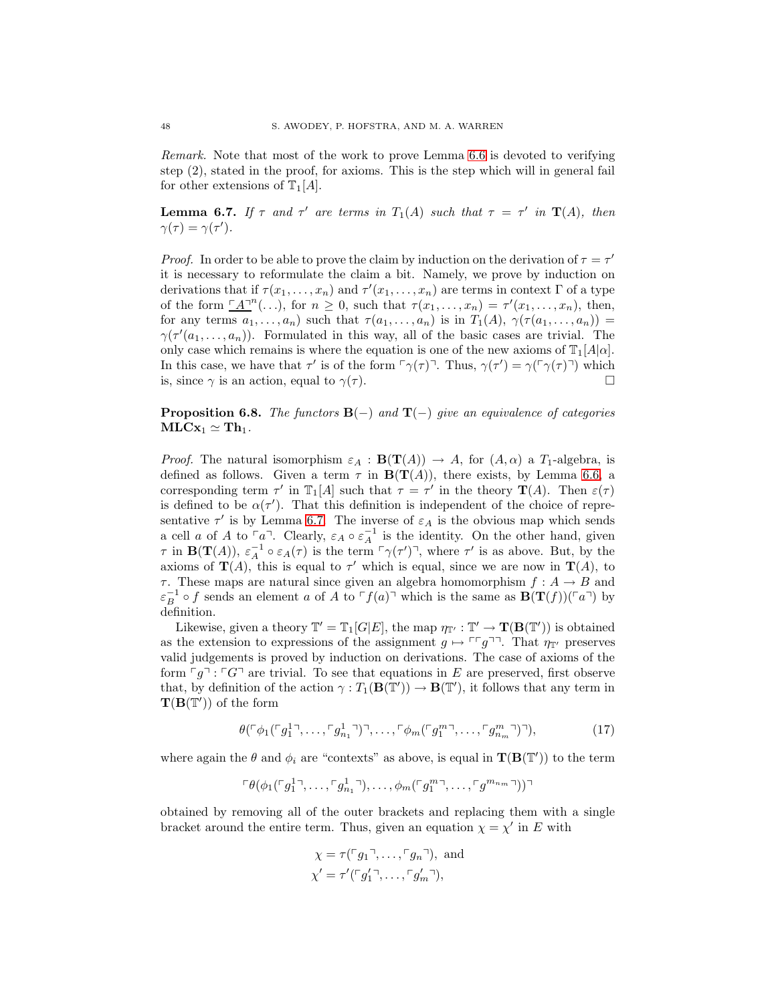*Remark.* Note that most of the work to prove Lemma [6.6](#page-46-0) is devoted to verifying step (2), stated in the proof, for axioms. This is the step which will in general fail for other extensions of  $\mathbb{T}_1[A]$ .

<span id="page-47-0"></span>**Lemma 6.7.** *If*  $\tau$  *and*  $\tau'$  *are terms in*  $T_1(A)$  *such that*  $\tau = \tau'$  *in*  $T(A)$ *, then*  $\gamma(\tau) = \gamma(\tau').$ 

*Proof.* In order to be able to prove the claim by induction on the derivation of  $\tau = \tau'$ it is necessary to reformulate the claim a bit. Namely, we prove by induction on derivations that if  $\tau(x_1, \ldots, x_n)$  and  $\tau'(x_1, \ldots, x_n)$  are terms in context  $\Gamma$  of a type of the form  $\underline{A}^n(\ldots)$ , for  $n \geq 0$ , such that  $\tau(x_1, \ldots, x_n) = \tau'(x_1, \ldots, x_n)$ , then, for any terms  $a_1, \ldots, a_n$ ) such that  $\tau(a_1, \ldots, a_n)$  is in  $T_1(A), \gamma(\tau(a_1, \ldots, a_n)) =$  $\gamma(\tau'(a_1,\ldots,a_n))$ . Formulated in this way, all of the basic cases are trivial. The only case which remains is where the equation is one of the new axioms of  $\mathbb{T}_1[A|\alpha]$ . In this case, we have that  $\tau'$  is of the form  $\lceil \gamma(\tau) \rceil$ . Thus,  $\gamma(\tau') = \gamma(\lceil \gamma(\tau) \rceil)$  which is, since  $\gamma$  is an action, equal to  $\gamma(\tau)$ .

# Proposition 6.8. *The functors* B(−) *and* T(−) *give an equivalence of categories*  $MLCx_1 \simeq Th_1.$

*Proof.* The natural isomorphism  $\varepsilon_A : \mathbf{B}(\mathbf{T}(A)) \to A$ , for  $(A, \alpha)$  a  $T_1$ -algebra, is defined as follows. Given a term  $\tau$  in  $B(T(A))$ , there exists, by Lemma [6.6,](#page-46-0) a corresponding term  $\tau'$  in  $\mathbb{T}_1[A]$  such that  $\tau = \tau'$  in the theory  $\mathbf{T}(A)$ . Then  $\varepsilon(\tau)$ is defined to be  $\alpha(\tau')$ . That this definition is independent of the choice of representative  $\tau'$  is by Lemma [6.7.](#page-47-0) The inverse of  $\varepsilon_A$  is the obvious map which sends a cell a of A to  $\lceil a \rceil$ . Clearly,  $\varepsilon_A \circ \varepsilon_A^{-1}$  is the identity. On the other hand, given  $\tau$  in  $\mathbf{B}(\mathbf{T}(A)), \varepsilon_A^{-1} \circ \varepsilon_A(\tau)$  is the term  $\lceil \gamma(\tau') \rceil$ , where  $\tau'$  is as above. But, by the axioms of  $\mathbf{T}(A)$ , this is equal to  $\tau'$  which is equal, since we are now in  $\mathbf{T}(A)$ , to  $\tau$ . These maps are natural since given an algebra homomorphism  $f : A \to B$  and  $\varepsilon_B^{-1}$  o f sends an element a of A to  $\ulcorner f(a)\urcorner$  which is the same as  $\mathbf{B}(\mathbf{T}(f))(\ulcorner a\urcorner)$  by definition.

Likewise, given a theory  $\mathbb{T}' = \mathbb{T}_1[G|E]$ , the map  $\eta_{\mathbb{T}'} : \mathbb{T}' \to \mathbf{T}(\mathbf{B}(\mathbb{T}'))$  is obtained as the extension to expressions of the assignment  $g \mapsto \ulcorner \ulcorner g \urcorner \urcorner$ . That  $\eta_{\mathbb{T}'}$  preserves valid judgements is proved by induction on derivations. The case of axioms of the form  $\lceil g \rceil$ :  $\lceil G \rceil$  are trivial. To see that equations in E are preserved, first observe that, by definition of the action  $\gamma: T_1(\mathbf{B}(\mathbb{T}')) \to \mathbf{B}(\mathbb{T}')$ , it follows that any term in  $\mathbf{T}(\mathbf{B}(\mathbb{T}'))$  of the form

$$
\theta(\ulcorner \phi_1(\ulcorner g_1^1\urcorner, \ldots, \ulcorner g_{n_1}^1\urcorner) \urcorner, \ldots, \ulcorner \phi_m(\ulcorner g_1^{m\urcorner, \ldots, \ulcorner g_{n_m}^m\urcorner) \urcorner), \tag{17}
$$

where again the  $\theta$  and  $\phi_i$  are "contexts" as above, is equal in  $\mathbf{T}(\mathbf{B}(\mathbb{T}'))$  to the term

$$
\ulcorner \theta(\phi_1(\ulcorner g_1^{1} \urcorner, \ldots, \ulcorner g_{n_1}^{1} \urcorner), \ldots, \phi_m(\ulcorner g_1^{m} \urcorner, \ldots, \ulcorner g^{m_{n_m}} \urcorner)) \urcorner
$$

obtained by removing all of the outer brackets and replacing them with a single bracket around the entire term. Thus, given an equation  $\chi = \chi'$  in E with

<span id="page-47-1"></span>
$$
\chi = \tau({}^{\ulcorner}g_1{}^{\urcorner}, \ldots, {}^{\ulcorner}g_n{}^{\urcorner}), \text{ and}
$$
  

$$
\chi' = \tau'({}^{\ulcorner}g'_1{}^{\urcorner}, \ldots, {}^{\ulcorner}g'_m{}^{\urcorner}),
$$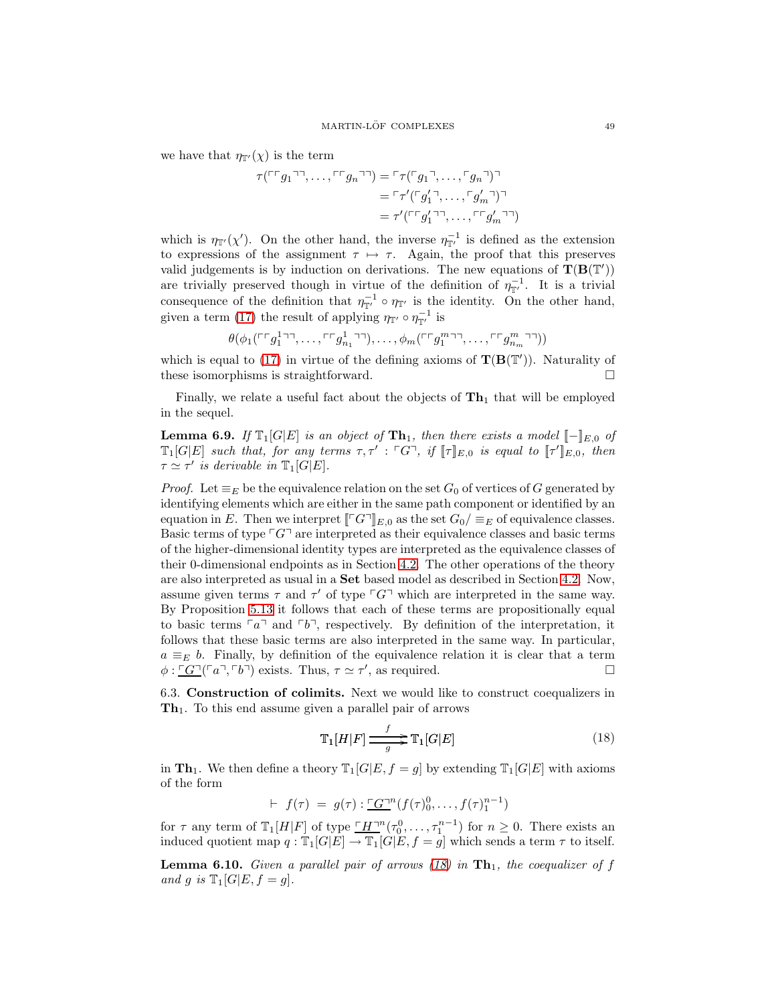we have that  $\eta_{\mathbb{T}'}(\chi)$  is the term

$$
\tau(\ulcorner\ulcorner g_1\urcorner\urcorner,\ldots,\ulcorner\ulcorner g_n\urcorner\urcorner) = \ulcorner\tau(\ulcorner g_1\urcorner,\ldots,\ulcorner g_n\urcorner)\urcorner
$$

$$
= \ulcorner\tau'(\ulcorner g_1'\urcorner,\ldots,\ulcorner g_m'\urcorner)\urcorner
$$

$$
= \tau'(\ulcorner\ulcorner g_1'\urcorner\urcorner,\ldots,\ulcorner\ulcorner g_m'\urcorner\urcorner)
$$

which is  $\eta_{\mathbb{T}'}(\chi')$ . On the other hand, the inverse  $\eta_{\mathbb{T}'}^{-1}$  is defined as the extension to expressions of the assignment  $\tau \mapsto \tau$ . Again, the proof that this preserves valid judgements is by induction on derivations. The new equations of  $T(B(T'))$ are trivially preserved though in virtue of the definition of  $\eta_{\mathbb{T}'}^{-1}$ . It is a trivial consequence of the definition that  $\eta_{\mathbb{T}'}^{-1} \circ \eta_{\mathbb{T}'}$  is the identity. On the other hand, given a term [\(17\)](#page-47-1) the result of applying  $\eta_{\mathbb{T}'} \circ \eta_{\mathbb{T}'}^{-1}$  is

$$
\theta(\phi_1(\ulcorner\ulcorner g_1^{1\lnot\lnot},\ldots,\ulcorner\ulcorner g_{n_1}^{1\lnot\lnot}),\ldots,\phi_m(\ulcorner\ulcorner g_1^{m\lnot\lnot},\ldots,\ulcorner\ulcorner g_{n_m}^{m\lnot\lnot}))
$$

which is equal to [\(17\)](#page-47-1) in virtue of the defining axioms of  $\mathbf{T}(\mathbf{B}(\mathbb{T}'))$ . Naturality of these isomorphisms is straightforward.

<span id="page-48-3"></span>Finally, we relate a useful fact about the objects of  $\mathbf{Th}_1$  that will be employed in the sequel.

**Lemma 6.9.** *If*  $\mathbb{T}_1[G|E]$  *is an object of*  $\mathbf{Th}_1$ *, then there exists a model*  $\llbracket - \rrbracket_{E,0}$  *of*  $\mathbb{T}_1[G|E]$  *such that, for any terms*  $\tau, \tau' : \ulcorner G \urcorner$ , if  $[\![\tau]\!]_{E,0}$  *is equal to*  $[\![\tau']\!]_{E,0}$ , *then*  $\tau \simeq \tau'$  is derivable in  $\mathbb{T}_1[G|E]$ .

*Proof.* Let  $\equiv_E$  be the equivalence relation on the set  $G_0$  of vertices of G generated by identifying elements which are either in the same path component or identified by an equation in E. Then we interpret  $\llbracket \ulcorner G \urcorner \rrbracket_{E,0}$  as the set  $G_0/\equiv_E$  of equivalence classes. Basic terms of type  $\lceil G \rceil$  are interpreted as their equivalence classes and basic terms of the higher-dimensional identity types are interpreted as the equivalence classes of their 0-dimensional endpoints as in Section [4.2.](#page-23-0) The other operations of the theory are also interpreted as usual in a Set based model as described in Section [4.2.](#page-23-0) Now, assume given terms  $\tau$  and  $\tau'$  of type  $\lceil G \rceil$  which are interpreted in the same way. By Proposition [5.13](#page-40-1) it follows that each of these terms are propositionally equal to basic terms  $\lceil a \rceil$  and  $\lceil b \rceil$ , respectively. By definition of the interpretation, it follows that these basic terms are also interpreted in the same way. In particular,  $a \equiv_E b$ . Finally, by definition of the equivalence relation it is clear that a term  $\phi: \underline{\ulcorner G\urcorner(\ulcorner a\urcorner, \ulcorner b\urcorner)}$  exists. Thus,  $\tau \simeq \tau'$ , as required.

<span id="page-48-0"></span>6.3. Construction of colimits. Next we would like to construct coequalizers in  $\mathbf{Th}_1$ . To this end assume given a parallel pair of arrows

<span id="page-48-1"></span>
$$
\mathbb{T}_1[H|F] \xrightarrow{f} \mathbb{T}_1[G|E] \tag{18}
$$

in Th<sub>1</sub>. We then define a theory  $\mathbb{T}_1[G|E, f = g]$  by extending  $\mathbb{T}_1[G|E]$  with axioms of the form

$$
\vdash f(\tau) = g(\tau) : \underline{G}^{-n}(f(\tau)_{0}^{0}, \ldots, f(\tau)_{1}^{n-1})
$$

<span id="page-48-2"></span>for  $\tau$  any term of  $\mathbb{T}_1[H|F]$  of type  $\underline{H}^{-n}(\tau_0^0,\ldots,\tau_1^{n-1})$  for  $n \geq 0$ . There exists an induced quotient map  $q: \mathbb{T}_1[G|E] \to \mathbb{T}_1[G|E, f = g]$  which sends a term  $\tau$  to itself.

**Lemma 6.10.** *Given a parallel pair of arrows* [\(18\)](#page-48-1) in  $\text{Th}_1$ *, the coequalizer of f and* g is  $\mathbb{T}_1[G|E, f = g]$ *.*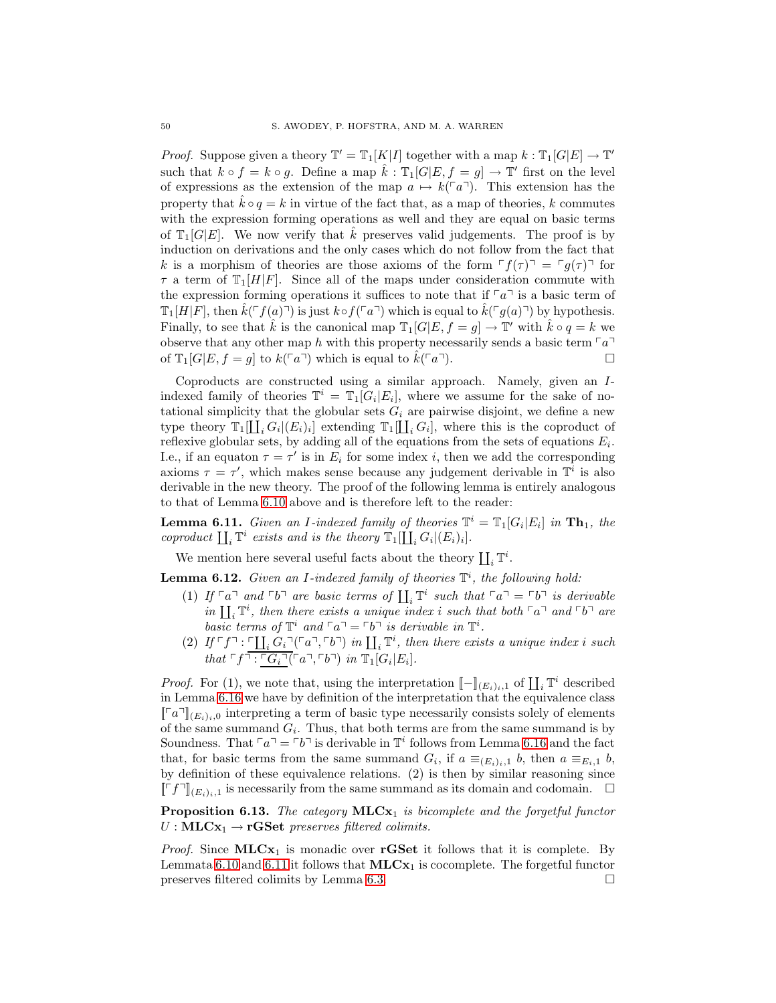*Proof.* Suppose given a theory  $\mathbb{T}' = \mathbb{T}_1[K|I]$  together with a map  $k : \mathbb{T}_1[G|E] \to \mathbb{T}'$ such that  $k \circ f = k \circ g$ . Define a map  $\hat{k} : \mathbb{T}_1[G|E, f = g] \to \mathbb{T}'$  first on the level of expressions as the extension of the map  $a \mapsto k(\ulcorner a \urcorner)$ . This extension has the property that  $k \circ q = k$  in virtue of the fact that, as a map of theories, k commutes with the expression forming operations as well and they are equal on basic terms of  $\mathbb{T}_1[G|E]$ . We now verify that  $\hat{k}$  preserves valid judgements. The proof is by induction on derivations and the only cases which do not follow from the fact that k is a morphism of theories are those axioms of the form  $f(\tau) = g(\tau)$  for  $\tau$  a term of  $\mathbb{T}_1[H|F]$ . Since all of the maps under consideration commute with the expression forming operations it suffices to note that if  $\lceil a \rceil$  is a basic term of  $\mathbb{T}_1[H|F]$ , then  $k(\ulcorner f(a)\urcorner)$  is just  $k \circ f(\ulcorner a\urcorner)$  which is equal to  $k(\ulcorner g(a)\urcorner)$  by hypothesis. Finally, to see that  $\hat{k}$  is the canonical map  $\mathbb{T}_1[G|E, f = g] \to \mathbb{T}'$  with  $\hat{k} \circ q = k$  we observe that any other map h with this property necessarily sends a basic term  $\lceil a \rceil$ of  $\mathbb{T}_1[G|E, f = g]$  to  $k(\ulcorner a\urcorner)$  which is equal to  $k(\ulcorner a\urcorner)$ .

Coproducts are constructed using a similar approach. Namely, given an Iindexed family of theories  $\mathbb{T}^i = \mathbb{T}_1[G_i | E_i]$ , where we assume for the sake of notational simplicity that the globular sets  $G_i$  are pairwise disjoint, we define a new type theory  $\mathbb{T}_1[\coprod_i G_i | (E_i)_i]$  extending  $\mathbb{T}_1[\coprod_i G_i]$ , where this is the coproduct of reflexive globular sets, by adding all of the equations from the sets of equations  $E_i$ . I.e., if an equaton  $\tau = \tau'$  is in  $E_i$  for some index i, then we add the corresponding axioms  $\tau = \tau'$ , which makes sense because any judgement derivable in  $\mathbb{T}^i$  is also derivable in the new theory. The proof of the following lemma is entirely analogous to that of Lemma [6.10](#page-48-2) above and is therefore left to the reader:

<span id="page-49-0"></span>**Lemma 6.11.** *Given an I-indexed family of theories*  $\mathbb{T}^i = \mathbb{T}_1[G_i | E_i]$  *in*  $\mathbf{Th}_1$ *, the coproduct*  $\prod_i \mathbb{T}^i$  *exists and is the theory*  $\mathbb{T}_1[\prod_i G_i | (E_i)_i]$ *.* 

<span id="page-49-1"></span>We mention here several useful facts about the theory  $\coprod_i \mathbb{T}^i.$ 

Lemma 6.12. *Given an* I*-indexed family of theories* T i *, the following hold:*

- (1) If  $\lceil a \rceil$  and  $\lceil b \rceil$  are basic terms of  $\prod_i \mathbb{T}^i$  such that  $\lceil a \rceil = \lceil b \rceil$  is derivable *in*  $\prod_i \mathbb{T}^i$ , then there exists a unique index i such that both  $\lceil a \rceil$  and  $\lceil b \rceil$  are *basic terms of*  $\mathbb{T}^i$  *and*  $\lceil a \rceil = \lceil b \rceil$  *is derivable in*  $\mathbb{T}^i$ *.*
- (2)  $If \ulcorner f \urcorner : \ulcorner \underline{\coprod_i G_i} \urcorner (\ulcorner a \urcorner, \ulcorner b \urcorner)$  *in*  $\coprod_i \mathbb{T}^i$ *, then there exists a unique index i such that*  $\ulcorner f \urcorner : \ulcorner G_i \urcorner (\ulcorner a \urcorner, \ulcorner b \urcorner)$  *in*  $\mathbb{T}_1[G_i | E_i]$ *.*

*Proof.* For (1), we note that, using the interpretation  $[-]_{(E_i)_i,1}$  of  $\prod_i \mathbb{T}^i$  described in Lemma [6.16](#page-51-0) we have by definition of the interpretation that the equivalence class  $[[a]]_{(E_i)_i,0}$  interpreting a term of basic type necessarily consists solely of elements of the same summand  $G_i$ . Thus, that both terms are from the same summand is by Soundness. That  $\lceil a \rceil = \lceil b \rceil$  is derivable in  $\mathbb{T}^i$  follows from Lemma [6.16](#page-51-0) and the fact that, for basic terms from the same summand  $G_i$ , if  $a \equiv_{(E_i)_i,1} b$ , then  $a \equiv_{E_i,1} b$ , by definition of these equivalence relations. (2) is then by similar reasoning since  $[[\ulcorner f\urcorner]_{(E_i)_i,1}]$  is necessarily from the same summand as its domain and codomain.  $\Box$ 

**Proposition 6.13.** *The category* **MLCx**<sub>1</sub> *is bicomplete and the forgetful functor*  $U : MLCx_1 \rightarrow rGSet$  *preserves filtered colimits.* 

*Proof.* Since  $MLCx_1$  is monadic over **rGSet** it follows that it is complete. By Lemmata [6.10](#page-48-2) and [6.11](#page-49-0) it follows that  $MLCx_1$  is cocomplete. The forgetful functor preserves filtered colimits by Lemma [6.3.](#page-43-3)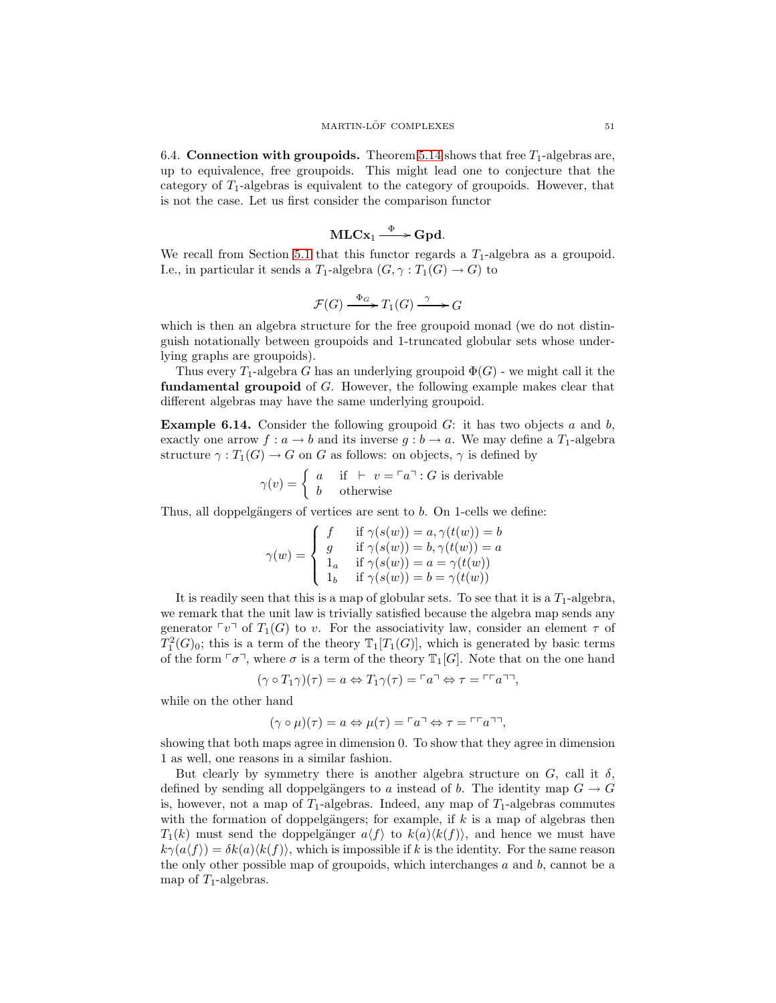<span id="page-50-0"></span>6.4. Connection with groupoids. Theorem [5.14](#page-42-2) shows that free  $T_1$ -algebras are, up to equivalence, free groupoids. This might lead one to conjecture that the category of  $T_1$ -algebras is equivalent to the category of groupoids. However, that is not the case. Let us first consider the comparison functor

$$
MLCx_1 \xrightarrow{\Phi} Gpd.
$$

We recall from Section [5.1](#page-26-0) that this functor regards a  $T_1$ -algebra as a groupoid. I.e., in particular it sends a  $T_1$ -algebra  $(G, \gamma : T_1(G) \to G)$  to

$$
\mathcal{F}(G) \xrightarrow{\Phi_G} T_1(G) \xrightarrow{\gamma} G
$$

which is then an algebra structure for the free groupoid monad (we do not distinguish notationally between groupoids and 1-truncated globular sets whose underlying graphs are groupoids).

Thus every  $T_1$ -algebra G has an underlying groupoid  $\Phi(G)$  - we might call it the fundamental groupoid of G. However, the following example makes clear that different algebras may have the same underlying groupoid.

**Example 6.14.** Consider the following groupoid  $G$ : it has two objects a and b, exactly one arrow  $f: a \to b$  and its inverse  $g: b \to a$ . We may define a  $T_1$ -algebra structure  $\gamma: T_1(G) \to G$  on G as follows: on objects,  $\gamma$  is defined by

$$
\gamma(v) = \begin{cases} a & \text{if } \vdash v = \ulcorner a \urcorner : G \text{ is derivable} \\ b & \text{otherwise} \end{cases}
$$

Thus, all doppelgängers of vertices are sent to  $b$ . On 1-cells we define:

$$
\gamma(w) = \begin{cases}\nf & \text{if } \gamma(s(w)) = a, \gamma(t(w)) = b \\
g & \text{if } \gamma(s(w)) = b, \gamma(t(w)) = a \\
1_a & \text{if } \gamma(s(w)) = a = \gamma(t(w)) \\
1_b & \text{if } \gamma(s(w)) = b = \gamma(t(w))\n\end{cases}
$$

It is readily seen that this is a map of globular sets. To see that it is a  $T_1$ -algebra, we remark that the unit law is trivially satisfied because the algebra map sends any generator  $\lceil v \rceil$  of  $T_1(G)$  to v. For the associativity law, consider an element  $\tau$  of  $T_1^2(G)_0$ ; this is a term of the theory  $\mathbb{T}_1[T_1(G)]$ , which is generated by basic terms of the form  $\lceil \sigma \rceil$ , where  $\sigma$  is a term of the theory  $\mathbb{T}_1[G]$ . Note that on the one hand

$$
(\gamma \circ T_1 \gamma)(\tau) = a \Leftrightarrow T_1 \gamma(\tau) = \ulcorner a \urcorner \Leftrightarrow \tau = \ulcorner \ulcorner a \urcorner \urcorner,
$$

while on the other hand

$$
(\gamma \circ \mu)(\tau) = a \Leftrightarrow \mu(\tau) = \ulcorner a \urcorner \Leftrightarrow \tau = \ulcorner \ulcorner a \urcorner \urcorner,
$$

showing that both maps agree in dimension 0. To show that they agree in dimension 1 as well, one reasons in a similar fashion.

But clearly by symmetry there is another algebra structure on  $G$ , call it  $\delta$ , defined by sending all doppelgängers to a instead of b. The identity map  $G \to G$ is, however, not a map of  $T_1$ -algebras. Indeed, any map of  $T_1$ -algebras commutes with the formation of doppelgängers; for example, if  $k$  is a map of algebras then  $T_1(k)$  must send the doppelgänger  $a\langle f \rangle$  to  $k(a)\langle k(f) \rangle$ , and hence we must have  $k\gamma(a\langle f \rangle) = \delta k(a)\langle k(f) \rangle$ , which is impossible if k is the identity. For the same reason the only other possible map of groupoids, which interchanges  $a$  and  $b$ , cannot be a map of  $T_1$ -algebras.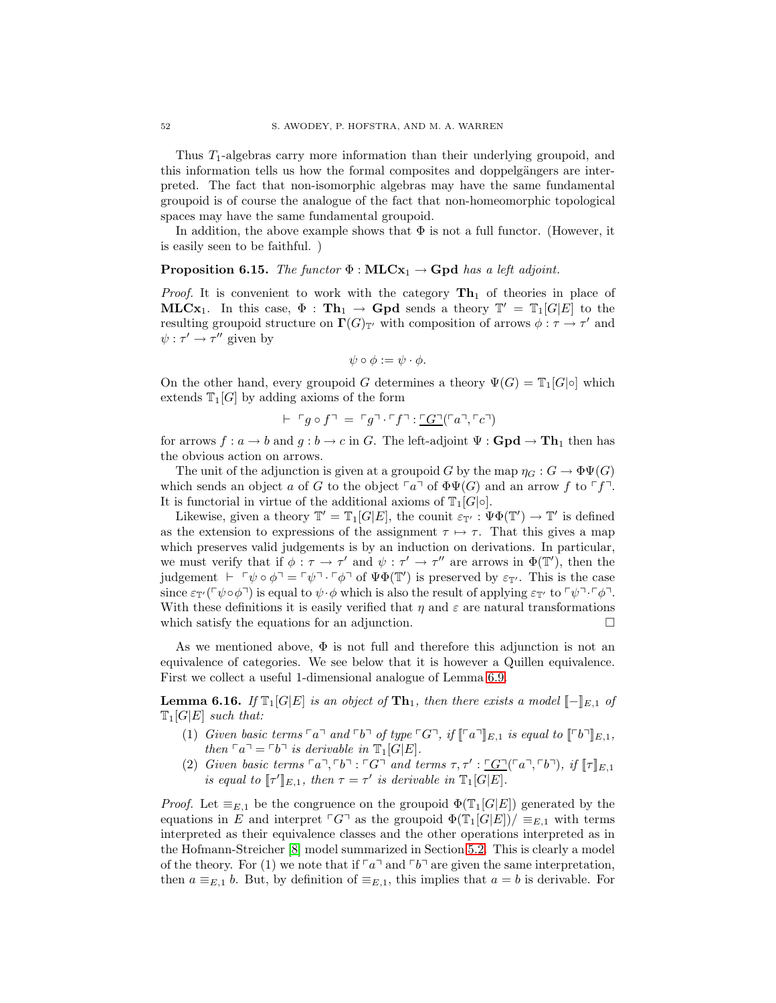Thus  $T_1$ -algebras carry more information than their underlying groupoid, and this information tells us how the formal composites and doppelgängers are interpreted. The fact that non-isomorphic algebras may have the same fundamental groupoid is of course the analogue of the fact that non-homeomorphic topological spaces may have the same fundamental groupoid.

In addition, the above example shows that  $\Phi$  is not a full functor. (However, it is easily seen to be faithful. )

# **Proposition 6.15.** *The functor*  $\Phi : \textbf{MLCx}_1 \rightarrow \textbf{Gpd}$  *has a left adjoint.*

*Proof.* It is convenient to work with the category  $\text{Th}_1$  of theories in place of **MLCx**<sub>1</sub>. In this case,  $\Phi : \textbf{Th}_1 \to \textbf{Gpd}$  sends a theory  $\mathbb{T}' = \mathbb{T}_1[G|E]$  to the resulting groupoid structure on  $\Gamma(G)_{\mathbb{T}'}$  with composition of arrows  $\phi : \tau \to \tau'$  and  $\psi : \tau' \to \tau''$  given by

$$
\psi \circ \phi := \psi \cdot \phi.
$$

On the other hand, every groupoid G determines a theory  $\Psi(G) = \mathbb{T}_1[G] \circ ]$  which extends  $\mathbb{T}_1[G]$  by adding axioms of the form

$$
\vdash \ulcorner g \circ f \urcorner = \ulcorner g \urcorner \ulcorner f \urcorner : \ulcorner G \urcorner (\ulcorner a \urcorner, \ulcorner c \urcorner)
$$

for arrows  $f: a \to b$  and  $g: b \to c$  in G. The left-adjoint  $\Psi: \mathbf{Gpd} \to \mathbf{Th}_1$  then has the obvious action on arrows.

The unit of the adjunction is given at a groupoid G by the map  $\eta_G : G \to \Phi \Psi(G)$ which sends an object a of G to the object  $\lceil a \rceil$  of  $\Phi\Psi(G)$  and an arrow f to  $\lceil f \rceil$ . It is functorial in virtue of the additional axioms of  $\mathbb{T}_1[G] \circ$ .

Likewise, given a theory  $\mathbb{T}' = \mathbb{T}_1[G|E]$ , the counit  $\varepsilon_{\mathbb{T}'} : \Psi \Phi(\mathbb{T}') \to \mathbb{T}'$  is defined as the extension to expressions of the assignment  $\tau \mapsto \tau$ . That this gives a map which preserves valid judgements is by an induction on derivations. In particular, we must verify that if  $\phi : \tau \to \tau'$  and  $\psi : \tau' \to \tau''$  are arrows in  $\Phi(\mathbb{T}')$ , then the judgement  $\vdash \ulcorner \psi \circ \phi \urcorner = \ulcorner \psi \urcorner \ulcorner \phi \urcorner$  of  $\Psi \Phi(\mathbb{T}')$  is preserved by  $\varepsilon_{\mathbb{T}'}$ . This is the case since  $\varepsilon_{\mathbb{T}'}(\ulcorner \psi \circ \phi \urcorner)$  is equal to  $\psi \cdot \phi$  which is also the result of applying  $\varepsilon_{\mathbb{T}'}$  to  $\ulcorner \psi \urcorner \ulcorner \phi \urcorner$ . With these definitions it is easily verified that  $\eta$  and  $\varepsilon$  are natural transformations which satisfy the equations for an adjunction.  $\Box$ 

As we mentioned above,  $\Phi$  is not full and therefore this adjunction is not an equivalence of categories. We see below that it is however a Quillen equivalence. First we collect a useful 1-dimensional analogue of Lemma [6.9.](#page-48-3)

<span id="page-51-0"></span>**Lemma 6.16.** *If*  $\mathbb{T}_1[G|E]$  *is an object of*  $\mathbf{T}\mathbf{h}_1$ *, then there exists a model*  $[-]_{E,1}$  *of*  $\mathbb{T}_1[G|E]$  *such that:* 

- (1) *Given basic terms*  $\lceil a \rceil$  *and*  $\lceil b \rceil$  *of type*  $\lceil G \rceil$ *, if*  $\lceil \lceil a \rceil \rceil_{E,1}$  *is equal to*  $\lceil \lceil b \rceil \rceil_{E,1}$ *, then*  $\lceil a \rceil = \lceil b \rceil$  *is derivable in*  $\mathbb{T}_1[G|E]$ *.*
- (2) *Given basic terms*  $\lceil a \rceil, \lceil b \rceil : \lceil G \rceil$  *and terms*  $\tau, \tau' : \lceil G \rceil (\lceil a \rceil, \lceil b \rceil)$ , if  $\lceil \lceil \rceil_{E,1}$ *is equal to*  $[\![\tau']\!]_{E,1}$ *, then*  $\tau = \tau'$  *is derivable in*  $\mathbb{T}_1[G|E]$ *.*

*Proof.* Let  $\equiv_{E,1}$  be the congruence on the groupoid  $\Phi(\mathbb{T}_1[G|E])$  generated by the equations in E and interpret  $\ulcorner G\urcorner$  as the groupoid  $\Phi(\mathbb{T}_1[G|E])/\equiv_{E,1}$  with terms interpreted as their equivalence classes and the other operations interpreted as in the Hofmann-Streicher [\[8\]](#page-60-9) model summarized in Section [5.2.](#page-28-0) This is clearly a model of the theory. For (1) we note that if  $\lceil a \rceil$  and  $\lceil b \rceil$  are given the same interpretation, then  $a \equiv_{E,1} b$ . But, by definition of  $\equiv_{E,1}$ , this implies that  $a = b$  is derivable. For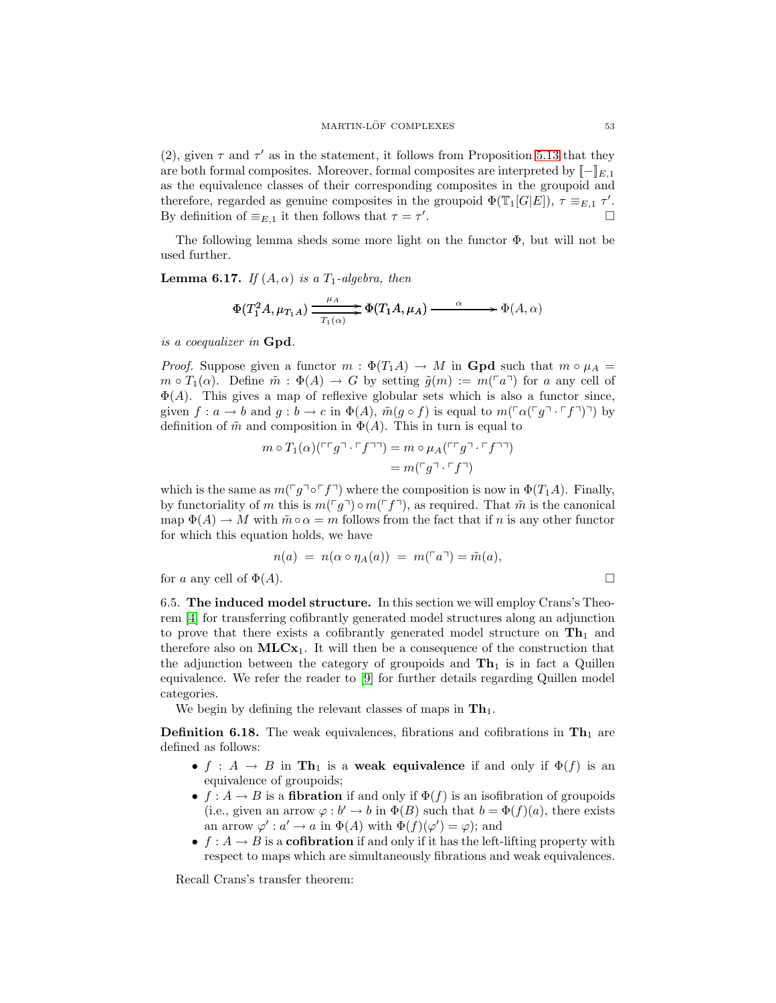(2), given  $\tau$  and  $\tau'$  as in the statement, it follows from Proposition [5.13](#page-40-1) that they are both formal composites. Moreover, formal composites are interpreted by  $[-]_{E,1}$ as the equivalence classes of their corresponding composites in the groupoid and therefore, regarded as genuine composites in the groupoid  $\Phi(\mathbb{T}_1[G|E])$ ,  $\tau \equiv_{E,1} \tau'$ . By definition of  $\equiv_{E,1}$  it then follows that  $\tau = \tau'$ .

The following lemma sheds some more light on the functor  $\Phi$ , but will not be used further.

**Lemma 6.17.** *If*  $(A, \alpha)$  *is a*  $T_1$ *-algebra, then* 

$$
\Phi(T_1^2 A, \mu_{T_1 A}) \xrightarrow{T_1(\alpha)} \Phi(T_1 A, \mu_A) \xrightarrow{\alpha} \Phi(A, \alpha)
$$

*is a coequalizer in* Gpd*.*

*Proof.* Suppose given a functor  $m : \Phi(T_1A) \to M$  in **Gpd** such that  $m \circ \mu_A =$  $m \circ T_1(\alpha)$ . Define  $\tilde{m} : \Phi(A) \to G$  by setting  $\tilde{g}(m) := m(\ulcorner a \urcorner)$  for a any cell of  $\Phi(A)$ . This gives a map of reflexive globular sets which is also a functor since, given  $f: a \to b$  and  $g: b \to c$  in  $\Phi(A)$ ,  $\tilde{m}(g \circ f)$  is equal to  $m(\ulcorner \alpha \ulcorner g \urcorner \ulcorner f \urcorner \urcorner) \urcorner)$  by definition of  $\tilde{m}$  and composition in  $\Phi(A)$ . This in turn is equal to

$$
m \circ T_1(\alpha)(\ulcorner\ulcorner g \urcorner \ulcorner f \urcorner\urcorner) = m \circ \mu_A(\ulcorner\ulcorner g \urcorner \ulcorner f \urcorner\urcorner)
$$

$$
= m(\ulcorner g \urcorner \ulcorner f \urcorner)
$$

which is the same as  $m(\ulcorner g\urcorner \circ \ulcorner f\urcorner)$  where the composition is now in  $\Phi(T_1A)$ . Finally, by functoriality of m this is  $m(\ulcorner g\urcorner) \circ m(\ulcorner f\urcorner)$ , as required. That  $\tilde{m}$  is the canonical map  $\Phi(A) \to M$  with  $\tilde{m} \circ \alpha = m$  follows from the fact that if n is any other functor for which this equation holds, we have

$$
n(a) = n(\alpha \circ \eta_A(a)) = m(\ulcorner a \urcorner) = \tilde{m}(a),
$$

<span id="page-52-0"></span>for a any cell of  $\Phi(A)$ .

6.5. The induced model structure. In this section we will employ Crans's Theorem [\[4\]](#page-60-14) for transferring cofibrantly generated model structures along an adjunction to prove that there exists a cofibrantly generated model structure on  $\mathbf{Th}_1$  and therefore also on  $MLCx_1$ . It will then be a consequence of the construction that the adjunction between the category of groupoids and  $\mathbf{Th}_1$  is in fact a Quillen equivalence. We refer the reader to [\[9\]](#page-60-21) for further details regarding Quillen model categories.

We begin by defining the relevant classes of maps in  $\mathbf{Th}_1$ .

**Definition 6.18.** The weak equivalences, fibrations and cofibrations in  $\text{Th}_1$  are defined as follows:

- f :  $A \rightarrow B$  in Th<sub>1</sub> is a weak equivalence if and only if  $\Phi(f)$  is an equivalence of groupoids;
- $f : A \to B$  is a fibration if and only if  $\Phi(f)$  is an isofibration of groupoids (i.e., given an arrow  $\varphi : b' \to b$  in  $\Phi(B)$  such that  $b = \Phi(f)(a)$ , there exists an arrow  $\varphi' : a' \to a$  in  $\Phi(A)$  with  $\Phi(f)(\varphi') = \varphi$ ; and
- $f: A \to B$  is a **cofibration** if and only if it has the left-lifting property with respect to maps which are simultaneously fibrations and weak equivalences.

<span id="page-52-1"></span>Recall Crans's transfer theorem: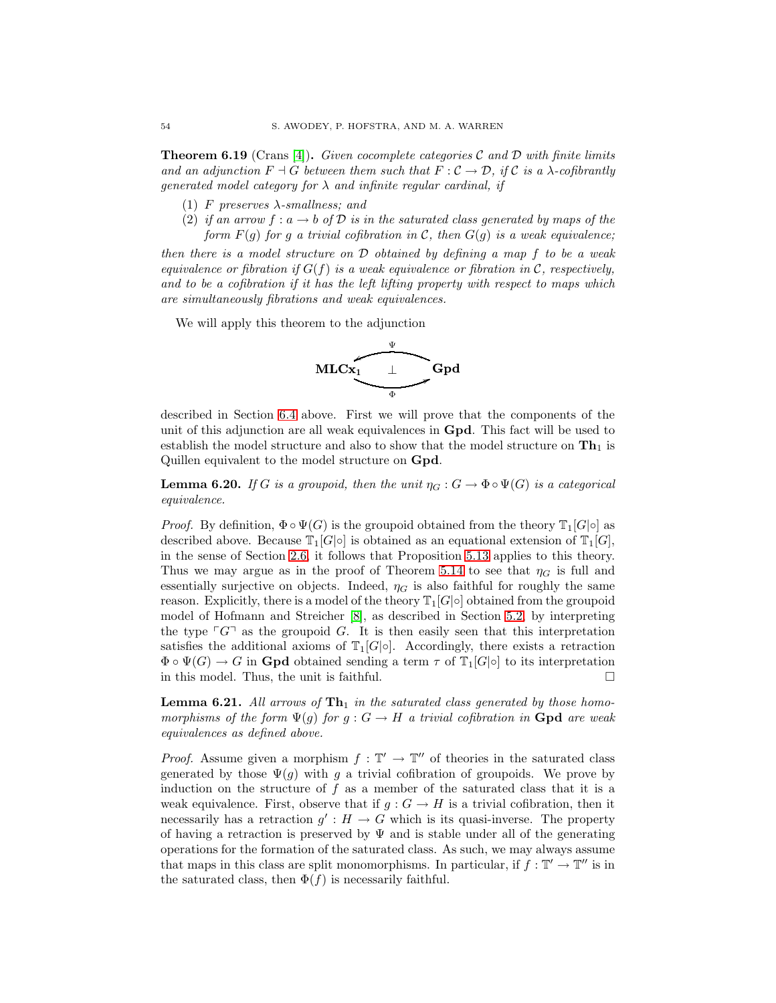Theorem 6.19 (Crans [\[4\]](#page-60-14)). *Given cocomplete categories* C *and* D *with finite limits and an adjunction*  $F \dashv G$  *between them such that*  $F : C \to \mathcal{D}$ , if C is a  $\lambda$ -cofibrantly *generated model category for* λ *and infinite regular cardinal, if*

- (1) F *preserves* λ*-smallness; and*
- (2) *if an arrow*  $f : a \rightarrow b$  *of*  $D$  *is in the saturated class generated by maps of the form*  $F(g)$  *for* g a trivial cofibration in C, then  $G(g)$  is a weak equivalence;

*then there is a model structure on* D *obtained by defining a map* f *to be a weak equivalence or fibration if* G(f) *is a weak equivalence or fibration in* C*, respectively, and to be a cofibration if it has the left lifting property with respect to maps which are simultaneously fibrations and weak equivalences.*

We will apply this theorem to the adjunction



described in Section [6.4](#page-50-0) above. First we will prove that the components of the unit of this adjunction are all weak equivalences in Gpd. This fact will be used to establish the model structure and also to show that the model structure on  $\text{Th}_1$  is Quillen equivalent to the model structure on Gpd.

<span id="page-53-0"></span>**Lemma 6.20.** *If* G *is a groupoid, then the unit*  $\eta_G : G \to \Phi \circ \Psi(G)$  *is a categorical equivalence.*

*Proof.* By definition,  $\Phi \circ \Psi(G)$  is the groupoid obtained from the theory  $\mathbb{T}_1[G] \circ \mathbb{I}$  as described above. Because  $\mathbb{T}_1[G|\circ]$  is obtained as an equational extension of  $\mathbb{T}_1[G]$ , in the sense of Section [2.6,](#page-11-1) it follows that Proposition [5.13](#page-40-1) applies to this theory. Thus we may argue as in the proof of Theorem [5.14](#page-42-2) to see that  $\eta_G$  is full and essentially surjective on objects. Indeed,  $\eta_G$  is also faithful for roughly the same reason. Explicitly, there is a model of the theory  $\mathbb{T}_1[G|\circ]$  obtained from the groupoid model of Hofmann and Streicher [\[8\]](#page-60-9), as described in Section [5.2,](#page-28-0) by interpreting the type  $\lceil G \rceil$  as the groupoid G. It is then easily seen that this interpretation satisfies the additional axioms of  $T_1[G] \circ]$ . Accordingly, there exists a retraction  $\Phi \circ \Psi(G) \to G$  in **Gpd** obtained sending a term  $\tau$  of  $\mathbb{T}_1[G] \circ$  to its interpretation in this model. Thus, the unit is faithful.  $\Box$ 

<span id="page-53-1"></span>Lemma 6.21. All arrows of  $\text{Th}_1$  in the saturated class generated by those homo*morphisms of the form*  $\Psi(g)$  *for*  $g: G \to H$  *a trivial cofibration in* **Gpd** *are weak equivalences as defined above.*

*Proof.* Assume given a morphism  $f : \mathbb{T}' \to \mathbb{T}''$  of theories in the saturated class generated by those  $\Psi(g)$  with g a trivial cofibration of groupoids. We prove by induction on the structure of  $f$  as a member of the saturated class that it is a weak equivalence. First, observe that if  $g: G \to H$  is a trivial cofibration, then it necessarily has a retraction  $g' : H \to G$  which is its quasi-inverse. The property of having a retraction is preserved by  $\Psi$  and is stable under all of the generating operations for the formation of the saturated class. As such, we may always assume that maps in this class are split monomorphisms. In particular, if  $f: \mathbb{T}' \to \mathbb{T}''$  is in the saturated class, then  $\Phi(f)$  is necessarily faithful.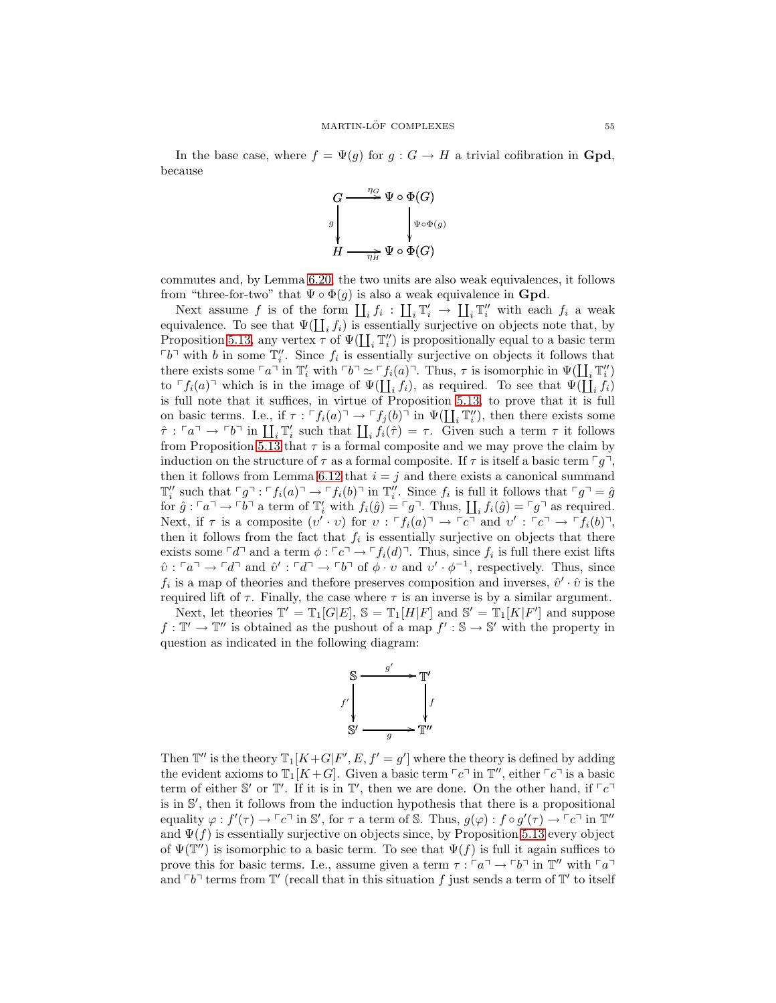In the base case, where  $f = \Psi(g)$  for  $g : G \to H$  a trivial cofibration in **Gpd**, because



commutes and, by Lemma [6.20,](#page-53-0) the two units are also weak equivalences, it follows from "three-for-two" that  $\Psi \circ \Phi(g)$  is also a weak equivalence in **Gpd**.

Next assume f is of the form  $\coprod_i f_i : \coprod_i \mathbb{T}'_i \to \coprod_i \mathbb{T}''_i$  with each  $f_i$  a weak equivalence. To see that  $\Psi(\coprod_i f_i)$  is essentially surjective on objects note that, by Proposition [5.13,](#page-40-1) any vertex  $\tau$  of  $\Psi(\prod_i \mathbb{T}'_i)$  is propositionally equal to a basic term  $\lceil b \rceil$  with b in some  $\mathbb{T}''_i$ . Since  $f_i$  is essentially surjective on objects it follows that there exists some  $\ulcorner a \urcorner$  in  $\mathbb{T}'_i$  with  $\ulcorner b \urcorner \simeq \ulcorner f_i(a) \urcorner$ . Thus,  $\tau$  is isomorphic in  $\Psi(\coprod_i \mathbb{T}''_i)$ to  $\ulcorner f_i(a) \urcorner$  which is in the image of  $\Psi(\coprod_i f_i)$ , as required. To see that  $\Psi(\coprod_i f_i)$ is full note that it suffices, in virtue of Proposition [5.13,](#page-40-1) to prove that it is full on basic terms. I.e., if  $\tau : [f_i(a)^\top \to [f_j(b)^\top \text{ in } \Psi(\coprod_i \mathbb{T}_i'')$ , then there exists some  $\hat{\tau}: \ulcorner a \urcorner \rightarrow \ulcorner b \urcorner$  in  $\coprod_i \mathbb{T}'_i$  such that  $\coprod_i f_i(\hat{\tau}) = \tau$ . Given such a term  $\tau$  it follows from Proposition [5.13](#page-40-1) that  $\tau$  is a formal composite and we may prove the claim by induction on the structure of  $\tau$  as a formal composite. If  $\tau$  is itself a basic term  $\lceil q \rceil$ , then it follows from Lemma [6.12](#page-49-1) that  $i = j$  and there exists a canonical summand  $\mathbb{T}_i''$  such that  $\ulcorner g \urcorner : \ulcorner f_i(a) \urcorner \rightarrow \ulcorner f_i(b) \urcorner$  in  $\mathbb{T}_i''$ . Since  $f_i$  is full it follows that  $\ulcorner g \urcorner = \hat{g}$ for  $\hat{g}: \ulcorner a \urcorner \rightarrow \ulcorner b \urcorner$  a term of  $\mathbb{T}'_i$  with  $f_i(\hat{g}) = \ulcorner g \urcorner$ . Thus,  $\coprod_i f_i(\hat{g}) = \ulcorner g \urcorner$  as required. Next, if  $\tau$  is a composite  $(v' \cdot v)$  for  $v : \ulcorner f_i(a) \urcorner \rightarrow \ulcorner c \urcorner$  and  $v' : \ulcorner c \urcorner \rightarrow \ulcorner f_i(b) \urcorner$ , then it follows from the fact that  $f_i$  is essentially surjective on objects that there exists some  $\ulcorner d \urcorner$  and a term  $\phi : \ulcorner c \urcorner \rightarrow \ulcorner f_i(d) \urcorner$ . Thus, since  $f_i$  is full there exist lifts  $\hat{v}: \ulcorner a \urcorner \rightarrow \ulcorner d \urcorner$  and  $\hat{v}': \ulcorner d \urcorner \rightarrow \ulcorner b \urcorner$  of  $\phi \cdot v$  and  $v' \cdot \phi^{-1}$ , respectively. Thus, since  $f_i$  is a map of theories and thefore preserves composition and inverses,  $\hat{v}' \cdot \hat{v}$  is the required lift of  $\tau$ . Finally, the case where  $\tau$  is an inverse is by a similar argument.

Next, let theories  $\mathbb{T}' = \mathbb{T}_1[G|E], \mathbb{S} = \mathbb{T}_1[H|F]$  and  $\mathbb{S}' = \mathbb{T}_1[K|F']$  and suppose  $f: \mathbb{T}' \to \mathbb{T}''$  is obtained as the pushout of a map  $f': \mathbb{S} \to \mathbb{S}'$  with the property in question as indicated in the following diagram:



Then  $\mathbb{T}''$  is the theory  $\mathbb{T}_1[K+G|F', E, f' = g']$  where the theory is defined by adding the evident axioms to  $\mathbb{T}_1[K+G]$ . Given a basic term  $\lceil c \rceil$  in  $\mathbb{T}'$ , either  $\lceil c \rceil$  is a basic term of either S' or  $\mathbb{T}'$ . If it is in  $\mathbb{T}'$ , then we are done. On the other hand, if  $\lceil c \rceil$ is in S ′ , then it follows from the induction hypothesis that there is a propositional equality  $\varphi: f'(\tau) \to \ulcorner c \urcorner$  in S', for  $\tau$  a term of S. Thus,  $g(\varphi): f \circ g'(\tau) \to \ulcorner c \urcorner$  in  $\mathbb{T}''$ and  $\Psi(f)$  is essentially surjective on objects since, by Proposition [5.13](#page-40-1) every object of  $\Psi(\mathbb{T}^{\prime\prime})$  is isomorphic to a basic term. To see that  $\Psi(f)$  is full it again suffices to prove this for basic terms. I.e., assume given a term  $\tau : \ulcorner a \urcorner \rightarrow \ulcorner b \urcorner$  in  $\mathbb{T}''$  with  $\ulcorner a \urcorner$ and  $\ulcorner b \urcorner$  terms from  $\mathbb{T}'$  (recall that in this situation f just sends a term of  $\mathbb{T}'$  to itself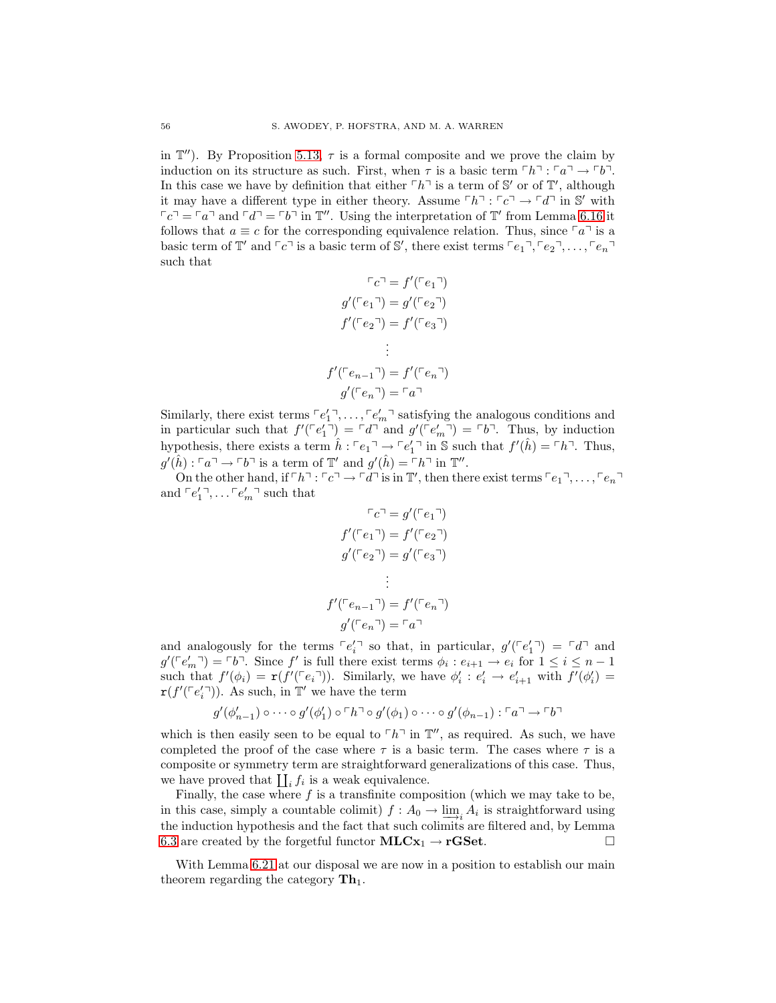in  $\mathbb{T}''$ ). By Proposition [5.13,](#page-40-1)  $\tau$  is a formal composite and we prove the claim by induction on its structure as such. First, when  $\tau$  is a basic term  $\lceil h \rceil$ :  $\lceil a \rceil \rightarrow \lceil b \rceil$ . In this case we have by definition that either  $\ulcorner h \urcorner$  is a term of S' or of T', although it may have a different type in either theory. Assume  $\ulcorner h \urcorner : \ulcorner c \urcorner \rightarrow \ulcorner d \urcorner$  in S' with  $\lceil c \rceil = \lceil a \rceil$  and  $\lceil d \rceil = \lceil b \rceil$  in  $\mathbb{T}''$ . Using the interpretation of  $\mathbb{T}'$  from Lemma [6.16](#page-51-0) it follows that  $a \equiv c$  for the corresponding equivalence relation. Thus, since  $\lceil a \rceil$  is a basic term of  $\mathbb{T}'$  and  $\lceil c \rceil$  is a basic term of S', there exist terms  $\lceil e_1 \rceil, \lceil e_2 \rceil, \ldots, \lceil e_n \rceil$ such that

$$
\ulcorner c \urcorner = f'(\ulcorner e_1 \urcorner)
$$
\n
$$
g'(\ulcorner e_1 \urcorner) = g'(\ulcorner e_2 \urcorner)
$$
\n
$$
f'(\ulcorner e_2 \urcorner) = f'(\ulcorner e_3 \urcorner)
$$
\n
$$
\vdots
$$
\n
$$
f'(\ulcorner e_{n-1} \urcorner) = f'(\ulcorner e_n \urcorner)
$$
\n
$$
g'(\ulcorner e_n \urcorner) = \ulcorner a \urcorner
$$

Similarly, there exist terms  $\lceil e'_1 \rceil, \ldots, \lceil e'_m \rceil$  satisfying the analogous conditions and in particular such that  $f'(\lceil e'_1 \rceil) = \lceil d \rceil$  and  $g'(\lceil e'_m \rceil) = \lceil b \rceil$ . Thus, by induction hypothesis, there exists a term  $\hat{h}: \ulcorner e_1 \urcorner \rightarrow \ulcorner e'_1 \urcorner$  in S such that  $f'(\hat{h}) = \ulcorner h \urcorner$ . Thus,  $g'(\hat{h}) : \ulcorner a \urcorner \rightarrow \ulcorner b \urcorner$  is a term of  $\mathbb{T}'$  and  $g'(\hat{h}) = \ulcorner h \urcorner$  in  $\mathbb{T}''$ .

On the other hand, if  $\ulcorner h \urcorner : \ulcorner c \urcorner \rightarrow \ulcorner d \urcorner$  is in  $\mathbb{T}'$ , then there exist terms  $\ulcorner e_1 \urcorner, \ldots, \ulcorner e_n \urcorner$ and  $\ulcorner e_1' \urcorner, \ldots \ulcorner e_m' \urcorner$  such that

$$
\begin{aligned}\n^c e^{\gamma} &= g'(\ulcorner e_1 \urcorner) \\
f'(\ulcorner e_1 \urcorner) &= f'(\ulcorner e_2 \urcorner) \\
g'(\ulcorner e_2 \urcorner) &= g'(\ulcorner e_3 \urcorner) \\
&\vdots \\
^c(\ulcorner e_{n-1} \urcorner) &= f'(\ulcorner e_n \urcorner) \\
g'(\ulcorner e_n \urcorner) &= \ulcorner a \urcorner\n\end{aligned}
$$

and analogously for the terms  $\lceil e_i' \rceil$  so that, in particular,  $g'(\lceil e'_1 \rceil) = \lceil d \rceil$  and  $g'(\ulcorner e'_m \urcorner) = \ulcorner b \urcorner$ . Since f' is full there exist terms  $\phi_i : e_{i+1} \to e_i$  for  $1 \leq i \leq n-1$ such that  $f'(\phi_i) = \mathbf{r}(f'(\ulcorner e_i \urcorner))$ . Similarly, we have  $\phi'_i : e'_i \to e'_{i+1}$  with  $f'(\phi'_i) =$  $\mathbf{r}(f'(\lceil e'_i \rceil)).$  As such, in  $\mathbb{T}'$  we have the term

f

$$
g'(\phi'_{n-1}) \circ \cdots \circ g'(\phi'_1) \circ \ulcorner h \urcorner \circ g'(\phi_1) \circ \cdots \circ g'(\phi_{n-1}) : \ulcorner a \urcorner \to \ulcorner b \urcorner
$$

which is then easily seen to be equal to  $\ulcorner h \urcorner$  in  $\mathbb{T}''$ , as required. As such, we have completed the proof of the case where  $\tau$  is a basic term. The cases where  $\tau$  is a composite or symmetry term are straightforward generalizations of this case. Thus, we have proved that  $\prod_i f_i$  is a weak equivalence.

Finally, the case where  $f$  is a transfinite composition (which we may take to be, in this case, simply a countable colimit)  $f : A_0 \to \lim_{\longrightarrow i} A_i$  is straightforward using the induction hypothesis and the fact that such colimits are filtered and, by Lemma [6.3](#page-43-3) are created by the forgetful functor  $MLCx_1 \rightarrow rGSet$ .

<span id="page-55-0"></span>With Lemma [6.21](#page-53-1) at our disposal we are now in a position to establish our main theorem regarding the category  $\mathbf{Th}_1$ .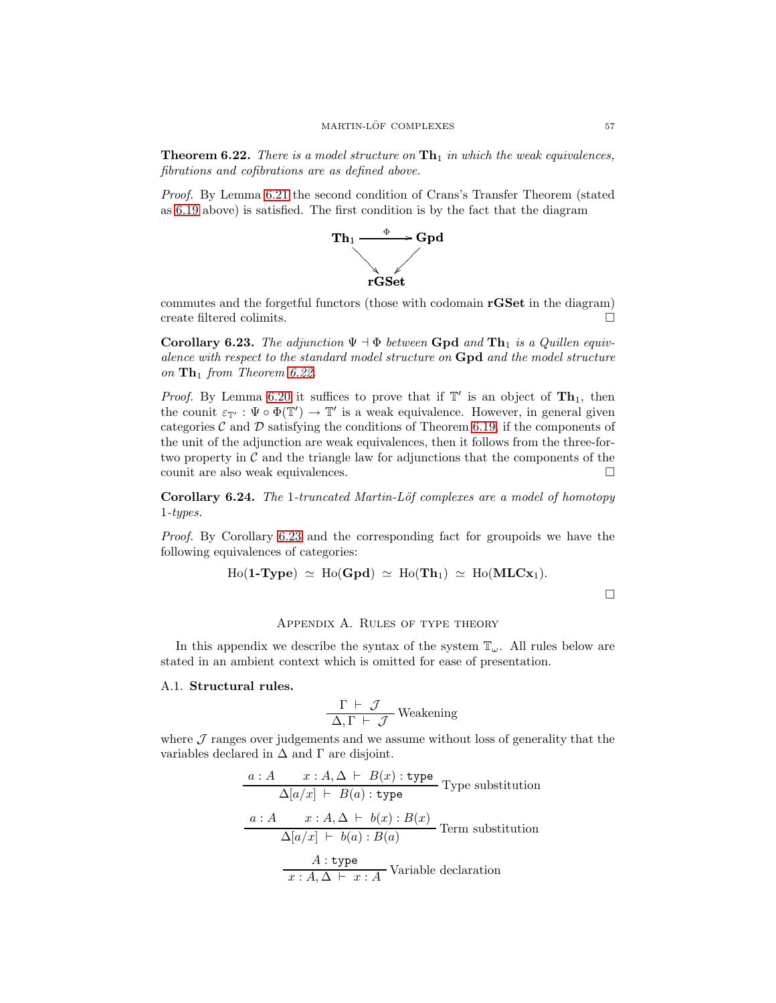**Theorem 6.22.** *There is a model structure on*  $\text{Th}_1$  *in which the weak equivalences, fibrations and cofibrations are as defined above.*

*Proof.* By Lemma [6.21](#page-53-1) the second condition of Crans's Transfer Theorem (stated as [6.19](#page-52-1) above) is satisfied. The first condition is by the fact that the diagram



commutes and the forgetful functors (those with codomain rGSet in the diagram) create filtered colimits.

<span id="page-56-2"></span>Corollary 6.23. *The adjunction*  $\Psi \dashv \Phi$  *between* Gpd *and* Th<sub>1</sub> *is a Quillen equivalence with respect to the standard model structure on* Gpd *and the model structure on*  $\mathbf{Th}_1$  *from Theorem [6.22.](#page-55-0)* 

*Proof.* By Lemma [6.20](#page-53-0) it suffices to prove that if  $\mathbb{T}'$  is an object of  $\mathbf{Th}_1$ , then the counit  $\varepsilon_{\mathbb{T}'} : \Psi \circ \Phi(\mathbb{T}') \to \mathbb{T}'$  is a weak equivalence. However, in general given categories C and D satisfying the conditions of Theorem [6.19,](#page-52-1) if the components of the unit of the adjunction are weak equivalences, then it follows from the three-fortwo property in  $\mathcal C$  and the triangle law for adjunctions that the components of the counit are also weak equivalences.  $\Box$ 

Corollary 6.24. *The* 1*-truncated Martin-L¨of complexes are a model of homotopy* 1*-types.*

*Proof.* By Corollary [6.23](#page-56-2) and the corresponding fact for groupoids we have the following equivalences of categories:

$$
Ho(\mathbf{1}\text{-}\mathbf{Type}) \simeq Ho(\mathbf{Gpd}) \simeq Ho(\mathbf{Th}_1) \simeq Ho(\mathbf{MLCx}_1).
$$

 $\Box$ 

# Appendix A. Rules of type theory

<span id="page-56-0"></span>In this appendix we describe the syntax of the system  $\mathbb{T}_\omega$ . All rules below are stated in an ambient context which is omitted for ease of presentation.

# <span id="page-56-1"></span>A.1. Structural rules.

$$
\frac{\Gamma \vdash \mathcal{J}}{\Delta, \Gamma \vdash \mathcal{J}}
$$
 Weakening

where  $J$  ranges over judgements and we assume without loss of generality that the variables declared in  $\Delta$  and  $\Gamma$  are disjoint.

$$
a: A \t x: A, \Delta \vdash B(x): \text{type}
$$
 Type substitution  
\n
$$
\Delta[a/x] \vdash B(a): \text{type}
$$
 Type substitution  
\n
$$
\frac{a: A \t x: A, \Delta \vdash b(x): B(x)}{\Delta[a/x] \vdash b(a): B(a)}
$$
 Term substitution  
\n
$$
\frac{A: \text{type}}{x: A, \Delta \vdash x: A}
$$
 Variable declaration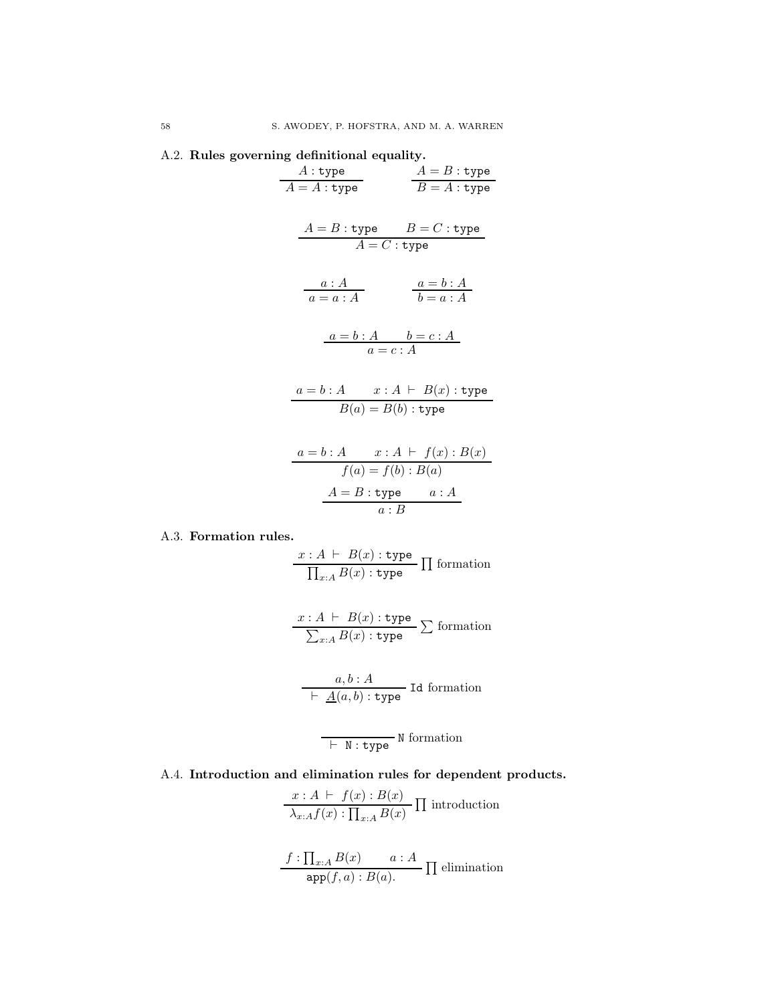<span id="page-57-0"></span>

|  |  |  | A.2. Rules governing definitional equality. |  |
|--|--|--|---------------------------------------------|--|
|--|--|--|---------------------------------------------|--|

| $A:$ type                                                                                         |                        | $A = B : type$      |
|---------------------------------------------------------------------------------------------------|------------------------|---------------------|
| $A = A : \texttt{type}$                                                                           |                        | $B=A:\texttt{type}$ |
|                                                                                                   |                        |                     |
| $A = B$ : type $B = C$ : type                                                                     |                        |                     |
|                                                                                                   | $A = C$ : type         |                     |
|                                                                                                   |                        |                     |
| $\begin{array}{c}\n a:A \\  a=a:A\n\end{array}$ $\begin{array}{c}\n a=b:A \\  b=a:A\n\end{array}$ |                        |                     |
| $\frac{a=b:A}{a=c:A}$                                                                             |                        |                     |
| $a = b : A$ $x : A \vdash B(x) :$ type                                                            |                        |                     |
|                                                                                                   | $B(a) = B(b)$ : type   |                     |
|                                                                                                   |                        |                     |
| $a = b : A$ $x : A \vdash f(x) : B(x)$                                                            |                        |                     |
|                                                                                                   | $f(a) = f(b) : B(a)$   |                     |
|                                                                                                   | $A = B$ : type $a : A$ |                     |
|                                                                                                   | a:B                    |                     |
|                                                                                                   |                        |                     |

# <span id="page-57-1"></span>A.3. Formation rules.

$$
\frac{x:A \vdash B(x) : \text{type}}{\prod_{x:A} B(x) : \text{type}} \prod \text{formation}
$$

$$
\frac{x:A \vdash B(x): \text{type}}{\sum_{x:A} B(x): \text{type}} \sum \text{formation}
$$

$$
\frac{a, b : A}{\vdash A(a, b) : \text{type}} \text{Id formation}
$$

$$
\overline{\phantom{0}}\vdash N: \mathtt{type}^N \text{ formation }
$$

<span id="page-57-2"></span>A.4. Introduction and elimination rules for dependent products.

$$
\frac{x:A \vdash f(x):B(x)}{\lambda_{x:A}f(x): \prod_{x:A}B(x)} \prod \text{introduction}
$$

$$
\frac{f: \prod_{x:A} B(x) \qquad a:A}{\text{app}(f,a): B(a).} \prod \text{elimination}
$$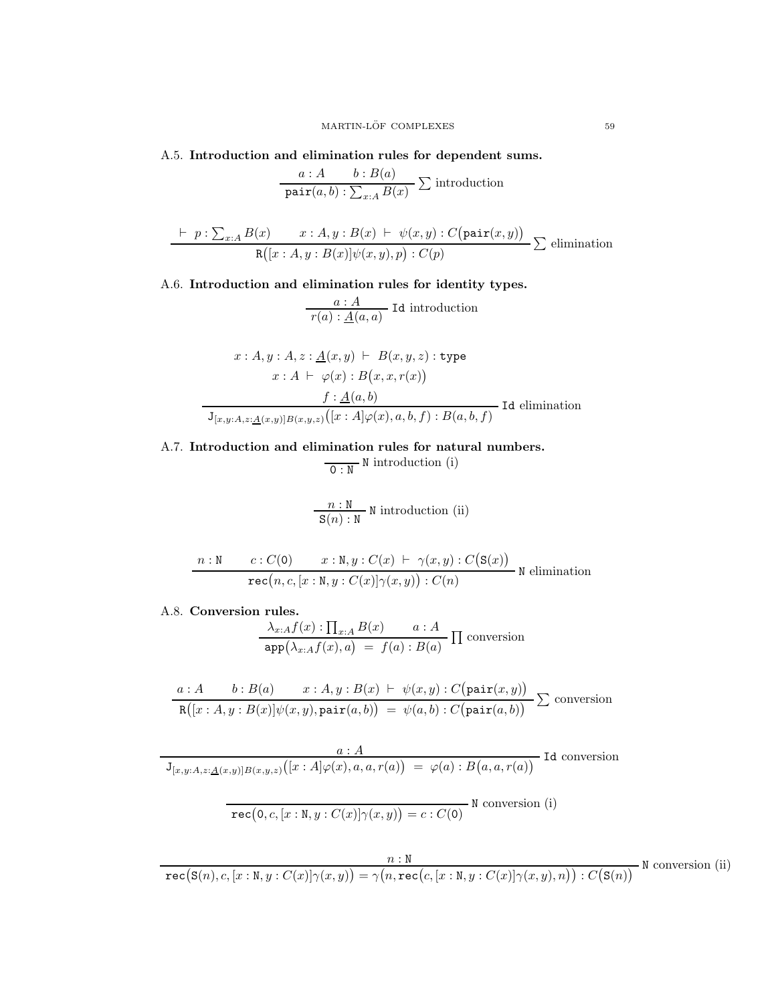<span id="page-58-0"></span>A.5. Introduction and elimination rules for dependent sums.

$$
\frac{a:A \quad b:B(a)}{\text{pair}(a,b): \sum_{x:A} B(x)} \sum \text{introduction}
$$

$$
\frac{\vdash p : \sum_{x:A} B(x) \qquad x : A, y : B(x) \vdash \psi(x, y) : C(\text{pair}(x, y))}{\text{R}([x : A, y : B(x)]\psi(x, y), p) : C(p)} \sum \text{elimination}
$$

<span id="page-58-1"></span>A.6. Introduction and elimination rules for identity types.

$$
\frac{a:A}{r(a): \underline{A}(a,a)}
$$
 Id introduction

$$
x: A, y: A, z: \underline{A}(x, y) \vdash B(x, y, z): \text{type}
$$

$$
x: A \vdash \varphi(x): B(x, x, r(x))
$$

$$
\underline{f: \underline{A}(a, b)}
$$

$$
\overline{J_{[x, y: A, z: \underline{A}(x, y)]B(x, y, z)}([x: A]\varphi(x), a, b, f): B(a, b, f)}
$$
Id elimination

<span id="page-58-2"></span>A.7. Introduction and elimination rules for natural numbers.

 $\overline{0 : N}$  N introduction (i)

$$
\frac{n : N}{S(n) : N}
$$
 N introduction (ii)

$$
\begin{array}{cc}\n n: \texttt{N} & c: C(\texttt{O}) & x: \texttt{N}, y: C(x) \vdash \gamma(x, y): C(\texttt{S}(x)) \\
 \hline\n \texttt{rec}(n, c, [x: \texttt{N}, y: C(x)] \gamma(x, y)): C(n)\n \end{array}\n \texttt{N elimination}
$$

<span id="page-58-3"></span>A.8. Conversion rules.

$$
\frac{\lambda_{x:A}f(x) : \prod_{x:A} B(x) \qquad a:A}{\text{app}(\lambda_{x:A}f(x), a) = f(a) : B(a)} \prod \text{ conversion}
$$

$$
\frac{a:A \qquad b: B(a) \qquad x:A, y:B(x) \vdash \psi(x,y): C\big(\text{pair}(x,y)\big)}{\text{R}\big([x:A,y:B(x)]\psi(x,y),\text{pair}(a,b)\big) \; = \; \psi(a,b): C\big(\text{pair}(a,b)\big)} \sum \text{ conversion}
$$

 $a : A$  Id conversion  ${\tt J}_{[x,y:A,z:\underline{A}(x,y)]B(x,y,z)} \big([x:A]\varphi(x),a,a,r(a)\big) \;=\; \varphi(a) : B\big(a,a,r(a)\big)$ 

$$
\overline{\text{rec}(0, c, [x : N, y : C(x)] \gamma(x, y)) = c : C(0)} \text{ N conversion (i)}
$$

 $n : N$ <br>  ${\tt rec}({\tt S}(n), c, [x : N, y : C(x)] \gamma(x, y)) = \gamma(n, {\tt rec}(c, [x : N, y : C(x)] \gamma(x, y), n)) : C({\tt S}(n))$ <sup>N</sup> conversion (ii)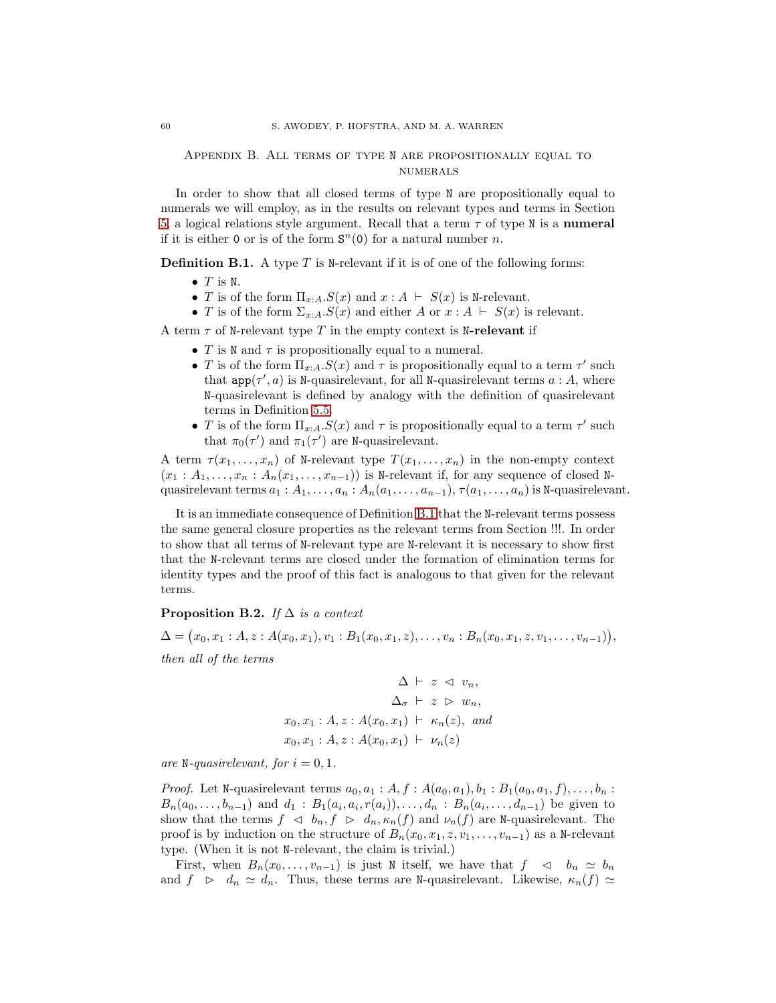# <span id="page-59-0"></span>Appendix B. All terms of type N are propositionally equal to **NUMERALS**

In order to show that all closed terms of type N are propositionally equal to numerals we will employ, as in the results on relevant types and terms in Section [5,](#page-25-0) a logical relations style argument. Recall that a term  $\tau$  of type N is a numeral if it is either 0 or is of the form  $S<sup>n</sup>(0)$  for a natural number *n*.

<span id="page-59-1"></span>**Definition B.1.** A type  $T$  is N-relevant if it is of one of the following forms:

- $\bullet$  T is N.
- T is of the form  $\Pi_{x:A}.S(x)$  and  $x:A \vdash S(x)$  is N-relevant.
- T is of the form  $\Sigma_{x:A}.S(x)$  and either A or  $x:A \vdash S(x)$  is relevant.

A term  $\tau$  of N-relevant type T in the empty context is N-relevant if

- T is N and  $\tau$  is propositionally equal to a numeral.
- T is of the form  $\Pi_{x:A}.S(x)$  and  $\tau$  is propositionally equal to a term  $\tau'$  such that  $app(\tau', a)$  is N-quasirelevant, for all N-quasirelevant terms  $a : A$ , where N-quasirelevant is defined by analogy with the definition of quasirelevant terms in Definition [5.5.](#page-30-1)
- T is of the form  $\Pi_{x:A}.S(x)$  and  $\tau$  is propositionally equal to a term  $\tau'$  such that  $\pi_0(\tau')$  and  $\pi_1(\tau')$  are N-quasirelevant.

A term  $\tau(x_1, \ldots, x_n)$  of N-relevant type  $T(x_1, \ldots, x_n)$  in the non-empty context  $(x_1 : A_1, \ldots, x_n : A_n(x_1, \ldots, x_{n-1}))$  is N-relevant if, for any sequence of closed Nquasirelevant terms  $a_1 : A_1, \ldots, a_n : A_n(a_1, \ldots, a_{n-1}), \tau(a_1, \ldots, a_n)$  is N-quasirelevant.

It is an immediate consequence of Definition [B.1](#page-59-1) that the N-relevant terms possess the same general closure properties as the relevant terms from Section !!!. In order to show that all terms of N-relevant type are N-relevant it is necessary to show first that the N-relevant terms are closed under the formation of elimination terms for identity types and the proof of this fact is analogous to that given for the relevant terms.

# <span id="page-59-2"></span>Proposition B.2. *If* ∆ *is a context*

$$
\Delta = (x_0, x_1 : A, z : A(x_0, x_1), v_1 : B_1(x_0, x_1, z), \dots, v_n : B_n(x_0, x_1, z, v_1, \dots, v_{n-1})),
$$

*then all of the terms*

$$
\Delta \vdash z \vartriangleleft v_n,
$$
  
\n
$$
\Delta_{\sigma} \vdash z \vartriangleright w_n,
$$
  
\n
$$
x_0, x_1 : A, z : A(x_0, x_1) \vdash \kappa_n(z), \text{ and}
$$
  
\n
$$
x_0, x_1 : A, z : A(x_0, x_1) \vdash \nu_n(z)
$$

*are* N-quasirelevant, for  $i = 0, 1$ .

*Proof.* Let N-quasirelevant terms  $a_0, a_1 : A, f : A(a_0, a_1), b_1 : B_1(a_0, a_1, f), \ldots, b_n :$  $B_n(a_0,...,b_{n-1})$  and  $d_1 : B_1(a_i,a_i,r(a_i)),...,d_n : B_n(a_i,...,d_{n-1})$  be given to show that the terms  $f \subset b_n, f \supset d_n, \kappa_n(f)$  and  $\nu_n(f)$  are N-quasirelevant. The proof is by induction on the structure of  $B_n(x_0, x_1, z, v_1, \ldots, v_{n-1})$  as a N-relevant type. (When it is not N-relevant, the claim is trivial.)

First, when  $B_n(x_0, \ldots, x_{n-1})$  is just N itself, we have that  $f \prec b_n \simeq b_n$ and  $f > d_n \simeq d_n$ . Thus, these terms are N-quasirelevant. Likewise,  $\kappa_n(f) \simeq$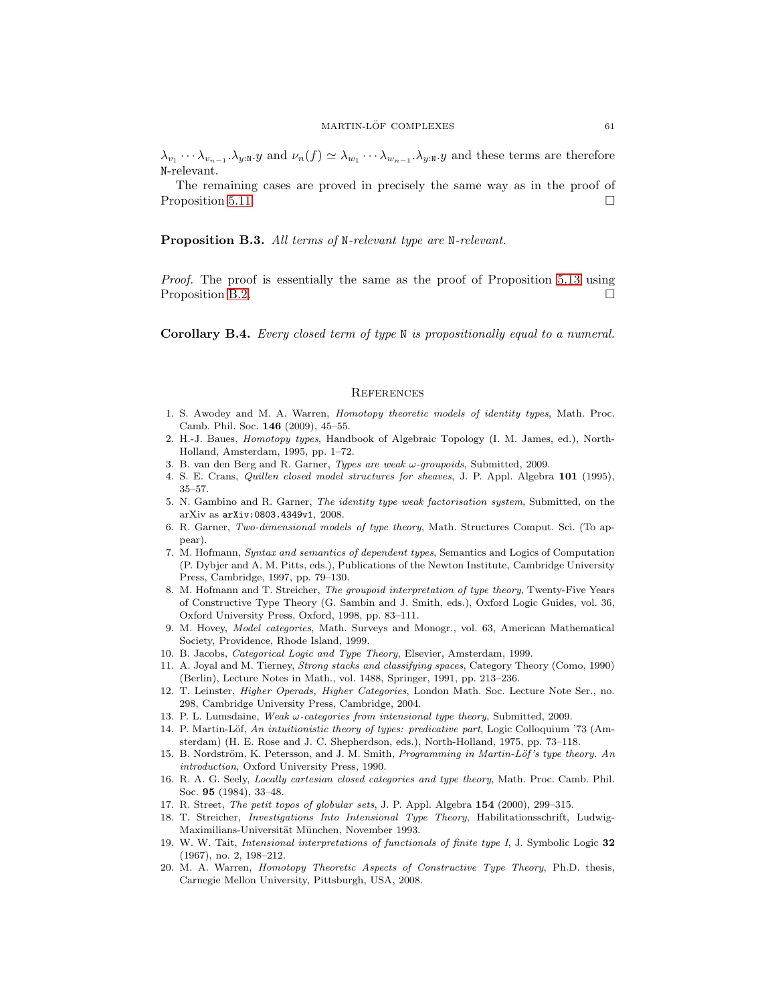$\lambda_{v_1}\cdots\lambda_{v_{n-1}}.\lambda_{y:\mathbb{N}}.y$  and  $\nu_n(f) \simeq \lambda_{w_1}\cdots\lambda_{w_{n-1}}.\lambda_{y:\mathbb{N}}.y$  and these terms are therefore N-relevant.

The remaining cases are proved in precisely the same way as in the proof of Proposition [5.11.](#page-38-1)

Proposition B.3. *All terms of* N*-relevant type are* N*-relevant.*

*Proof.* The proof is essentially the same as the proof of Proposition [5.13](#page-40-1) using Proposition [B.2.](#page-59-2)

<span id="page-60-20"></span>Corollary B.4. *Every closed term of type* N *is propositionally equal to a numeral.*

#### **REFERENCES**

- <span id="page-60-1"></span><span id="page-60-0"></span>1. S. Awodey and M. A. Warren, *Homotopy theoretic models of identity types*, Math. Proc. Camb. Phil. Soc. 146 (2009), 45–55.
- <span id="page-60-11"></span>2. H.-J. Baues, *Homotopy types*, Handbook of Algebraic Topology (I. M. James, ed.), North-Holland, Amsterdam, 1995, pp. 1–72.
- <span id="page-60-14"></span><span id="page-60-5"></span>3. B. van den Berg and R. Garner, *Types are weak* ω*-groupoids*, Submitted, 2009.
- <span id="page-60-6"></span>4. S. E. Crans, *Quillen closed model structures for sheaves*, J. P. Appl. Algebra 101 (1995), 35–57.
- 5. N. Gambino and R. Garner, *The identity type weak factorisation system*, Submitted, on the arXiv as arXiv:0803.4349v1, 2008.
- <span id="page-60-3"></span>6. R. Garner, *Two-dimensional models of type theory*, Math. Structures Comput. Sci. (To appear).
- <span id="page-60-18"></span>7. M. Hofmann, *Syntax and semantics of dependent types*, Semantics and Logics of Computation (P. Dybjer and A. M. Pitts, eds.), Publications of the Newton Institute, Cambridge University Press, Cambridge, 1997, pp. 79–130.
- <span id="page-60-9"></span>8. M. Hofmann and T. Streicher, *The groupoid interpretation of type theory*, Twenty-Five Years of Constructive Type Theory (G. Sambin and J. Smith, eds.), Oxford Logic Guides, vol. 36, Oxford University Press, Oxford, 1998, pp. 83–111.
- <span id="page-60-21"></span>9. M. Hovey, *Model categories*, Math. Surveys and Monogr., vol. 63, American Mathematical Society, Providence, Rhode Island, 1999.
- <span id="page-60-15"></span><span id="page-60-13"></span>10. B. Jacobs, *Categorical Logic and Type Theory*, Elsevier, Amsterdam, 1999.
- 11. A. Joyal and M. Tierney, *Strong stacks and classifying spaces*, Category Theory (Como, 1990) (Berlin), Lecture Notes in Math., vol. 1488, Springer, 1991, pp. 213–236.
- <span id="page-60-17"></span>12. T. Leinster, *Higher Operads, Higher Categories*, London Math. Soc. Lecture Note Ser., no. 298, Cambridge University Press, Cambridge, 2004.
- <span id="page-60-7"></span><span id="page-60-4"></span>13. P. L. Lumsdaine, *Weak* ω*-categories from intensional type theory*, Submitted, 2009.
- 14. P. Martin-L¨of, *An intuitionistic theory of types: predicative part*, Logic Colloquium '73 (Amsterdam) (H. E. Rose and J. C. Shepherdson, eds.), North-Holland, 1975, pp. 73–118.
- <span id="page-60-8"></span>15. B. Nordström, K. Petersson, and J. M. Smith, *Programming in Martin-Löf's type theory. An introduction*, Oxford University Press, 1990.
- <span id="page-60-10"></span>16. R. A. G. Seely, *Locally cartesian closed categories and type theory*, Math. Proc. Camb. Phil. Soc. 95 (1984), 33–48.
- <span id="page-60-19"></span><span id="page-60-16"></span>17. R. Street, *The petit topos of globular sets*, J. P. Appl. Algebra 154 (2000), 299–315.
- 18. T. Streicher, *Investigations Into Intensional Type Theory*, Habilitationsschrift, Ludwig-Maximilians-Universität München, November 1993.
- <span id="page-60-12"></span>19. W. W. Tait, *Intensional interpretations of functionals of finite type I*, J. Symbolic Logic 32 (1967), no. 2, 198–212.
- <span id="page-60-2"></span>20. M. A. Warren, *Homotopy Theoretic Aspects of Constructive Type Theory*, Ph.D. thesis, Carnegie Mellon University, Pittsburgh, USA, 2008.